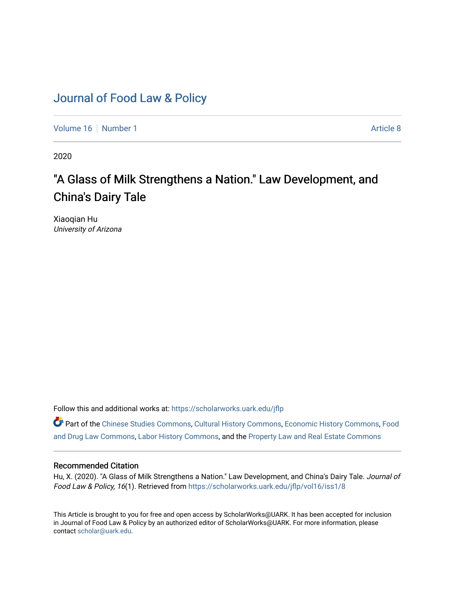# [Journal of Food Law & Policy](https://scholarworks.uark.edu/jflp)

[Volume 16](https://scholarworks.uark.edu/jflp/vol16) [Number 1](https://scholarworks.uark.edu/jflp/vol16/iss1) Article 8

2020

# "A Glass of Milk Strengthens a Nation." Law Development, and China's Dairy Tale

Xiaoqian Hu University of Arizona

Follow this and additional works at: [https://scholarworks.uark.edu/jflp](https://scholarworks.uark.edu/jflp?utm_source=scholarworks.uark.edu%2Fjflp%2Fvol16%2Fiss1%2F8&utm_medium=PDF&utm_campaign=PDFCoverPages) 

Part of the [Chinese Studies Commons](http://network.bepress.com/hgg/discipline/1081?utm_source=scholarworks.uark.edu%2Fjflp%2Fvol16%2Fiss1%2F8&utm_medium=PDF&utm_campaign=PDFCoverPages), [Cultural History Commons,](http://network.bepress.com/hgg/discipline/496?utm_source=scholarworks.uark.edu%2Fjflp%2Fvol16%2Fiss1%2F8&utm_medium=PDF&utm_campaign=PDFCoverPages) [Economic History Commons](http://network.bepress.com/hgg/discipline/343?utm_source=scholarworks.uark.edu%2Fjflp%2Fvol16%2Fiss1%2F8&utm_medium=PDF&utm_campaign=PDFCoverPages), [Food](http://network.bepress.com/hgg/discipline/844?utm_source=scholarworks.uark.edu%2Fjflp%2Fvol16%2Fiss1%2F8&utm_medium=PDF&utm_campaign=PDFCoverPages) [and Drug Law Commons,](http://network.bepress.com/hgg/discipline/844?utm_source=scholarworks.uark.edu%2Fjflp%2Fvol16%2Fiss1%2F8&utm_medium=PDF&utm_campaign=PDFCoverPages) [Labor History Commons](http://network.bepress.com/hgg/discipline/1254?utm_source=scholarworks.uark.edu%2Fjflp%2Fvol16%2Fiss1%2F8&utm_medium=PDF&utm_campaign=PDFCoverPages), and the [Property Law and Real Estate Commons](http://network.bepress.com/hgg/discipline/897?utm_source=scholarworks.uark.edu%2Fjflp%2Fvol16%2Fiss1%2F8&utm_medium=PDF&utm_campaign=PDFCoverPages)

# Recommended Citation

Hu, X. (2020). "A Glass of Milk Strengthens a Nation." Law Development, and China's Dairy Tale. Journal of Food Law & Policy, 16(1). Retrieved from [https://scholarworks.uark.edu/jflp/vol16/iss1/8](https://scholarworks.uark.edu/jflp/vol16/iss1/8?utm_source=scholarworks.uark.edu%2Fjflp%2Fvol16%2Fiss1%2F8&utm_medium=PDF&utm_campaign=PDFCoverPages)

This Article is brought to you for free and open access by ScholarWorks@UARK. It has been accepted for inclusion in Journal of Food Law & Policy by an authorized editor of ScholarWorks@UARK. For more information, please contact [scholar@uark.edu.](mailto:scholar@uark.edu)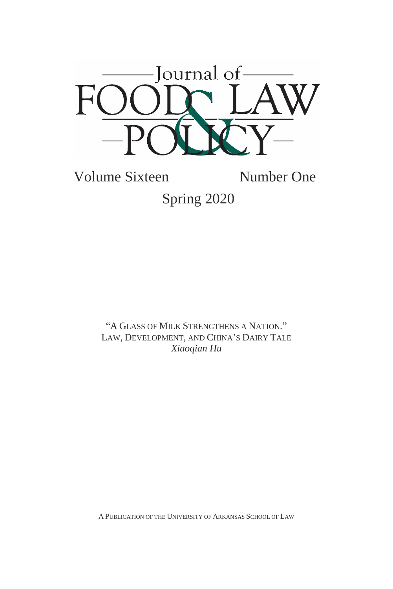

Volume Sixteen Number One Spring 2020

> "A GLASS OF MILK STRENGTHENS A NATION." LAW, DEVELOPMENT, AND CHINA'S DAIRY TALE *Xiaoqian Hu*

A PUBLICATION OF THE UNIVERSITY OF ARKANSAS SCHOOL OF LAW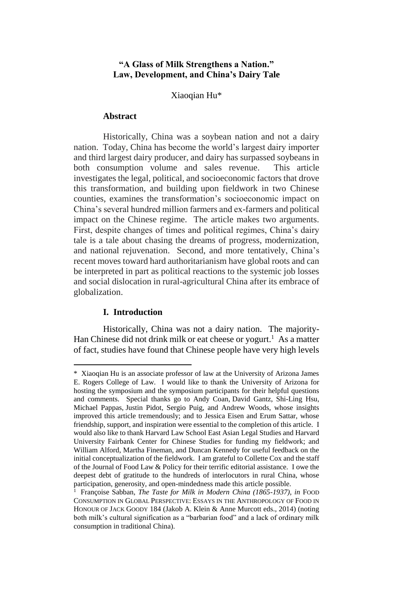# **"A Glass of Milk Strengthens a Nation." Law, Development, and China's Dairy Tale**

Xiaoqian Hu\*

#### **Abstract**

Historically, China was a soybean nation and not a dairy nation. Today, China has become the world's largest dairy importer and third largest dairy producer, and dairy has surpassed soybeans in both consumption volume and sales revenue. This article investigates the legal, political, and socioeconomic factors that drove this transformation, and building upon fieldwork in two Chinese counties, examines the transformation's socioeconomic impact on China's several hundred million farmers and ex-farmers and political impact on the Chinese regime. The article makes two arguments. First, despite changes of times and political regimes, China's dairy tale is a tale about chasing the dreams of progress, modernization, and national rejuvenation. Second, and more tentatively, China's recent moves toward hard authoritarianism have global roots and can be interpreted in part as political reactions to the systemic job losses and social dislocation in rural-agricultural China after its embrace of globalization.

## **I. Introduction**

1

Historically, China was not a dairy nation. The majority-Han Chinese did not drink milk or eat cheese or yogurt.<sup>1</sup> As a matter of fact, studies have found that Chinese people have very high levels

<sup>\*</sup> Xiaoqian Hu is an associate professor of law at the University of Arizona James E. Rogers College of Law. I would like to thank the University of Arizona for hosting the symposium and the symposium participants for their helpful questions and comments. Special thanks go to Andy Coan, David Gantz, Shi-Ling Hsu, Michael Pappas, Justin Pidot, Sergio Puig, and Andrew Woods, whose insights improved this article tremendously; and to Jessica Eisen and Erum Sattar, whose friendship, support, and inspiration were essential to the completion of this article. I would also like to thank Harvard Law School East Asian Legal Studies and Harvard University Fairbank Center for Chinese Studies for funding my fieldwork; and William Alford, Martha Fineman, and Duncan Kennedy for useful feedback on the initial conceptualization of the fieldwork. I am grateful to Collette Cox and the staff of the Journal of Food Law & Policy for their terrific editorial assistance. I owe the deepest debt of gratitude to the hundreds of interlocutors in rural China, whose participation, generosity, and open-mindedness made this article possible.

<sup>1</sup> Françoise Sabban, *The Taste for Milk in Modern China (1865-1937)*, *in* Food CONSUMPTION IN GLOBAL PERSPECTIVE: ESSAYS IN THE ANTHROPOLOGY OF FOOD IN HONOUR OF JACK GOODY 184 (Jakob A. Klein & Anne Murcott eds., 2014) (noting both milk's cultural signification as a "barbarian food" and a lack of ordinary milk consumption in traditional China).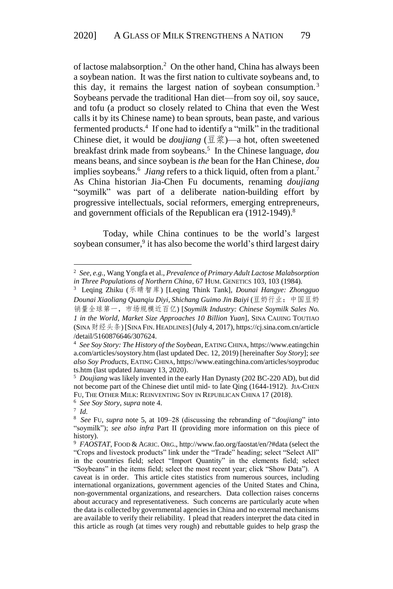of lactose malabsorption.<sup>2</sup> On the other hand, China has always been a soybean nation. It was the first nation to cultivate soybeans and, to this day, it remains the largest nation of soybean consumption.<sup>3</sup> Soybeans pervade the traditional Han diet—from soy oil, soy sauce, and tofu (a product so closely related to China that even the West calls it by its Chinese name) to bean sprouts, bean paste, and various fermented products. 4 If one had to identify a "milk" in the traditional Chinese diet, it would be *doujiang* (豆浆)—a hot, often sweetened breakfast drink made from soybeans.<sup>5</sup> In the Chinese language, *dou* means beans, and since soybean is *the* bean for the Han Chinese, *dou*  implies soybeans.<sup>6</sup> Jiang refers to a thick liquid, often from a plant.<sup>7</sup> As China historian Jia-Chen Fu documents, renaming *doujiang* "soymilk" was part of a deliberate nation-building effort by progressive intellectuals, social reformers, emerging entrepreneurs, and government officials of the Republican era (1912-1949).<sup>8</sup>

Today, while China continues to be the world's largest soybean consumer,<sup>9</sup> it has also become the world's third largest dairy

<sup>2</sup> *See, e.g.*, Wang Yongfa et al., *Prevalence of Primary Adult Lactose Malabsorption in Three Populations of Northern China*, 67 HUM. GENETICS 103, 103 (1984).

<sup>3</sup> Leqing Zhiku (乐晴智库) [Leqing Think Tank], *Dounai Hangye: Zhongguo Dounai Xiaoliang Quanqiu Diyi, Shichang Guimo Jin Baiyi* (豆奶行业:中国豆奶 销量全球第一,市场规模近百亿) [*Soymilk Industry: Chinese Soymilk Sales No. 1 in the World, Market Size Approaches 10 Billion Yuan*], SINA CAIJING TOUTIAO (SINA财经头条) [SINA FIN. HEADLINES] (July 4, 2017), https://cj.sina.com.cn/article /detail/5160876646/307624.

<sup>4</sup> *See Soy Story: The History of the Soybean*, EATING CHINA, https://www.eatingchin a.com/articles/soystory.htm (last updated Dec. 12, 2019) [hereinafter *Soy Story*]; *see also Soy Products*, EATING CHINA, https://www.eatingchina.com/articles/soyproduc ts.htm (last updated January 13, 2020).

<sup>5</sup> *Doujiang* was likely invented in the early Han Dynasty (202 BC-220 AD), but did not become part of the Chinese diet until mid- to late Qing (1644-1912). JIA-CHEN FU, THE OTHER MILK: REINVENTING SOY IN REPUBLICAN CHINA 17 (2018).

<sup>6</sup> *See Soy Story*, *supra* note 4.

<sup>7</sup> *Id.*

<sup>8</sup> *See* FU, *supra* note 5, at 109–28 (discussing the rebranding of "*doujiang*" into "soymilk"); *see also infra* Part II (providing more information on this piece of history).

<sup>&</sup>lt;sup>9</sup> FAOSTAT, FOOD & AGRIC. ORG., http://www.fao.org/faostat/en/?#data (select the "Crops and livestock products" link under the "Trade" heading; select "Select All" in the countries field; select "Import Quantity" in the elements field; select "Soybeans" in the items field; select the most recent year; click "Show Data"). A caveat is in order. This article cites statistics from numerous sources, including international organizations, government agencies of the United States and China, non-governmental organizations, and researchers. Data collection raises concerns about accuracy and representativeness. Such concerns are particularly acute when the data is collected by governmental agencies in China and no external mechanisms are available to verify their reliability. I plead that readers interpret the data cited in this article as rough (at times very rough) and rebuttable guides to help grasp the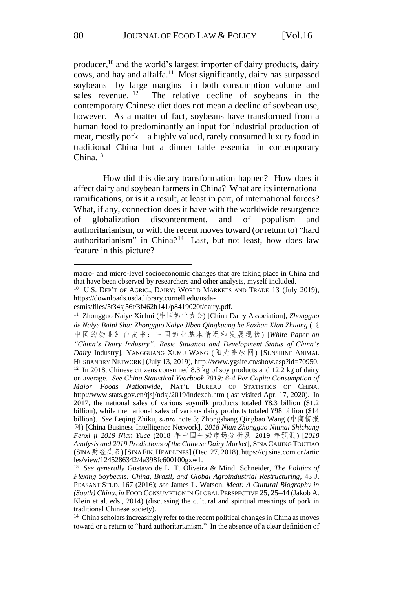producer,<sup>10</sup> and the world's largest importer of dairy products, dairy cows, and hay and alfalfa.<sup>11</sup> Most significantly, dairy has surpassed soybeans—by large margins—in both consumption volume and sales revenue. <sup>12</sup> The relative decline of soybeans in the contemporary Chinese diet does not mean a decline of soybean use, however. As a matter of fact, soybeans have transformed from a human food to predominantly an input for industrial production of meat, mostly pork—a highly valued, rarely consumed luxury food in traditional China but a dinner table essential in contemporary China $13$ 

How did this dietary transformation happen? How does it affect dairy and soybean farmers in China? What are its international ramifications, or is it a result, at least in part, of international forces? What, if any, connection does it have with the worldwide resurgence of globalization discontentment, and of populism and authoritarianism, or with the recent moves toward (or return to) "hard authoritarianism" in China?<sup>14</sup> Last, but not least, how does law feature in this picture?

macro- and micro-level socioeconomic changes that are taking place in China and that have been observed by researchers and other analysts, myself included.

<sup>&</sup>lt;sup>10</sup> U.S. DEP'T OF AGRIC., DAIRY: WORLD MARKETS AND TRADE 13 (July 2019), https://downloads.usda.library.cornell.edu/usda-

esmis/files/5t34sj56t/3f462h141/p8419020t/dairy.pdf.

<sup>11</sup> Zhongguo Naiye Xiehui (中国奶业协会) [China Dairy Association], *Zhongguo de Naiye Baipi Shu: Zhongguo Naiye Jiben Qingkuang he Fazhan Xian Zhuang* (《 中国的奶业》白皮书:中国奶业基本情况和发展现状) [*White Paper on "China's Dairy Industry": Basic Situation and Development Status of China's Dairy* Industry], YANGGUANG XUMU WANG (阳光畜牧网) [SUNSHINE ANIMAL HUSBANDRY NETWORK] (July 13, 2019), http://www.ygsite.cn/show.asp?id=70950. <sup>12</sup> In 2018, Chinese citizens consumed 8.3 kg of soy products and 12.2 kg of dairy on average. *See China Statistical Yearbook 2019: 6-4 Per Capita Consumption of Major Foods Nationwide*, NAT'L BUREAU OF STATISTICS OF CHINA, http://www.stats.gov.cn/tjsj/ndsj/2019/indexeh.htm (last visited Apr. 17, 2020). In 2017, the national sales of various soymilk products totaled ¥8.3 billion (\$1.2 billion), while the national sales of various dairy products totaled ¥98 billion (\$14 billion). *See* Leqing Zhiku, *supra* note 3; Zhongshang Qingbao Wang (中商情报 网) [China Business Intelligence Network], *2018 Nian Zhongguo Niunai Shichang Fenxi ji 2019 Nian Yuce* (2018 年中国牛奶市场分析及 2019 年预测) [*2018 Analysis and 2019 Predictions of the Chinese Dairy Market*], SINA CAIJING TOUTIAO (SINA财经头条) [SINA FIN. HEADLINES] (Dec. 27, 2018), https://cj.sina.com.cn/artic les/view/1245286342/4a398fc600100gxw1.

<sup>13</sup> *See generally* Gustavo de L. T. Oliveira & Mindi Schneider, *The Politics of Flexing Soybeans: China, Brazil, and Global Agroindustrial Restructuring*, 43 J. PEASANT STUD. 167 (2016); *see* James L. Watson, *Meat: A Cultural Biography in (South) China*, *in* FOOD CONSUMPTION IN GLOBAL PERSPECTIVE 25, 25–44 (Jakob A. Klein et al. eds., 2014) (discussing the cultural and spiritual meanings of pork in traditional Chinese society).

<sup>&</sup>lt;sup>14</sup> China scholars increasingly refer to the recent political changes in China as moves toward or a return to "hard authoritarianism." In the absence of a clear definition of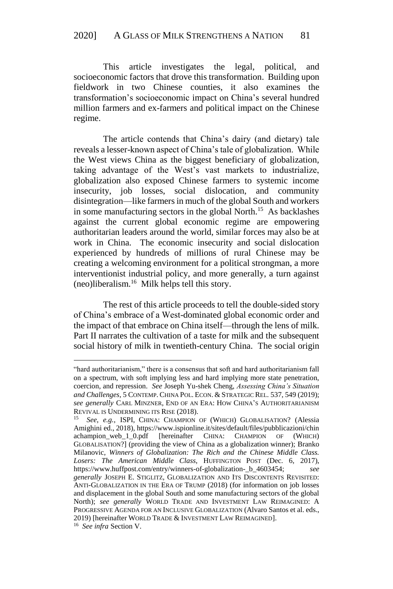This article investigates the legal, political, and socioeconomic factors that drove this transformation. Building upon fieldwork in two Chinese counties, it also examines the transformation's socioeconomic impact on China's several hundred million farmers and ex-farmers and political impact on the Chinese regime.

The article contends that China's dairy (and dietary) tale reveals a lesser-known aspect of China's tale of globalization. While the West views China as the biggest beneficiary of globalization, taking advantage of the West's vast markets to industrialize, globalization also exposed Chinese farmers to systemic income insecurity, job losses, social dislocation, and community disintegration—like farmers in much of the global South and workers in some manufacturing sectors in the global North.<sup>15</sup> As backlashes against the current global economic regime are empowering authoritarian leaders around the world, similar forces may also be at work in China. The economic insecurity and social dislocation experienced by hundreds of millions of rural Chinese may be creating a welcoming environment for a political strongman, a more interventionist industrial policy, and more generally, a turn against (neo)liberalism.<sup>16</sup> Milk helps tell this story.

The rest of this article proceeds to tell the double-sided story of China's embrace of a West-dominated global economic order and the impact of that embrace on China itself—through the lens of milk. Part II narrates the cultivation of a taste for milk and the subsequent social history of milk in twentieth-century China. The social origin

<sup>&</sup>quot;hard authoritarianism," there is a consensus that soft and hard authoritarianism fall on a spectrum, with soft implying less and hard implying more state penetration, coercion, and repression. *See* Joseph Yu-shek Cheng, *Assessing China's Situation and Challenges*, 5 CONTEMP. CHINA POL. ECON. & STRATEGIC REL. 537, 549 (2019); *see generally* CARL MINZNER, END OF AN ERA: HOW CHINA'S AUTHORITARIANISM REVIVAL IS UNDERMINING ITS RISE (2018).

<sup>15</sup> *See*, *e.g.*, ISPI, CHINA: CHAMPION OF (WHICH) GLOBALISATION? (Alessia Amighini ed., 2018), https://www.ispionline.it/sites/default/files/pubblicazioni/chin achampion\_web\_1\_0.pdf [hereinafter CHINA: CHAMPION OF (WHICH) GLOBALISATION?] (providing the view of China as a globalization winner); Branko Milanovic, *Winners of Globalization: The Rich and the Chinese Middle Class. Losers: The American Middle Class*, HUFFINGTON POST (Dec. 6, 2017), https://www.huffpost.com/entry/winners-of-globalization-\_b\_4603454; *see generally* JOSEPH E. STIGLITZ, GLOBALIZATION AND ITS DISCONTENTS REVISITED: ANTI-GLOBALIZATION IN THE ERA OF TRUMP (2018) (for information on job losses and displacement in the global South and some manufacturing sectors of the global North); *see generally* WORLD TRADE AND INVESTMENT LAW REIMAGINED: A PROGRESSIVE AGENDA FOR AN INCLUSIVE GLOBALIZATION (Alvaro Santos et al. eds., 2019) [hereinafter WORLD TRADE & INVESTMENT LAW REIMAGINED].

<sup>16</sup> *See infra* Section V.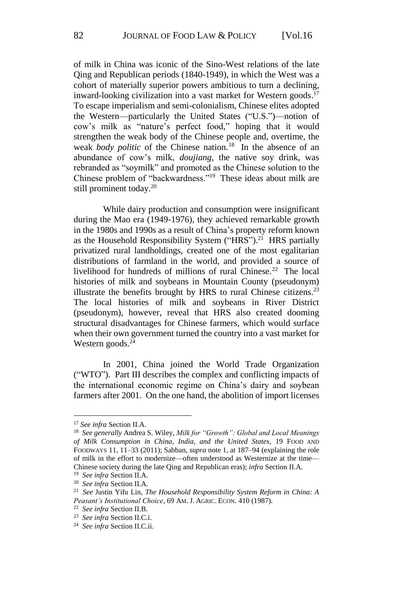of milk in China was iconic of the Sino-West relations of the late Qing and Republican periods (1840-1949), in which the West was a cohort of materially superior powers ambitious to turn a declining, inward-looking civilization into a vast market for Western goods.<sup>17</sup> To escape imperialism and semi-colonialism, Chinese elites adopted the Western—particularly the United States ("U.S.")—notion of cow's milk as "nature's perfect food," hoping that it would strengthen the weak body of the Chinese people and, overtime, the weak *body politic* of the Chinese nation.<sup>18</sup> In the absence of an abundance of cow's milk, *doujiang*, the native soy drink, was rebranded as "soymilk" and promoted as the Chinese solution to the Chinese problem of "backwardness."<sup>19</sup> These ideas about milk are still prominent today.<sup>20</sup>

While dairy production and consumption were insignificant during the Mao era (1949-1976), they achieved remarkable growth in the 1980s and 1990s as a result of China's property reform known as the Household Responsibility System ("HRS").<sup>21</sup> HRS partially privatized rural landholdings, created one of the most egalitarian distributions of farmland in the world, and provided a source of livelihood for hundreds of millions of rural Chinese.<sup>22</sup> The local histories of milk and soybeans in Mountain County (pseudonym) illustrate the benefits brought by HRS to rural Chinese citizens.<sup>23</sup> The local histories of milk and soybeans in River District (pseudonym), however, reveal that HRS also created dooming structural disadvantages for Chinese farmers, which would surface when their own government turned the country into a vast market for Western goods. 24

In 2001, China joined the World Trade Organization ("WTO"). Part III describes the complex and conflicting impacts of the international economic regime on China's dairy and soybean farmers after 2001. On the one hand, the abolition of import licenses

<sup>17</sup> *See infra* Section II.A.

<sup>18</sup> *See generally* Andrea S. Wiley, *Milk for "Growth": Global and Local Meanings of Milk Consumption in China, India, and the United States*, 19 FOOD AND FOODWAYS 11, 11–33 (2011); Sabban, *supra* note 1, at 187–94 (explaining the role of milk in the effort to modernize—often understood as Westernize at the time— Chinese society during the late Qing and Republican eras); *infra* Section II.A.

<sup>19</sup> *See infra* Section II.A.

<sup>20</sup> *See infra* Section II.A.

<sup>21</sup> *See* Justin Yifu Lin, *The Household Responsibility System Reform in China: A Peasant's Institutional Choice*, 69 AM. J. AGRIC. ECON. 410 (1987).

<sup>22</sup> *See infra* Section II.B.

<sup>23</sup> *See infra* Section II.C.i.

<sup>24</sup> *See infra* Section II.C.ii.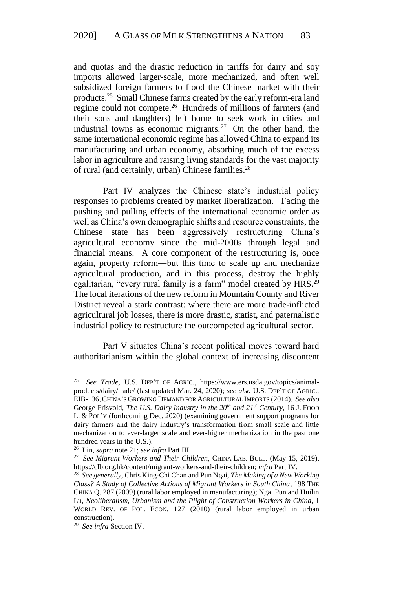and quotas and the drastic reduction in tariffs for dairy and soy imports allowed larger-scale, more mechanized, and often well subsidized foreign farmers to flood the Chinese market with their products. <sup>25</sup> Small Chinese farms created by the early reform-era land regime could not compete.<sup>26</sup> Hundreds of millions of farmers (and their sons and daughters) left home to seek work in cities and industrial towns as economic migrants.<sup>27</sup> On the other hand, the same international economic regime has allowed China to expand its manufacturing and urban economy, absorbing much of the excess labor in agriculture and raising living standards for the vast majority of rural (and certainly, urban) Chinese families.<sup>28</sup>

Part IV analyzes the Chinese state's industrial policy responses to problems created by market liberalization. Facing the pushing and pulling effects of the international economic order as well as China's own demographic shifts and resource constraints, the Chinese state has been aggressively restructuring China's agricultural economy since the mid-2000s through legal and financial means. A core component of the restructuring is, once again, property reform―but this time to scale up and mechanize agricultural production, and in this process, destroy the highly egalitarian, "every rural family is a farm" model created by HRS.<sup>29</sup> The local iterations of the new reform in Mountain County and River District reveal a stark contrast: where there are more trade-inflicted agricultural job losses, there is more drastic, statist, and paternalistic industrial policy to restructure the outcompeted agricultural sector.

Part V situates China's recent political moves toward hard authoritarianism within the global context of increasing discontent

<sup>25</sup> *See Trade,* U.S. DEP'T OF AGRIC., https://www.ers.usda.gov/topics/animalproducts/dairy/trade/ (last updated Mar. 24, 2020); *see also* U.S. DEP'T OF AGRIC., EIB-136,CHINA'S GROWING DEMAND FOR AGRICULTURAL IMPORTS (2014). *See also* George Frisvold, *The U.S. Dairy Industry in the 20th and 21st Century*, 16 J. FOOD L. & POL'Y (forthcoming Dec. 2020) (examining government support programs for dairy farmers and the dairy industry's transformation from small scale and little mechanization to ever-larger scale and ever-higher mechanization in the past one hundred years in the U.S.).

<sup>26</sup> Lin, *supra* note 21; *see infra* Part III.

<sup>27</sup> *See Migrant Workers and Their Children*, CHINA LAB. BULL. (May 15, 2019), https://clb.org.hk/content/migrant-workers-and-their-children; *infra* Part IV.

<sup>28</sup> *See generally*, Chris King-Chi Chan and Pun Ngai, *The Making of a New Working Class? A Study of Collective Actions of Migrant Workers in South China*, 198 THE CHINA Q. 287 (2009) (rural labor employed in manufacturing); Ngai Pun and Huilin Lu, *Neoliberalism, Urbanism and the Plight of Construction Workers in China*, 1 WORLD REV. OF POL. ECON. 127 (2010) (rural labor employed in urban construction).

<sup>29</sup> *See infra* Section IV.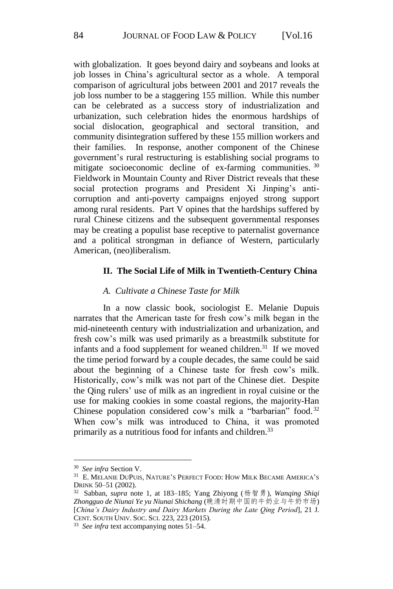with globalization. It goes beyond dairy and soybeans and looks at job losses in China's agricultural sector as a whole. A temporal comparison of agricultural jobs between 2001 and 2017 reveals the job loss number to be a staggering 155 million. While this number can be celebrated as a success story of industrialization and urbanization, such celebration hides the enormous hardships of social dislocation, geographical and sectoral transition, and community disintegration suffered by these 155 million workers and their families. In response, another component of the Chinese government's rural restructuring is establishing social programs to mitigate socioeconomic decline of ex-farming communities.<sup>30</sup> Fieldwork in Mountain County and River District reveals that these social protection programs and President Xi Jinping's anticorruption and anti-poverty campaigns enjoyed strong support among rural residents. Part V opines that the hardships suffered by rural Chinese citizens and the subsequent governmental responses may be creating a populist base receptive to paternalist governance and a political strongman in defiance of Western, particularly American, (neo)liberalism.

## **II. The Social Life of Milk in Twentieth-Century China**

### *A. Cultivate a Chinese Taste for Milk*

In a now classic book, sociologist E. Melanie Dupuis narrates that the American taste for fresh cow's milk began in the mid-nineteenth century with industrialization and urbanization, and fresh cow's milk was used primarily as a breastmilk substitute for infants and a food supplement for weaned children. $31$  If we moved the time period forward by a couple decades, the same could be said about the beginning of a Chinese taste for fresh cow's milk. Historically, cow's milk was not part of the Chinese diet. Despite the Qing rulers' use of milk as an ingredient in royal cuisine or the use for making cookies in some coastal regions, the majority-Han Chinese population considered cow's milk a "barbarian" food. 32 When cow's milk was introduced to China, it was promoted primarily as a nutritious food for infants and children.<sup>33</sup>

<u>.</u>

<sup>30</sup> *See infra* Section V.

<sup>31</sup> E. MELANIE DUPUIS, NATURE'S PERFECT FOOD: HOW MILK BECAME AMERICA'S DRINK 50–51 (2002).

<sup>32</sup> Sabban, *supra* note 1, at 183–185; Yang Zhiyong (杨智勇), *Wanqing Shiqi Zhongguo de Niunai Ye yu Niunai Shichang* (晚清时期中国的牛奶业与牛奶市场) [*China's Dairy Industry and Dairy Markets During the Late Qing Period*], 21 J. CENT. SOUTH UNIV. SOC. SCI. 223, 223 (2015).

<sup>33</sup> *See infra* text accompanying notes 51–54.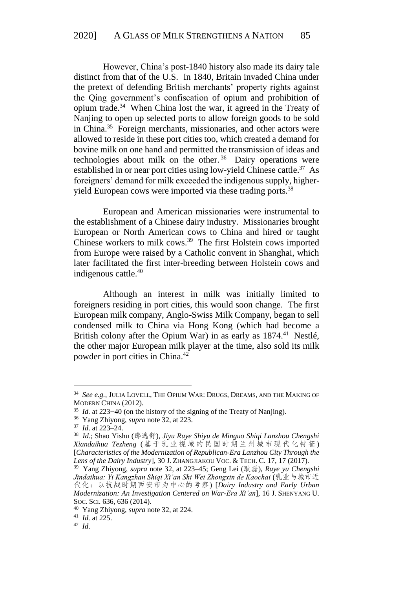However, China's post-1840 history also made its dairy tale distinct from that of the U.S. In 1840, Britain invaded China under the pretext of defending British merchants' property rights against the Qing government's confiscation of opium and prohibition of opium trade. <sup>34</sup> When China lost the war, it agreed in the Treaty of Nanjing to open up selected ports to allow foreign goods to be sold in China.<sup>35</sup> Foreign merchants, missionaries, and other actors were allowed to reside in these port cities too, which created a demand for bovine milk on one hand and permitted the transmission of ideas and technologies about milk on the other.<sup>36</sup> Dairy operations were established in or near port cities using low-yield Chinese cattle.<sup>37</sup> As foreigners' demand for milk exceeded the indigenous supply, higheryield European cows were imported via these trading ports.<sup>38</sup>

European and American missionaries were instrumental to the establishment of a Chinese dairy industry. Missionaries brought European or North American cows to China and hired or taught Chinese workers to milk cows.<sup>39</sup> The first Holstein cows imported from Europe were raised by a Catholic convent in Shanghai, which later facilitated the first inter-breeding between Holstein cows and indigenous cattle. 40

Although an interest in milk was initially limited to foreigners residing in port cities, this would soon change. The first European milk company, Anglo-Swiss Milk Company, began to sell condensed milk to China via Hong Kong (which had become a British colony after the Opium War) in as early as  $1874<sup>41</sup>$  Nestlé, the other major European milk player at the time, also sold its milk powder in port cities in China.<sup>42</sup>

1

41 *Id.* at 225.

<sup>34</sup> *See e.g.*, JULIA LOVELL, THE OPIUM WAR: DRUGS, DREAMS, AND THE MAKING OF MODERN CHINA (2012).

<sup>35</sup> *Id.* at 223−40 (on the history of the signing of the Treaty of Nanjing).

<sup>36</sup> Yang Zhiyong, *supra* note 32, at 223.

<sup>37</sup> *Id*. at 223–24.

<sup>38</sup> *Id*.; Shao Yishu (邵逸舒), *Jiyu Ruye Shiyu de Minguo Shiqi Lanzhou Chengshi Xiandaihua Tezheng* (基于乳业视域的民国时期兰州城市现代化特征 ) [*Characteristics of the Modernization of Republican-Era Lanzhou City Through the Lens of the Dairy Industry*], 30 J. ZHANGJIAKOU VOC. & TECH. C. 17, 17 (2017).

<sup>39</sup> Yang Zhiyong, *supra* note 32, at 223–45; Geng Lei (耿磊), *Ruye yu Chengshi Jindaihua: Yi Kangzhan Shiqi Xi'an Shi Wei Zhongxin de Kaochai* (乳业与城市近 代化:以抗战时期西安市为中心的考察) [*Dairy Industry and Early Urban Modernization: An Investigation Centered on War-Era Xi'an*], 16 J. SHENYANG U. SOC. SCI. 636, 636 (2014).

<sup>40</sup> Yang Zhiyong, *supra* note 32, at 224.

<sup>42</sup> *Id*.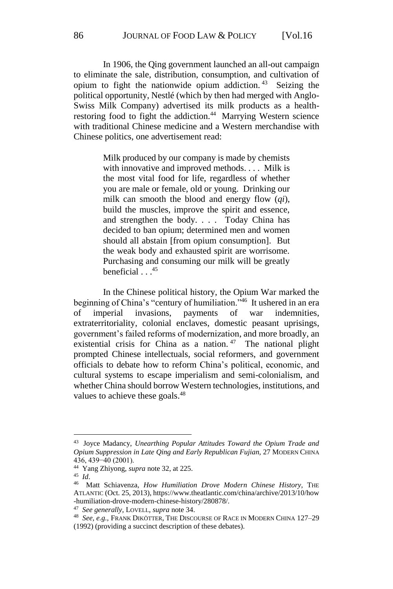In 1906, the Qing government launched an all-out campaign to eliminate the sale, distribution, consumption, and cultivation of opium to fight the nationwide opium addiction. <sup>43</sup> Seizing the political opportunity, Nestlé (which by then had merged with Anglo-Swiss Milk Company) advertised its milk products as a healthrestoring food to fight the addiction.<sup>44</sup> Marrying Western science with traditional Chinese medicine and a Western merchandise with Chinese politics, one advertisement read:

> Milk produced by our company is made by chemists with innovative and improved methods. . . . Milk is the most vital food for life, regardless of whether you are male or female, old or young. Drinking our milk can smooth the blood and energy flow (*qi*), build the muscles, improve the spirit and essence, and strengthen the body. . . . Today China has decided to ban opium; determined men and women should all abstain [from opium consumption]. But the weak body and exhausted spirit are worrisome. Purchasing and consuming our milk will be greatly beneficial . . . 45

In the Chinese political history, the Opium War marked the beginning of China's "century of humiliation."<sup>46</sup> It ushered in an era of imperial invasions, payments of war indemnities, extraterritoriality, colonial enclaves, domestic peasant uprisings, government's failed reforms of modernization, and more broadly, an existential crisis for China as a nation.  $47$  The national plight prompted Chinese intellectuals, social reformers, and government officials to debate how to reform China's political, economic, and cultural systems to escape imperialism and semi-colonialism, and whether China should borrow Western technologies, institutions, and values to achieve these goals.<sup>48</sup>

<sup>43</sup> Joyce Madancy, *Unearthing Popular Attitudes Toward the Opium Trade and Opium Suppression in Late Qing and Early Republican Fujian*, 27 MODERN CHINA 436, 439−40 (2001).

<sup>44</sup> Yang Zhiyong, *supra* note 32, at 225.

<sup>45</sup> *Id*.

<sup>46</sup> Matt Schiavenza, *How Humiliation Drove Modern Chinese History*, THE ATLANTIC (Oct. 25, 2013), https://www.theatlantic.com/china/archive/2013/10/how -humiliation-drove-modern-chinese-history/280878/.

<sup>47</sup> *See generally*, LOVELL, *supra* note 34.

<sup>48</sup> *See, e.g.,* FRANK DIKÖTTER, THE DISCOURSE OF RACE IN MODERN CHINA 127–29 (1992) (providing a succinct description of these debates).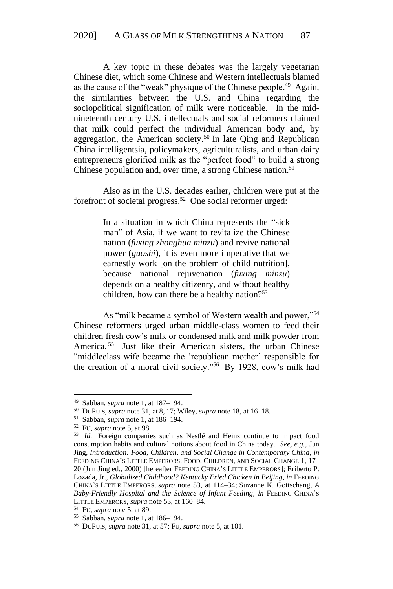A key topic in these debates was the largely vegetarian Chinese diet, which some Chinese and Western intellectuals blamed as the cause of the "weak" physique of the Chinese people. <sup>49</sup> Again, the similarities between the U.S. and China regarding the sociopolitical signification of milk were noticeable. In the midnineteenth century U.S. intellectuals and social reformers claimed that milk could perfect the individual American body and, by aggregation, the American society.<sup>50</sup> In late Qing and Republican China intelligentsia, policymakers, agriculturalists, and urban dairy entrepreneurs glorified milk as the "perfect food" to build a strong Chinese population and, over time, a strong Chinese nation. 51

Also as in the U.S. decades earlier, children were put at the forefront of societal progress.<sup>52</sup> One social reformer urged:

> In a situation in which China represents the "sick man" of Asia, if we want to revitalize the Chinese nation (*fuxing zhonghua minzu*) and revive national power (*guoshi*), it is even more imperative that we earnestly work [on the problem of child nutrition], because national rejuvenation (*fuxing minzu*) depends on a healthy citizenry, and without healthy children, how can there be a healthy nation? $53$

As "milk became a symbol of Western wealth and power,"<sup>54</sup> Chinese reformers urged urban middle-class women to feed their children fresh cow's milk or condensed milk and milk powder from America. <sup>55</sup> Just like their American sisters, the urban Chinese "middleclass wife became the 'republican mother' responsible for the creation of a moral civil society." <sup>56</sup> By 1928, cow's milk had

<sup>49</sup> Sabban, *supra* note 1, at 187–194.

<sup>50</sup> DUPUIS, *supra* note 31, at 8, 17; Wiley, *supra* note 18, at 16–18.

<sup>51</sup> Sabban, *supra* note 1, at 186–194.

<sup>52</sup> FU, *supra* note 5, at 98.

<sup>53</sup> *Id.* Foreign companies such as Nestlé and Heinz continue to impact food consumption habits and cultural notions about food in China today. *See, e.g.,* Jun Jing, *Introduction: Food, Children, and Social Change in Contemporary China*, *in* FEEDING CHINA'S LITTLE EMPERORS: FOOD, CHILDREN, AND SOCIAL CHANGE 1, 17– 20 (Jun Jing ed., 2000) [hereafter FEEDING CHINA'S LITTLE EMPERORS]; Eriberto P. Lozada, Jr., *Globalized Childhood? Kentucky Fried Chicken in Beijing*, *in* FEEDING CHINA'S LITTLE EMPERORS, *supra* note 53, at 114–34; Suzanne K. Gottschang, *A Baby-Friendly Hospital and the Science of Infant Feeding*, *in* FEEDING CHINA'S LITTLE EMPERORS, *supra* note 53, at 160–84.

<sup>54</sup> FU, *supra* note 5, at 89.

<sup>55</sup> Sabban, *supra* note 1, at 186–194.

<sup>56</sup> DUPUIS, *supra* note 31, at 57; FU, *supra* note 5, at 101.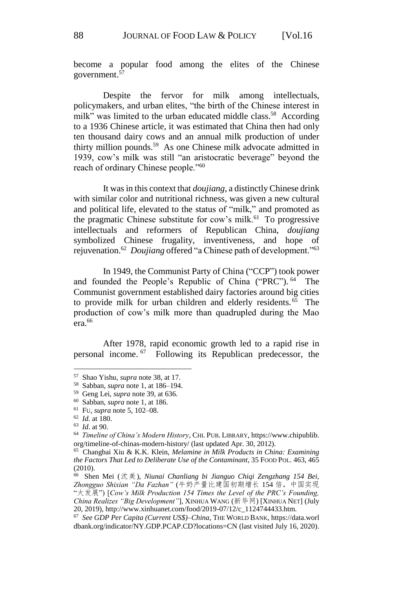become a popular food among the elites of the Chinese government.<sup>57</sup>

Despite the fervor for milk among intellectuals, policymakers, and urban elites, "the birth of the Chinese interest in milk" was limited to the urban educated middle class.<sup>58</sup> According to a 1936 Chinese article, it was estimated that China then had only ten thousand dairy cows and an annual milk production of under thirty million pounds.<sup>59</sup> As one Chinese milk advocate admitted in 1939, cow's milk was still "an aristocratic beverage" beyond the reach of ordinary Chinese people."<sup>60</sup>

It was in this context that *doujiang*, a distinctly Chinese drink with similar color and nutritional richness, was given a new cultural and political life, elevated to the status of "milk," and promoted as the pragmatic Chinese substitute for cow's milk.<sup>61</sup> To progressive intellectuals and reformers of Republican China, *doujiang* symbolized Chinese frugality, inventiveness, rejuvenation.<sup>62</sup> *Doujiang* offered "a Chinese path of development."<sup>63</sup>

In 1949, the Communist Party of China ("CCP") took power and founded the People's Republic of China ("PRC"). <sup>64</sup> The Communist government established dairy factories around big cities to provide milk for urban children and elderly residents. <sup>65</sup> The production of cow's milk more than quadrupled during the Mao era<sup>66</sup>

After 1978, rapid economic growth led to a rapid rise in personal income. <sup>67</sup> Following its Republican predecessor, the

<u>.</u>

<sup>57</sup> Shao Yishu, *supra* note 38, at 17.

<sup>58</sup> Sabban, *supra* note 1, at 186–194.

<sup>59</sup> Geng Lei, *supra* note 39, at 636.

<sup>60</sup> Sabban, *supra* note 1, at 186.

<sup>61</sup> FU, *supra* note 5, 102–08.

<sup>62</sup> *Id.* at 180.

<sup>63</sup> *Id*. at 90.

<sup>64</sup> *Timeline of China's Modern History*, CHI. PUB. LIBRARY, https://www.chipublib. org/timeline-of-chinas-modern-history/ (last updated Apr. 30, 2012).

<sup>65</sup> Changbai Xiu & K.K. Klein, *Melamine in Milk Products in China: Examining the Factors That Led to Deliberate Use of the Contaminant*, 35 FOOD POL. 463, 465 (2010).

<sup>66</sup> Shen Mei (沈美), *Niunai Chanliang bi Jianguo Chiqi Zengzhang 154 Bei, Zhongguo Shixian "Da Fazhan"* (牛奶产量比建国初期增长 154 倍,中国实现 "大发展") [*Cow's Milk Production 154 Times the Level of the PRC's Founding, China Realizes "Big Development"*], XINHUA WANG (新华网) [XINHUA NET] (July 20, 2019), http://www.xinhuanet.com/food/2019-07/12/c\_1124744433.htm.

<sup>67</sup> *See GDP Per Capita (Current US\$)–China*, THE WORLD BANK, https://data.worl dbank.org/indicator/NY.GDP.PCAP.CD?locations=CN (last visited July 16, 2020).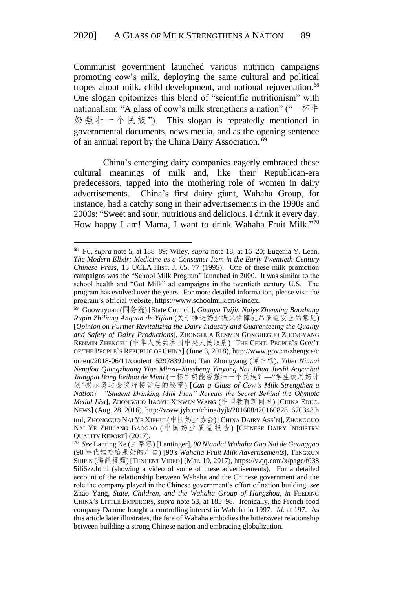Communist government launched various nutrition campaigns promoting cow's milk, deploying the same cultural and political tropes about milk, child development, and national rejuvenation. 68 One slogan epitomizes this blend of "scientific nutritionism" with nationalism: "A glass of cow's milk strengthens a nation" ("一杯牛 奶 强 壮 一 个 民 族 "). This slogan is repeatedly mentioned in governmental documents, news media, and as the opening sentence of an annual report by the China Dairy Association.<sup>69</sup>

China's emerging dairy companies eagerly embraced these cultural meanings of milk and, like their Republican-era predecessors, tapped into the mothering role of women in dairy advertisements. China's first dairy giant, Wahaha Group, for instance, had a catchy song in their advertisements in the 1990s and 2000s: "Sweet and sour, nutritious and delicious. I drink it every day. How happy I am! Mama, I want to drink Wahaha Fruit Milk."70

<sup>68</sup> FU, *supra* note 5, at 188–89; Wiley, *supra* note 18, at 16–20; Eugenia Y. Lean, *The Modern Elixir: Medicine as a Consumer Item in the Early Twentieth-Century Chinese Press*, 15 UCLA HIST. J. 65, 77 (1995). One of these milk promotion campaigns was the "School Milk Program" launched in 2000. It was similar to the school health and "Got Milk" ad campaigns in the twentieth century U.S. The program has evolved over the years. For more detailed information, please visit the program's official website, https://www.schoolmilk.cn/s/index.

<sup>69</sup> Guowuyuan (国务院) [State Council], *Guanyu Tuijin Naiye Zhenxing Baozhang Rupin Zhiliang Anquan de Yijian* (关于推进奶业振兴保障乳品质量安全的意见) [*Opinion on Further Revitalizing the Dairy Industry and Guaranteeing the Quality and Safety of Dairy Productions*], ZHONGHUA RENMIN GONGHEGUO ZHONGYANG RENMIN ZHENGFU (中华人民共和国中央人民政府) [THE CENT. PEOPLE'S GOV'T OF THE PEOPLE'S REPUBLIC OF CHINA] (June 3, 2018), http://www.gov.cn/zhengce/c ontent/2018-06/11/content\_5297839.htm; Tan Zhongyang (谭中杨), *Yibei Niunai Nengfou Qiangzhuang Yige Minzu–Xuesheng Yinyong Nai Jihua Jieshi Aoyunhui Jiangpai Bang Beihou de Mimi* (一杯牛奶能否强壮一个民族?—"学生饮用奶计 划"揭示奥运会奖牌榜背后的秘密) [*Can a Glass of Cow's Milk Strengthen a Nation?—"Student Drinking Milk Plan" Reveals the Secret Behind the Olympic Medal List*], ZHONGGUO JIAOYU XINWEN WANG (中国教育新闻网) [CHINA EDUC. NEWS] (Aug. 28, 2016), http://www.jyb.cn/china/tyjk/201608/t20160828\_670343.h tml; ZHONGGUO NAI YE XIEHUI (中国奶业协会) [CHINA DAIRY ASS'N], ZHONGGUO NAI YE ZHILIANG BAOGAO (中国奶业质量报告) [CHINESE DAIRY INDUSTRY

QUALITY REPORT] (2017). 70 *See* Lanting Ke (兰亭客) [Lantinger], *90 Niandai Wahaha Guo Nai de Guanggao* (90 年代娃哈哈果奶的广告) [*90's Wahaha Fruit Milk Advertisements*], TENGXUN SHIPIN (騰訊視頻) [TENCENT VIDEO] (Mar. 19, 2017), https://v.qq.com/x/page/f038 5ili6zz.html (showing a video of some of these advertisements). For a detailed account of the relationship between Wahaha and the Chinese government and the role the company played in the Chinese government's effort of nation building, *see* Zhao Yang, *State, Children, and the Wahaha Group of Hangzhou*, *in* FEEDING CHINA'S LITTLE EMPERORS, *supra* note 53, at 185–98. Ironically, the French food company Danone bought a controlling interest in Wahaha in 1997. *Id*. at 197. As this article later illustrates, the fate of Wahaha embodies the bittersweet relationship between building a strong Chinese nation and embracing globalization.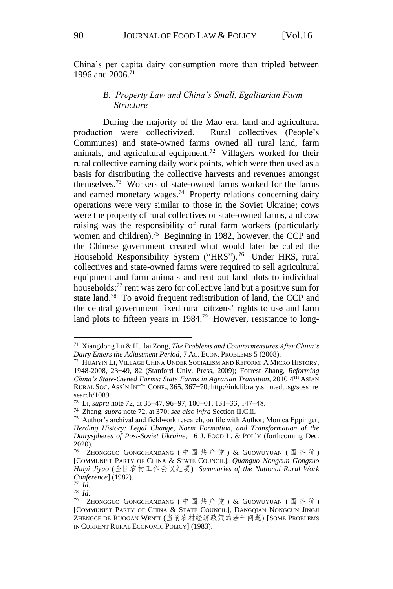China's per capita dairy consumption more than tripled between 1996 and 2006. 71

# *B. Property Law and China's Small, Egalitarian Farm Structure*

During the majority of the Mao era, land and agricultural production were collectivized. Rural collectives (People's Communes) and state-owned farms owned all rural land, farm animals, and agricultural equipment.<sup>72</sup> Villagers worked for their rural collective earning daily work points, which were then used as a basis for distributing the collective harvests and revenues amongst themselves.<sup>73</sup> Workers of state-owned farms worked for the farms and earned monetary wages. <sup>74</sup> Property relations concerning dairy operations were very similar to those in the Soviet Ukraine; cows were the property of rural collectives or state-owned farms, and cow raising was the responsibility of rural farm workers (particularly women and children).<sup>75</sup> Beginning in 1982, however, the CCP and the Chinese government created what would later be called the Household Responsibility System ("HRS").<sup>76</sup> Under HRS, rural collectives and state-owned farms were required to sell agricultural equipment and farm animals and rent out land plots to individual households; <sup>77</sup> rent was zero for collective land but a positive sum for state land. <sup>78</sup> To avoid frequent redistribution of land, the CCP and the central government fixed rural citizens' rights to use and farm land plots to fifteen years in 1984.<sup>79</sup> However, resistance to long-

<sup>71</sup> Xiangdong Lu & Huilai Zong, *The Problems and Countermeasures After China's Dairy Enters the Adjustment Period*, 7 AG. ECON. PROBLEMS 5 (2008).

<sup>72</sup> HUAIYIN LI, VILLAGE CHINA UNDER SOCIALISM AND REFORM: A MICRO HISTORY, 1948-2008, 23−49, 82 (Stanford Univ. Press, 2009); Forrest Zhang, *Reforming China's State-Owned Farms: State Farms in Agrarian Transition*, 2010 4 TH ASIAN RURAL SOC. ASS'N INT'L CONF., 365, 367−70, http://ink.library.smu.edu.sg/soss\_re search/1089.

<sup>73</sup> LI, *supra* note 72, at 35−47, 96−97, 100−01, 131−33, 147−48.

<sup>74</sup> Zhang, *supra* note 72, at 370; *see also infra* Section II.C.ii.

<sup>&</sup>lt;sup>75</sup> Author's archival and fieldwork research, on file with Author; Monica Eppinger, *Herding History: Legal Change, Norm Formation, and Transformation of the Dairyspheres of Post-Soviet Ukraine*, 16 J. FOOD L. & POL'Y (forthcoming Dec. 2020).

<sup>76</sup> ZHONGGUO GONGCHANDANG ( 中国共产党 ) & GUOWUYUAN ( 国务院 ) [COMMUNIST PARTY OF CHINA & STATE COUNCIL], *Quanguo Nongcun Gongzuo Huiyi Jiyao* (全国农村工作会议纪要) [*Summaries of the National Rural Work Conference*] (1982).

<sup>77</sup> *Id.*

<sup>78</sup> *Id.*

<sup>79</sup> ZHONGGUO GONGCHANDANG ( 中国共产党 ) & GUOWUYUAN ( 国务院 ) [COMMUNIST PARTY OF CHINA & STATE COUNCIL], DANGQIAN NONGCUN JINGJI ZHENGCE DE RUOGAN WENTI (当前农村经济政策的若干问题) [SOME PROBLEMS IN CURRENT RURAL ECONOMIC POLICY] (1983).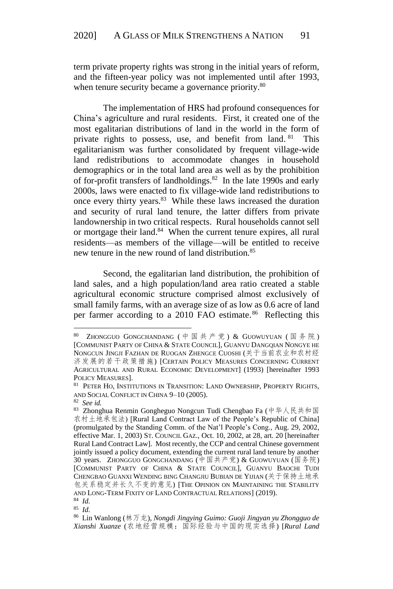term private property rights was strong in the initial years of reform, and the fifteen-year policy was not implemented until after 1993, when tenure security became a governance priority.<sup>80</sup>

The implementation of HRS had profound consequences for China's agriculture and rural residents. First, it created one of the most egalitarian distributions of land in the world in the form of private rights to possess, use, and benefit from land. <sup>81</sup> This egalitarianism was further consolidated by frequent village-wide land redistributions to accommodate changes in household demographics or in the total land area as well as by the prohibition of for-profit transfers of landholdings.<sup>82</sup> In the late 1990s and early 2000s, laws were enacted to fix village-wide land redistributions to once every thirty years.<sup>83</sup> While these laws increased the duration and security of rural land tenure, the latter differs from private landownership in two critical respects. Rural households cannot sell or mortgage their land.<sup>84</sup> When the current tenure expires, all rural residents—as members of the village—will be entitled to receive new tenure in the new round of land distribution.<sup>85</sup>

Second, the egalitarian land distribution, the prohibition of land sales, and a high population/land area ratio created a stable agricultural economic structure comprised almost exclusively of small family farms, with an average size of as low as 0.6 acre of land per farmer according to a 2010 FAO estimate.<sup>86</sup> Reflecting this

1

84 *Id.*

<sup>80</sup> ZHONGGUO GONGCHANDANG ( 中国共产党 ) & GUOWUYUAN ( 国务院 ) [COMMUNIST PARTY OF CHINA & STATE COUNCIL], GUANYU DANGQIAN NONGYE HE NONGCUN JINGJI FAZHAN DE RUOGAN ZHENGCE CUOSHI (关于当前农业和农村经 济发展的若干政策措施) [CERTAIN POLICY MEASURES CONCERNING CURRENT AGRICULTURAL AND RURAL ECONOMIC DEVELOPMENT] (1993) [hereinafter 1993 POLICY MEASURES].

<sup>81</sup> PETER HO, INSTITUTIONS IN TRANSITION: LAND OWNERSHIP, PROPERTY RIGHTS, AND SOCIAL CONFLICT IN CHINA 9–10 (2005).

<sup>82</sup> *See id.*

<sup>83</sup> Zhonghua Renmin Gongheguo Nongcun Tudi Chengbao Fa (中华人民共和国 农村土地承包法) [Rural Land Contract Law of the People's Republic of China] (promulgated by the Standing Comm. of the Nat'l People's Cong., Aug. 29, 2002, effective Mar. 1, 2003) ST. COUNCIL GAZ., Oct. 10, 2002, at 28, art. 20 [hereinafter Rural Land Contract Law]. Most recently, the CCP and central Chinese government jointly issued a policy document, extending the current rural land tenure by another 30 years. ZHONGGUO GONGCHANDANG (中国共产党) & GUOWUYUAN (国务院) [COMMUNIST PARTY OF CHINA & STATE COUNCIL], GUANYU BAOCHI TUDI CHENGBAO GUANXI WENDING BING CHANGJIU BUBIAN DE YIJIAN (关于保持土地承 包关系稳定并长久不变的意见) [THE OPINION ON MAINTAINING THE STABILITY AND LONG-TERM FIXITY OF LAND CONTRACTUAL RELATIONS] (2019).

<sup>85</sup> *Id.*

<sup>86</sup> Lin Wanlong (林万龙), *Nongdi Jingying Guimo: Guoji Jingyan yu Zhongguo de Xianshi Xuanze* (农地经营规模:国际经验与中国的现实选择) [*Rural Land*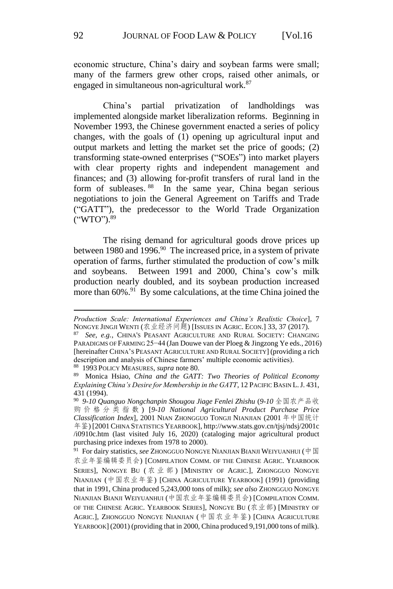economic structure, China's dairy and soybean farms were small; many of the farmers grew other crops, raised other animals, or engaged in simultaneous non-agricultural work.<sup>87</sup>

China's partial privatization of landholdings was implemented alongside market liberalization reforms. Beginning in November 1993, the Chinese government enacted a series of policy changes, with the goals of (1) opening up agricultural input and output markets and letting the market set the price of goods; (2) transforming state-owned enterprises ("SOEs") into market players with clear property rights and independent management and finances; and (3) allowing for-profit transfers of rural land in the form of subleases. <sup>88</sup> In the same year, China began serious negotiations to join the General Agreement on Tariffs and Trade ("GATT"), the predecessor to the World Trade Organization ("WTO"). 89

The rising demand for agricultural goods drove prices up between 1980 and 1996.<sup>90</sup> The increased price, in a system of private operation of farms, further stimulated the production of cow's milk and soybeans. Between 1991 and 2000, China's cow's milk production nearly doubled, and its soybean production increased more than 60%.<sup>91</sup> By some calculations, at the time China joined the

88 1993 POLICY MEASURES, *supra* note 80.

*Production Scale: International Experiences and China's Realistic Choice*], 7 NONGYE JINGJI WENTI (农业经济问题) [ISSUES IN AGRIC. ECON.] 33, 37 (2017).

<sup>87</sup> *See, e.g.*, CHINA'S PEASANT AGRICULTURE AND RURAL SOCIETY: CHANGING PARADIGMS OF FARMING 25−44 (Jan Douwe van der Ploeg & Jingzong Ye eds., 2016) [hereinafter CHINA'S PEASANT AGRICULTURE AND RURAL SOCIETY] (providing a rich description and analysis of Chinese farmers' multiple economic activities).

<sup>89</sup> Monica Hsiao, *China and the GATT: Two Theories of Political Economy Explaining China's Desire for Membership in the GATT*, 12 PACIFIC BASIN L.J. 431, 431 (1994).

<sup>90</sup> *9-10 Quanguo Nongchanpin Shougou Jiage Fenlei Zhishu* (*9-10* 全国农产品收 购 价 格 分 类 指 数 ) [*9-10 National Agricultural Product Purchase Price Classification Index*], 2001 NIAN ZHONGGUO TONGJI NIANJIAN (2001 年中国统计 年鉴) [2001 CHINA STATISTICS YEARBOOK], http://www.stats.gov.cn/tjsj/ndsj/2001c /i0910c.htm (last visited July 16, 2020) (cataloging major agricultural product purchasing price indexes from 1978 to 2000).

<sup>&</sup>lt;sup>91</sup> For dairy statistics, *see* Zhongguo Nongye Nianjian Bianji Weiyuanhui (中国 农业年鉴编辑委员会) [COMPILATION COMM. OF THE CHINESE AGRIC. YEARBOOK SERIES], NONGYE BU (农业部) [MINISTRY OF AGRIC.], ZHONGGUO NONGYE NIANJIAN (中国农业年鉴) [CHINA AGRICULTURE YEARBOOK] (1991) (providing that in 1991, China produced 5,243,000 tons of milk); *see also* ZHONGGUO NONGYE NIANJIAN BIANJI WEIYUANHUI (中国农业年鉴编辑委员会) [COMPILATION COMM. OF THE CHINESE AGRIC. YEARBOOK SERIES], NONGYE BU (农业部) [MINISTRY OF AGRIC.], ZHONGGUO NONGYE NIANJIAN (中国农业年鉴) [CHINA AGRICULTURE YEARBOOK] (2001) (providing that in 2000, China produced 9,191,000 tons of milk).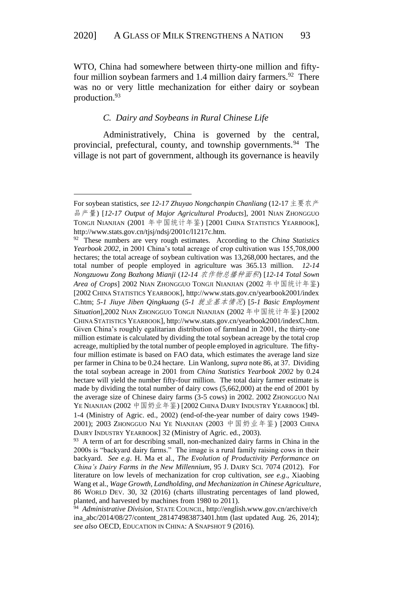WTO, China had somewhere between thirty-one million and fiftyfour million soybean farmers and 1.4 million dairy farmers.<sup>92</sup> There was no or very little mechanization for either dairy or soybean production.<sup>93</sup>

#### *C. Dairy and Soybeans in Rural Chinese Life*

<u>.</u>

Administratively, China is governed by the central, provincial, prefectural, county, and township governments.<sup>94</sup> The village is not part of government, although its governance is heavily

For soybean statistics, *see 12-17 Zhuyao Nongchanpin Chanliang* (12-17 主要农产 品产量) [*12-17 Output of Major Agricultural Products*], 2001 NIAN ZHONGGUO TONGJI NIANJIAN (2001 年中国统计年鉴) [2001 CHINA STATISTICS YEARBOOK], http://www.stats.gov.cn/tjsj/ndsj/2001c/l1217c.htm.

<sup>92</sup> These numbers are very rough estimates. According to the *China Statistics Yearbook 2002*, in 2001 China's total acreage of crop cultivation was 155,708,000 hectares; the total acreage of soybean cultivation was 13,268,000 hectares, and the total number of people employed in agriculture was 365.13 million. *12-14 Nongzuowu Zong Bozhong Mianji* (*12-14* 农作物总播种面积) [*12-14 Total Sown Area of Crops*] 2002 NIAN ZHONGGUO TONGJI NIANJIAN (2002 年中国统计年鉴) [2002 CHINA STATISTICS YEARBOOK], http://www.stats.gov.cn/yearbook2001/index C.htm; *5-1 Jiuye Jiben Qingkuang* (*5-1* 就业基本情况) [*5-1 Basic Employment Situation*],2002 NIAN ZHONGGUO TONGJI NIANJIAN (2002 年中国统计年鉴) [2002 CHINA STATISTICS YEARBOOK], http://www.stats.gov.cn/yearbook2001/indexC.htm. Given China's roughly egalitarian distribution of farmland in 2001, the thirty-one million estimate is calculated by dividing the total soybean acreage by the total crop acreage, multiplied by the total number of people employed in agriculture. The fiftyfour million estimate is based on FAO data, which estimates the average land size per farmer in China to be 0.24 hectare. Lin Wanlong, *supra* note 86, at 37. Dividing the total soybean acreage in 2001 from *China Statistics Yearbook 2002* by 0.24 hectare will yield the number fifty-four million. The total dairy farmer estimate is made by dividing the total number of dairy cows (5,662,000) at the end of 2001 by the average size of Chinese dairy farms (3-5 cows) in 2002. 2002 ZHONGGUO NAI YE NIANJIAN (2002 中国奶业年鉴) [2002 CHINA DAIRY INDUSTRY YEARBOOK] tbl. 1-4 (Ministry of Agric. ed., 2002) (end-of-the-year number of dairy cows 1949- 2001); 2003 ZHONGGUO NAI YE NIANJIAN (2003 中国奶业年鉴) [2003 CHINA DAIRY INDUSTRY YEARBOOK] 32 (Ministry of Agric. ed., 2003).

<sup>&</sup>lt;sup>93</sup> A term of art for describing small, non-mechanized dairy farms in China in the 2000s is "backyard dairy farms." The image is a rural family raising cows in their backyard. *See e.g*. H. Ma et al., *The Evolution of Productivity Performance on China's Dairy Farms in the New Millennium*, 95 J. DAIRY SCI. 7074 (2012). For literature on low levels of mechanization for crop cultivation, *see e.g*., Xiaobing Wang et al., *Wage Growth, Landholding, and Mechanization in Chinese Agriculture*, 86 WORLD DEV. 30, 32 (2016) (charts illustrating percentages of land plowed, planted, and harvested by machines from 1980 to 2011).

<sup>94</sup> *Administrative Division,* STATE COUNCIL, http://english.www.gov.cn/archive/ch ina\_abc/2014/08/27/content\_281474983873401.htm (last updated Aug. 26, 2014); *see also* OECD, EDUCATION IN CHINA: A SNAPSHOT 9 (2016).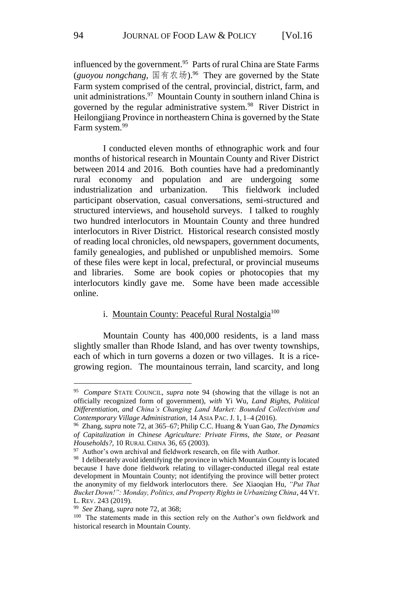influenced by the government.<sup>95</sup> Parts of rural China are State Farms (*guoyou nongchang*, 国有农场).<sup>96</sup> They are governed by the State Farm system comprised of the central, provincial, district, farm, and unit administrations.<sup>97</sup> Mountain County in southern inland China is governed by the regular administrative system.<sup>98</sup> River District in Heilongjiang Province in northeastern China is governed by the State Farm system.<sup>99</sup>

I conducted eleven months of ethnographic work and four months of historical research in Mountain County and River District between 2014 and 2016. Both counties have had a predominantly rural economy and population and are undergoing some industrialization and urbanization. This fieldwork included participant observation, casual conversations, semi-structured and structured interviews, and household surveys. I talked to roughly two hundred interlocutors in Mountain County and three hundred interlocutors in River District. Historical research consisted mostly of reading local chronicles, old newspapers, government documents, family genealogies, and published or unpublished memoirs. Some of these files were kept in local, prefectural, or provincial museums and libraries. Some are book copies or photocopies that my interlocutors kindly gave me. Some have been made accessible online.

# i. Mountain County: Peaceful Rural Nostalgia<sup>100</sup>

Mountain County has 400,000 residents, is a land mass slightly smaller than Rhode Island, and has over twenty townships, each of which in turn governs a dozen or two villages. It is a ricegrowing region. The mountainous terrain, land scarcity, and long

<sup>95</sup> *Compare* STATE COUNCIL, *supra* note 94 (showing that the village is not an officially recognized form of government), *with* Yi Wu, *Land Rights, Political Differentiation, and China's Changing Land Market: Bounded Collectivism and Contemporary Village Administration*, 14 ASIA PAC. J. 1, 1–4 (2016).

<sup>96</sup> Zhang, *supra* note 72, at 365–67; Philip C.C. Huang & Yuan Gao, *The Dynamics of Capitalization in Chinese Agriculture: Private Firms, the State, or Peasant Households?*, 10 RURAL CHINA 36, 65 (2003).

<sup>&</sup>lt;sup>97</sup> Author's own archival and fieldwork research, on file with Author.

<sup>&</sup>lt;sup>98</sup> I deliberately avoid identifying the province in which Mountain County is located because I have done fieldwork relating to villager-conducted illegal real estate development in Mountain County; not identifying the province will better protect the anonymity of my fieldwork interlocutors there. *See* Xiaoqian Hu, *"Put That Bucket Down!": Monday, Politics, and Property Rights in Urbanizing China*, 44 VT. L. REV. 243 (2019).

<sup>99</sup> *See* Zhang, *supra* note 72, at 368;

<sup>&</sup>lt;sup>100</sup> The statements made in this section rely on the Author's own fieldwork and historical research in Mountain County.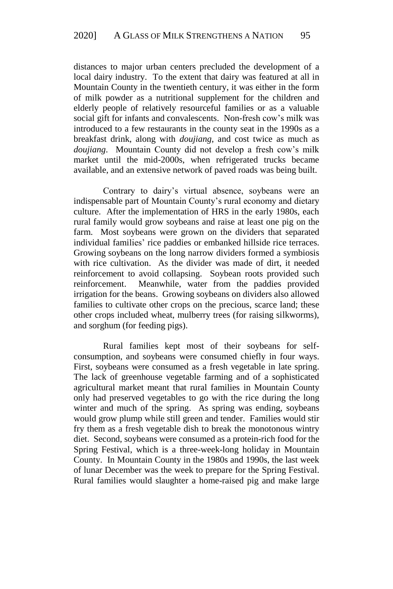distances to major urban centers precluded the development of a local dairy industry. To the extent that dairy was featured at all in Mountain County in the twentieth century, it was either in the form of milk powder as a nutritional supplement for the children and elderly people of relatively resourceful families or as a valuable social gift for infants and convalescents. Non-fresh cow's milk was introduced to a few restaurants in the county seat in the 1990s as a breakfast drink, along with *doujiang*, and cost twice as much as *doujiang*. Mountain County did not develop a fresh cow's milk market until the mid-2000s, when refrigerated trucks became available, and an extensive network of paved roads was being built.

Contrary to dairy's virtual absence, soybeans were an indispensable part of Mountain County's rural economy and dietary culture. After the implementation of HRS in the early 1980s, each rural family would grow soybeans and raise at least one pig on the farm. Most soybeans were grown on the dividers that separated individual families' rice paddies or embanked hillside rice terraces. Growing soybeans on the long narrow dividers formed a symbiosis with rice cultivation. As the divider was made of dirt, it needed reinforcement to avoid collapsing. Soybean roots provided such reinforcement. Meanwhile, water from the paddies provided irrigation for the beans. Growing soybeans on dividers also allowed families to cultivate other crops on the precious, scarce land; these other crops included wheat, mulberry trees (for raising silkworms), and sorghum (for feeding pigs).

Rural families kept most of their soybeans for selfconsumption, and soybeans were consumed chiefly in four ways. First, soybeans were consumed as a fresh vegetable in late spring. The lack of greenhouse vegetable farming and of a sophisticated agricultural market meant that rural families in Mountain County only had preserved vegetables to go with the rice during the long winter and much of the spring. As spring was ending, soybeans would grow plump while still green and tender. Families would stir fry them as a fresh vegetable dish to break the monotonous wintry diet. Second, soybeans were consumed as a protein-rich food for the Spring Festival, which is a three-week-long holiday in Mountain County. In Mountain County in the 1980s and 1990s, the last week of lunar December was the week to prepare for the Spring Festival. Rural families would slaughter a home-raised pig and make large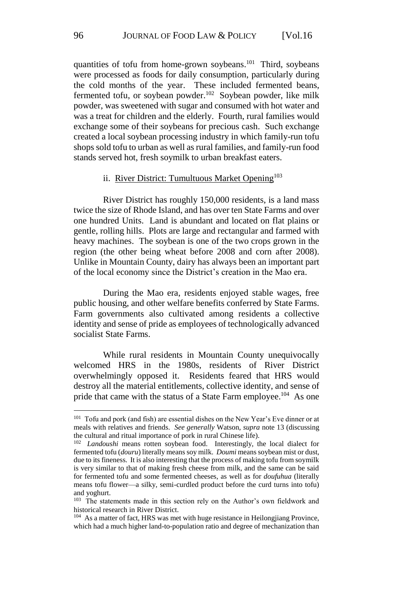quantities of tofu from home-grown soybeans.<sup>101</sup> Third, soybeans were processed as foods for daily consumption, particularly during the cold months of the year. These included fermented beans, fermented tofu, or soybean powder.<sup>102</sup> Soybean powder, like milk powder, was sweetened with sugar and consumed with hot water and was a treat for children and the elderly. Fourth, rural families would exchange some of their soybeans for precious cash. Such exchange created a local soybean processing industry in which family-run tofu shops sold tofu to urban as well as rural families, and family-run food stands served hot, fresh soymilk to urban breakfast eaters.

#### ii. River District: Tumultuous Market Opening<sup>103</sup>

River District has roughly 150,000 residents, is a land mass twice the size of Rhode Island, and has over ten State Farms and over one hundred Units. Land is abundant and located on flat plains or gentle, rolling hills. Plots are large and rectangular and farmed with heavy machines. The soybean is one of the two crops grown in the region (the other being wheat before 2008 and corn after 2008). Unlike in Mountain County, dairy has always been an important part of the local economy since the District's creation in the Mao era.

During the Mao era, residents enjoyed stable wages, free public housing, and other welfare benefits conferred by State Farms. Farm governments also cultivated among residents a collective identity and sense of pride as employees of technologically advanced socialist State Farms.

While rural residents in Mountain County unequivocally welcomed HRS in the 1980s, residents of River District overwhelmingly opposed it. Residents feared that HRS would destroy all the material entitlements, collective identity, and sense of pride that came with the status of a State Farm employee.<sup>104</sup> As one

<sup>&</sup>lt;sup>101</sup> Tofu and pork (and fish) are essential dishes on the New Year's Eve dinner or at meals with relatives and friends. *See generally* Watson, *supra* note 13 (discussing the cultural and ritual importance of pork in rural Chinese life).

<sup>102</sup> *Landoushi* means rotten soybean food. Interestingly, the local dialect for fermented tofu (*douru*) literally means soy milk. *Doumi* means soybean mist or dust, due to its fineness. It is also interesting that the process of making tofu from soymilk is very similar to that of making fresh cheese from milk, and the same can be said for fermented tofu and some fermented cheeses, as well as for *doufuhua* (literally means tofu flower—a silky, semi-curdled product before the curd turns into tofu) and yoghurt.

<sup>&</sup>lt;sup>103</sup> The statements made in this section rely on the Author's own fieldwork and historical research in River District.

<sup>&</sup>lt;sup>104</sup> As a matter of fact, HRS was met with huge resistance in Heilongjiang Province, which had a much higher land-to-population ratio and degree of mechanization than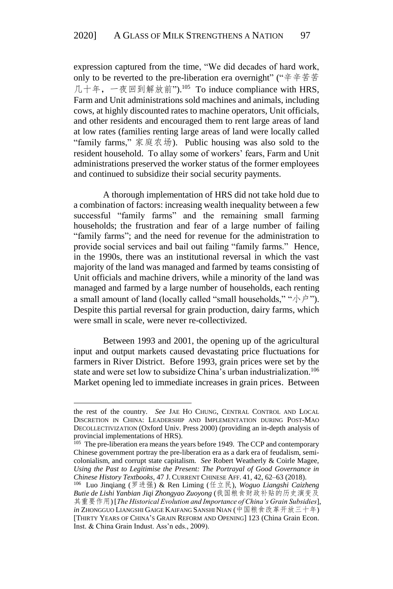expression captured from the time, "We did decades of hard work, only to be reverted to the pre-liberation era overnight" ("辛辛苦苦 几十年,一夜回到解放前").<sup>105</sup> To induce compliance with HRS, Farm and Unit administrations sold machines and animals, including cows, at highly discounted rates to machine operators, Unit officials, and other residents and encouraged them to rent large areas of land at low rates (families renting large areas of land were locally called "family farms," 家庭农场). Public housing was also sold to the resident household. To allay some of workers' fears, Farm and Unit administrations preserved the worker status of the former employees and continued to subsidize their social security payments.

A thorough implementation of HRS did not take hold due to a combination of factors: increasing wealth inequality between a few successful "family farms" and the remaining small farming households; the frustration and fear of a large number of failing "family farms"; and the need for revenue for the administration to provide social services and bail out failing "family farms." Hence, in the 1990s, there was an institutional reversal in which the vast majority of the land was managed and farmed by teams consisting of Unit officials and machine drivers, while a minority of the land was managed and farmed by a large number of households, each renting a small amount of land (locally called "small households," " $\psi$ "). Despite this partial reversal for grain production, dairy farms, which were small in scale, were never re-collectivized.

Between 1993 and 2001, the opening up of the agricultural input and output markets caused devastating price fluctuations for farmers in River District. Before 1993, grain prices were set by the state and were set low to subsidize China's urban industrialization.<sup>106</sup> Market opening led to immediate increases in grain prices. Between

the rest of the country. *See* JAE HO CHUNG, CENTRAL CONTROL AND LOCAL DISCRETION IN CHINA: LEADERSHIP AND IMPLEMENTATION DURING POST-MAO DECOLLECTIVIZATION (Oxford Univ. Press 2000) (providing an in-depth analysis of provincial implementations of HRS).<br><sup>105</sup> The pre-liberation era means the years before 1949. The CCP and contemporary

Chinese government portray the pre-liberation era as a dark era of feudalism, semicolonialism, and corrupt state capitalism. *See* Robert Weatherly & Coirle Magee, *Using the Past to Legitimise the Present: The Portrayal of Good Governance in Chinese History Textbooks*, 47 J. CURRENT CHINESE AFF. 41, 42, 62–63 (2018).

<sup>106</sup> Luo Jinqiang (罗进强) & Ren Liming (任立民), *Woguo Liangshi Caizheng Butie de Lishi Yanbian Jiqi Zhongyao Zuoyong* (我国粮食财政补贴的历史演变及 其重要作用) [*The Historical Evolution and Importance of China's Grain Subsidies*], in ZHONGGUO LIANGSHI GAIGE KAIFANG SANSHI NIAN (中国粮食改革开放三十年) [THIRTY YEARS OF CHINA'S GRAIN REFORM AND OPENING] 123 (China Grain Econ. Inst. & China Grain Indust. Ass'n eds., 2009).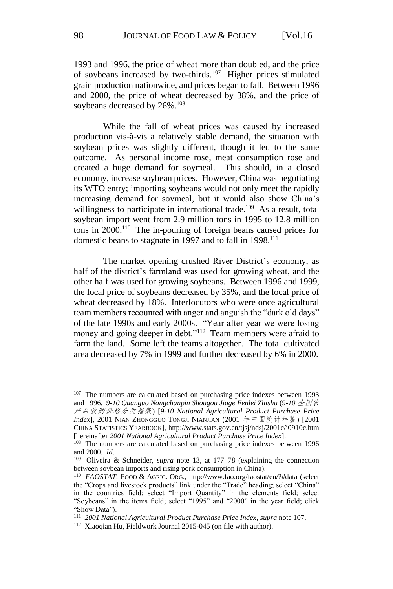1993 and 1996, the price of wheat more than doubled, and the price of soybeans increased by two-thirds.<sup>107</sup> Higher prices stimulated grain production nationwide, and prices began to fall. Between 1996 and 2000, the price of wheat decreased by 38%, and the price of soybeans decreased by 26%.<sup>108</sup>

While the fall of wheat prices was caused by increased production vis-à-vis a relatively stable demand, the situation with soybean prices was slightly different, though it led to the same outcome. As personal income rose, meat consumption rose and created a huge demand for soymeal. This should, in a closed economy, increase soybean prices. However, China was negotiating its WTO entry; importing soybeans would not only meet the rapidly increasing demand for soymeal, but it would also show China's willingness to participate in international trade.<sup>109</sup> As a result, total soybean import went from 2.9 million tons in 1995 to 12.8 million tons in 2000.<sup>110</sup> The in-pouring of foreign beans caused prices for domestic beans to stagnate in 1997 and to fall in 1998.<sup>111</sup>

The market opening crushed River District's economy, as half of the district's farmland was used for growing wheat, and the other half was used for growing soybeans. Between 1996 and 1999, the local price of soybeans decreased by 35%, and the local price of wheat decreased by 18%. Interlocutors who were once agricultural team members recounted with anger and anguish the "dark old days" of the late 1990s and early 2000s. "Year after year we were losing money and going deeper in debt."<sup>112</sup> Team members were afraid to farm the land. Some left the teams altogether. The total cultivated area decreased by 7% in 1999 and further decreased by 6% in 2000.

<sup>&</sup>lt;sup>107</sup> The numbers are calculated based on purchasing price indexes between 1993 and 1996. *9-10 Quanguo Nongchanpin Shougou Jiage Fenlei Zhishu* (*9-10* 全国农 产品收购价格分类指数) [*9-10 National Agricultural Product Purchase Price Index*], 2001 NIAN ZHONGGUO TONGJI NIANJIAN (2001 年中国统计年鉴) [2001 CHINA STATISTICS YEARBOOK], http://www.stats.gov.cn/tjsj/ndsj/2001c/i0910c.htm [hereinafter *2001 National Agricultural Product Purchase Price Index*].

<sup>&</sup>lt;sup>108</sup> The numbers are calculated based on purchasing price indexes between 1996 and 2000. *Id*.

<sup>109</sup> Oliveira & Schneider, *supra* note 13, at 177–78 (explaining the connection between soybean imports and rising pork consumption in China).

<sup>110</sup> *FAOSTAT*, FOOD & AGRIC. ORG., http://www.fao.org/faostat/en/?#data (select the "Crops and livestock products" link under the "Trade" heading; select "China" in the countries field; select "Import Quantity" in the elements field; select "Soybeans" in the items field; select "1995" and "2000" in the year field; click "Show Data").

<sup>111</sup> *2001 National Agricultural Product Purchase Price Index*, *supra* note 107.

<sup>112</sup> Xiaoqian Hu, Fieldwork Journal 2015-045 (on file with author).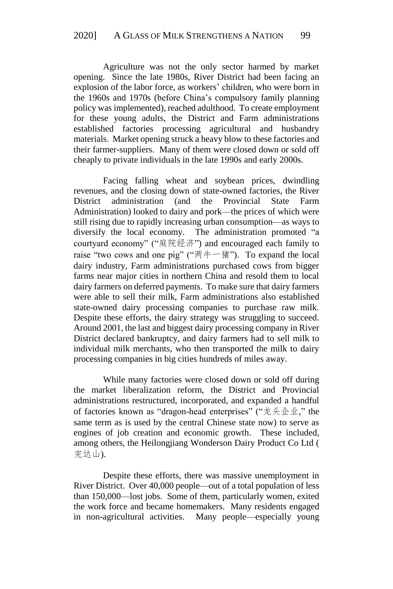Agriculture was not the only sector harmed by market opening. Since the late 1980s, River District had been facing an explosion of the labor force, as workers' children, who were born in the 1960s and 1970s (before China's compulsory family planning policy was implemented), reached adulthood. To create employment for these young adults, the District and Farm administrations established factories processing agricultural and husbandry materials. Market opening struck a heavy blow to these factories and their farmer-suppliers. Many of them were closed down or sold off cheaply to private individuals in the late 1990s and early 2000s.

Facing falling wheat and soybean prices, dwindling revenues, and the closing down of state-owned factories, the River District administration (and the Provincial State Farm Administration) looked to dairy and pork—the prices of which were still rising due to rapidly increasing urban consumption—as ways to diversify the local economy. The administration promoted "a courtyard economy" ("庭院经济") and encouraged each family to raise "two cows and one pig" ("两牛一猪"). To expand the local dairy industry, Farm administrations purchased cows from bigger farms near major cities in northern China and resold them to local dairy farmers on deferred payments. To make sure that dairy farmers were able to sell their milk, Farm administrations also established state-owned dairy processing companies to purchase raw milk. Despite these efforts, the dairy strategy was struggling to succeed. Around 2001, the last and biggest dairy processing company in River District declared bankruptcy, and dairy farmers had to sell milk to individual milk merchants, who then transported the milk to dairy processing companies in big cities hundreds of miles away.

While many factories were closed down or sold off during the market liberalization reform, the District and Provincial administrations restructured, incorporated, and expanded a handful of factories known as "dragon-head enterprises" ("龙头企业," the same term as is used by the central Chinese state now) to serve as engines of job creation and economic growth. These included, among others, the Heilongjiang Wonderson Dairy Product Co Ltd ( 完达山).

Despite these efforts, there was massive unemployment in River District. Over 40,000 people—out of a total population of less than 150,000—lost jobs. Some of them, particularly women, exited the work force and became homemakers. Many residents engaged in non-agricultural activities. Many people—especially young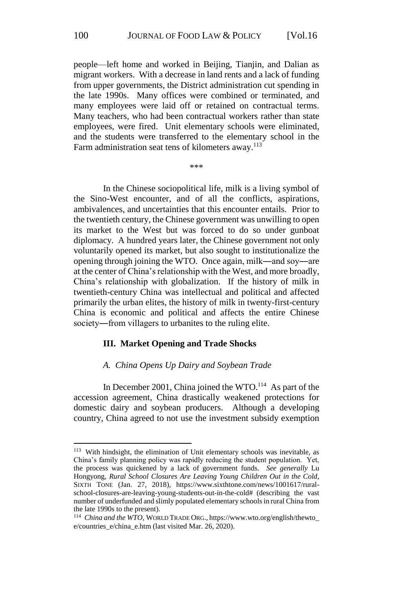people—left home and worked in Beijing, Tianjin, and Dalian as migrant workers. With a decrease in land rents and a lack of funding from upper governments, the District administration cut spending in the late 1990s. Many offices were combined or terminated, and many employees were laid off or retained on contractual terms. Many teachers, who had been contractual workers rather than state employees, were fired. Unit elementary schools were eliminated, and the students were transferred to the elementary school in the Farm administration seat tens of kilometers away.<sup>113</sup>

\*\*\*

In the Chinese sociopolitical life, milk is a living symbol of the Sino-West encounter, and of all the conflicts, aspirations, ambivalences, and uncertainties that this encounter entails. Prior to the twentieth century, the Chinese government was unwilling to open its market to the West but was forced to do so under gunboat diplomacy. A hundred years later, the Chinese government not only voluntarily opened its market, but also sought to institutionalize the opening through joining the WTO. Once again, milk―and soy―are at the center of China's relationship with the West, and more broadly, China's relationship with globalization. If the history of milk in twentieth-century China was intellectual and political and affected primarily the urban elites, the history of milk in twenty-first-century China is economic and political and affects the entire Chinese society—from villagers to urbanites to the ruling elite.

## **III. Market Opening and Trade Shocks**

#### *A. China Opens Up Dairy and Soybean Trade*

In December 2001, China joined the WTO.<sup>114</sup> As part of the accession agreement, China drastically weakened protections for domestic dairy and soybean producers. Although a developing country, China agreed to not use the investment subsidy exemption

<sup>113</sup> With hindsight, the elimination of Unit elementary schools was inevitable, as China's family planning policy was rapidly reducing the student population. Yet, the process was quickened by a lack of government funds. *See generally* Lu Hongyong, *Rural School Closures Are Leaving Young Children Out in the Cold*, SIXTH TONE (Jan. 27, 2018), https://www.sixthtone.com/news/1001617/ruralschool-closures-are-leaving-young-students-out-in-the-cold# (describing the vast number of underfunded and slimly populated elementary schools in rural China from the late 1990s to the present).

<sup>&</sup>lt;sup>114</sup> China and the WTO, WORLD TRADE ORG., https://www.wto.org/english/thewto\_ e/countries\_e/china\_e.htm (last visited Mar. 26, 2020).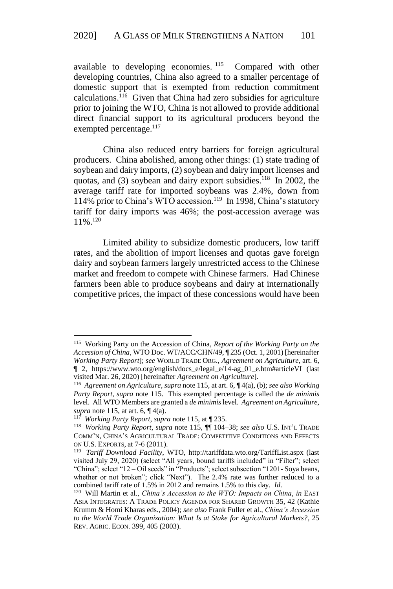available to developing economies. <sup>115</sup> Compared with other developing countries, China also agreed to a smaller percentage of domestic support that is exempted from reduction commitment calculations. <sup>116</sup> Given that China had zero subsidies for agriculture prior to joining the WTO, China is not allowed to provide additional direct financial support to its agricultural producers beyond the exempted percentage.<sup>117</sup>

China also reduced entry barriers for foreign agricultural producers. China abolished, among other things: (1) state trading of soybean and dairy imports, (2) soybean and dairy import licenses and quotas, and (3) soybean and dairy export subsidies.<sup>118</sup> In 2002, the average tariff rate for imported soybeans was 2.4%, down from 114% prior to China's WTO accession.<sup>119</sup> In 1998, China's statutory tariff for dairy imports was 46%; the post-accession average was 11%.<sup>120</sup>

Limited ability to subsidize domestic producers, low tariff rates, and the abolition of import licenses and quotas gave foreign dairy and soybean farmers largely unrestricted access to the Chinese market and freedom to compete with Chinese farmers. Had Chinese farmers been able to produce soybeans and dairy at internationally competitive prices, the impact of these concessions would have been

<sup>115</sup> Working Party on the Accession of China*, Report of the Working Party on the Accession of China*, WTO Doc. WT/ACC/CHN/49, ¶ 235 (Oct. 1, 2001) [hereinafter *Working Party Report*]; *see* WORLD TRADE ORG., *Agreement on Agriculture*, art. 6, ¶ 2, https://www.wto.org/english/docs\_e/legal\_e/14-ag\_01\_e.htm#articleVI (last visited Mar. 26, 2020) [hereinafter *Agreement on Agriculture*].

<sup>116</sup> *Agreement on Agriculture*, *supra* note 115, at art. 6, ¶ 4(a), (b); *see also Working Party Report*, *supra* note 115. This exempted percentage is called the *de minimis* level. All WTO Members are granted a *de minimis*level. *Agreement on Agriculture*, *supra* note 115, at art. 6,  $\P$ 4(a).

<sup>117</sup> *Working Party Report*, *supra* note 115, at ¶ 235.

<sup>118</sup> *Working Party Report*, *supra* note 115, ¶¶ 104–38; *see also* U.S. INT'L TRADE COMM'N, CHINA'S AGRICULTURAL TRADE: COMPETITIVE CONDITIONS AND EFFECTS ON U.S. EXPORTS, at 7-6 (2011).

<sup>119</sup> *Tariff Download Facility*, WTO, http://tariffdata.wto.org/TariffList.aspx (last visited July 29, 2020) (select "All years, bound tariffs included" in "Filter"; select "China"; select "12 – Oil seeds" in "Products"; select subsection "1201- Soya beans, whether or not broken"; click "Next"). The 2.4% rate was further reduced to a combined tariff rate of 1.5% in 2012 and remains 1.5% to this day. *Id*.

<sup>120</sup> Will Martin et al., *China's Accession to the WTO: Impacts on China*, *in* EAST ASIA INTEGRATES: A TRADE POLICY AGENDA FOR SHARED GROWTH 35, 42 (Kathie Krumm & Homi Kharas eds., 2004); *see also* Frank Fuller et al., *China's Accession to the World Trade Organization: What Is at Stake for Agricultural Markets?*, 25 REV. AGRIC. ECON. 399, 405 (2003).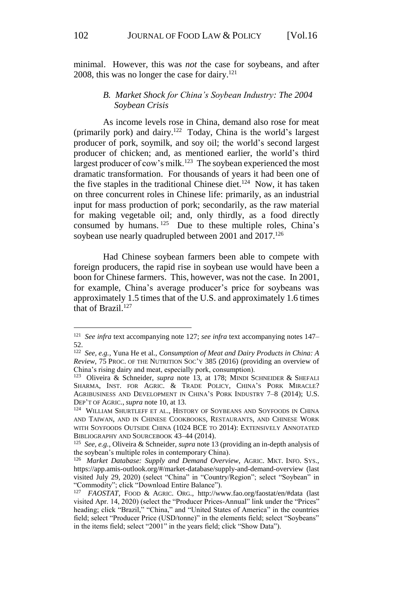minimal. However, this was *not* the case for soybeans, and after 2008, this was no longer the case for dairy. 121

# *B. Market Shock for China's Soybean Industry: The 2004 Soybean Crisis*

As income levels rose in China, demand also rose for meat (primarily pork) and dairy.<sup>122</sup> Today, China is the world's largest producer of pork, soymilk, and soy oil; the world's second largest producer of chicken; and, as mentioned earlier, the world's third largest producer of cow's milk.<sup>123</sup> The soybean experienced the most dramatic transformation. For thousands of years it had been one of the five staples in the traditional Chinese diet.<sup>124</sup> Now, it has taken on three concurrent roles in Chinese life: primarily, as an industrial input for mass production of pork; secondarily, as the raw material for making vegetable oil; and, only thirdly, as a food directly consumed by humans.  $125$  Due to these multiple roles, China's soybean use nearly quadrupled between 2001 and 2017.<sup>126</sup>

Had Chinese soybean farmers been able to compete with foreign producers, the rapid rise in soybean use would have been a boon for Chinese farmers. This, however, was not the case. In 2001, for example, China's average producer's price for soybeans was approximately 1.5 times that of the U.S. and approximately 1.6 times that of Brazil.<sup>127</sup>

<sup>121</sup> *See infra* text accompanying note 127; *see infra* text accompanying notes 147– 52.

<sup>122</sup> *See, e.g.*, Yuna He et al., *Consumption of Meat and Dairy Products in China: A Review*, 75 PROC. OF THE NUTRITION SOC'Y 385 (2016) (providing an overview of China's rising dairy and meat, especially pork, consumption).

<sup>&</sup>lt;sup>123</sup> Oliveira & Schneider, *supra* note 13, at 178; MINDI SCHNEIDER & SHEFALI SHARMA, INST. FOR AGRIC. & TRADE POLICY, CHINA'S PORK MIRACLE? AGRIBUSINESS AND DEVELOPMENT IN CHINA'S PORK INDUSTRY 7–8 (2014); U.S. DEP'T OF AGRIC., *supra* note 10, at 13.

<sup>&</sup>lt;sup>124</sup> WILLIAM SHURTLEFF ET AL., HISTORY OF SOYBEANS AND SOYFOODS IN CHINA AND TAIWAN, AND IN CHINESE COOKBOOKS, RESTAURANTS, AND CHINESE WORK WITH SOYFOODS OUTSIDE CHINA (1024 BCE TO 2014): EXTENSIVELY ANNOTATED BIBLIOGRAPHY AND SOURCEBOOK 43–44 (2014).

<sup>125</sup> *See, e.g.*, Oliveira & Schneider, *supra* note 13 (providing an in-depth analysis of the soybean's multiple roles in contemporary China).

<sup>&</sup>lt;sup>126</sup> Market Database: Supply and Demand Overview, AGRIC. MKT. INFO. SYS., https://app.amis-outlook.org/#/market-database/supply-and-demand-overview (last visited July 29, 2020) (select "China" in "Country/Region"; select "Soybean" in "Commodity"; click "Download Entire Balance").

<sup>127</sup> *FAOSTAT*, FOOD & AGRIC. ORG., http://www.fao.org/faostat/en/#data (last visited Apr. 14, 2020) (select the "Producer Prices-Annual" link under the "Prices" heading; click "Brazil," "China," and "United States of America" in the countries field; select "Producer Price (USD/tonne)" in the elements field; select "Soybeans" in the items field; select "2001" in the years field; click "Show Data").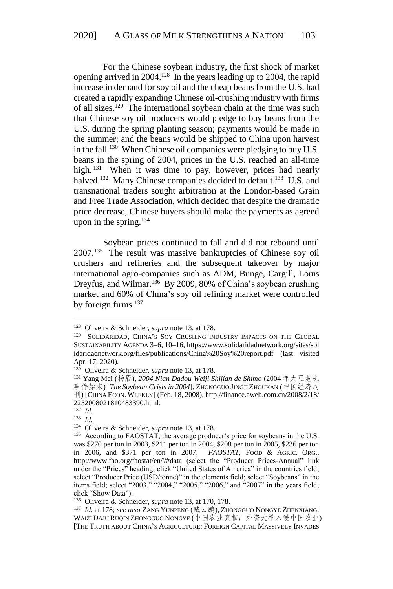For the Chinese soybean industry, the first shock of market opening arrived in 2004.<sup>128</sup> In the years leading up to 2004, the rapid increase in demand for soy oil and the cheap beans from the U.S. had created a rapidly expanding Chinese oil-crushing industry with firms of all sizes.<sup>129</sup> The international soybean chain at the time was such that Chinese soy oil producers would pledge to buy beans from the U.S. during the spring planting season; payments would be made in the summer; and the beans would be shipped to China upon harvest in the fall.<sup>130</sup> When Chinese oil companies were pledging to buy U.S. beans in the spring of 2004, prices in the U.S. reached an all-time high. <sup>131</sup> When it was time to pay, however, prices had nearly halved.<sup>132</sup> Many Chinese companies decided to default.<sup>133</sup> U.S. and transnational traders sought arbitration at the London-based Grain and Free Trade Association, which decided that despite the dramatic price decrease, Chinese buyers should make the payments as agreed upon in the spring. $134$ 

Soybean prices continued to fall and did not rebound until 2007.<sup>135</sup> The result was massive bankruptcies of Chinese soy oil crushers and refineries and the subsequent takeover by major international agro-companies such as ADM, Bunge, Cargill, Louis Dreyfus, and Wilmar.<sup>136</sup> By 2009, 80% of China's soybean crushing market and 60% of China's soy oil refining market were controlled by foreign firms. $137$ 

<u>.</u>

<sup>128</sup> Oliveira & Schneider, *supra* note 13, at 178.

<sup>&</sup>lt;sup>129</sup> SOLIDARIDAD, CHINA'S SOY CRUSHING INDUSTRY IMPACTS ON THE GLOBAL SUSTAINABILITY AGENDA 3–6, 10–16, https://www.solidaridadnetwork.org/sites/sol idaridadnetwork.org/files/publications/China%20Soy%20report.pdf (last visited Apr. 17, 2020).

<sup>130</sup> Oliveira & Schneider, *supra* note 13, at 178.

<sup>131</sup> Yang Mei (杨眉), *2004 Nian Dadou Weiji Shijian de Shimo* (2004 年大豆危机 事件始末) [*The Soybean Crisis in 2004*], ZHONGGUO JINGJI ZHOUKAN (中国经济周 刊) [CHINA ECON. WEEKLY] (Feb. 18, 2008), http://finance.aweb.com.cn/2008/2/18/ 2252008021810483390.html.

<sup>132</sup> *Id*.

<sup>133</sup> *Id.*

<sup>134</sup> Oliveira & Schneider, *supra* note 13, at 178.

<sup>&</sup>lt;sup>135</sup> According to FAOSTAT, the average producer's price for soybeans in the U.S. was \$270 per ton in 2003, \$211 per ton in 2004, \$208 per ton in 2005, \$236 per ton in 2006, and \$371 per ton in 2007. *FAOSTAT*, FOOD & AGRIC. ORG., http://www.fao.org/faostat/en/?#data (select the "Producer Prices-Annual" link under the "Prices" heading; click "United States of America" in the countries field; select "Producer Price (USD/tonne)" in the elements field; select "Soybeans" in the items field; select "2003," "2004," "2005," "2006," and "2007" in the years field; click "Show Data").

<sup>136</sup> Oliveira & Schneider, *supra* note 13, at 170, 178.

<sup>137</sup> *Id.* at 178; *see also* ZANG YUNPENG (臧云鹏), ZHONGGUO NONGYE ZHENXIANG: WAIZI DAJU RUQIN ZHONGGUO NONGYE (中国农业真相:外资大举入侵中国农业) [THE TRUTH ABOUT CHINA'S AGRICULTURE: FOREIGN CAPITAL MASSIVELY INVADES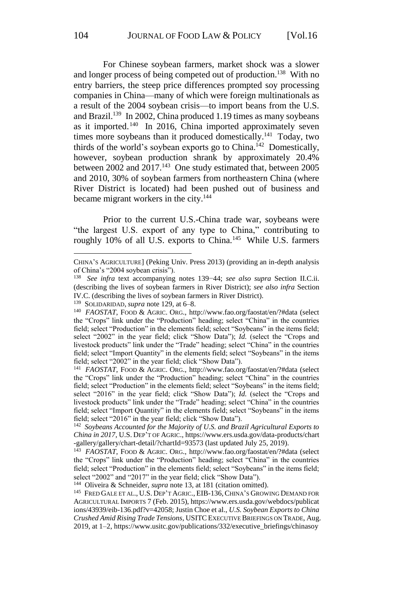For Chinese soybean farmers, market shock was a slower and longer process of being competed out of production. <sup>138</sup> With no entry barriers, the steep price differences prompted soy processing companies in China—many of which were foreign multinationals as a result of the 2004 soybean crisis—to import beans from the U.S. and Brazil.<sup>139</sup> In 2002, China produced 1.19 times as many soybeans as it imported. <sup>140</sup> In 2016, China imported approximately seven times more soybeans than it produced domestically.<sup>141</sup> Today, two thirds of the world's soybean exports go to China. <sup>142</sup> Domestically, however, soybean production shrank by approximately 20.4% between 2002 and 2017.<sup>143</sup> One study estimated that, between 2005 and 2010, 30% of soybean farmers from northeastern China (where River District is located) had been pushed out of business and became migrant workers in the city.<sup>144</sup>

Prior to the current U.S.-China trade war, soybeans were "the largest U.S. export of any type to China," contributing to roughly 10% of all U.S. exports to China.<sup>145</sup> While U.S. farmers

139 SOLIDARIDAD, *supra* note 129, at 6–8.

144 Oliveira & Schneider, *supra* note 13, at 181 (citation omitted).

CHINA'S AGRICULTURE] (Peking Univ. Press 2013) (providing an in-depth analysis of China's "2004 soybean crisis").

<sup>138</sup> *See infra* text accompanying notes 139−44; *see also supra* Section II.C.ii. (describing the lives of soybean farmers in River District); *see also infra* Section IV.C. (describing the lives of soybean farmers in River District).

<sup>&</sup>lt;sup>140</sup> FAOSTAT, FOOD & AGRIC. ORG., http://www.fao.org/faostat/en/?#data (select the "Crops" link under the "Production" heading; select "China" in the countries field; select "Production" in the elements field; select "Soybeans" in the items field; select "2002" in the year field; click "Show Data"); *Id.* (select the "Crops and livestock products" link under the "Trade" heading; select "China" in the countries field; select "Import Quantity" in the elements field; select "Soybeans" in the items field; select "2002" in the year field; click "Show Data").

<sup>&</sup>lt;sup>141</sup> *FAOSTAT*, FOOD & AGRIC. ORG., http://www.fao.org/faostat/en/?#data (select the "Crops" link under the "Production" heading; select "China" in the countries field; select "Production" in the elements field; select "Soybeans" in the items field; select "2016" in the year field; click "Show Data"); *Id.* (select the "Crops and livestock products" link under the "Trade" heading; select "China" in the countries field; select "Import Quantity" in the elements field; select "Soybeans" in the items field; select "2016" in the year field; click "Show Data").

<sup>&</sup>lt;sup>142</sup> Soybeans Accounted for the Majority of U.S. and Brazil Agricultural Exports to *China in 2017*, U.S. DEP'T OF AGRIC., https://www.ers.usda.gov/data-products/chart -gallery/gallery/chart-detail/?chartId=93573 (last updated July 25, 2019).

<sup>143</sup> *FAOSTAT*, FOOD & AGRIC. ORG., http://www.fao.org/faostat/en/?#data (select the "Crops" link under the "Production" heading; select "China" in the countries field; select "Production" in the elements field; select "Soybeans" in the items field; select "2002" and "2017" in the year field; click "Show Data").

<sup>145</sup> FRED GALE ET AL., U.S. DEP'T AGRIC., EIB-136,CHINA'S GROWING DEMAND FOR AGRICULTURAL IMPORTS 7 (Feb. 2015), https://www.ers.usda.gov/webdocs/publicat ions/43939/eib-136.pdf?v=42058; Justin Choe et al., *U.S. Soybean Exports to China Crushed Amid Rising Trade Tensions*, USITCEXECUTIVE BRIEFINGS ON TRADE, Aug. 2019, at 1–2, https://www.usitc.gov/publications/332/executive\_briefings/chinasoy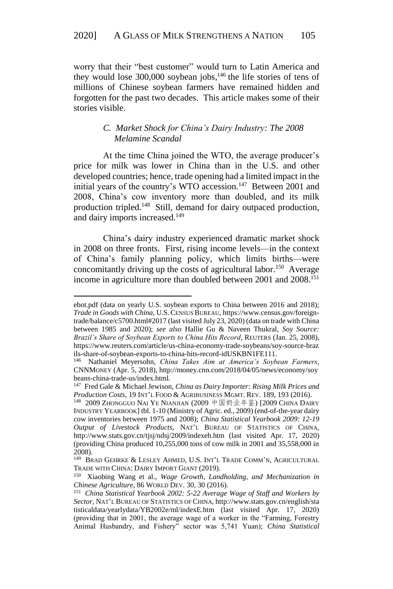worry that their "best customer" would turn to Latin America and they would lose  $300,000$  soybean jobs,<sup>146</sup> the life stories of tens of millions of Chinese soybean farmers have remained hidden and forgotten for the past two decades. This article makes some of their stories visible.

# *C. Market Shock for China's Dairy Industry: The 2008 Melamine Scandal*

At the time China joined the WTO, the average producer's price for milk was lower in China than in the U.S. and other developed countries; hence, trade opening had a limited impact in the initial years of the country's WTO accession.<sup>147</sup> Between 2001 and 2008, China's cow inventory more than doubled, and its milk production tripled.<sup>148</sup> Still, demand for dairy outpaced production, and dairy imports increased.<sup>149</sup>

China's dairy industry experienced dramatic market shock in 2008 on three fronts. First, rising income levels—in the context of China's family planning policy, which limits births—were concomitantly driving up the costs of agricultural labor.<sup>150</sup> Average income in agriculture more than doubled between 2001 and 2008. 151

ebot.pdf (data on yearly U.S. soybean exports to China between 2016 and 2018); *Trade in Goods with China*, U.S.CENSUS BUREAU, https://www.census.gov/foreigntrade/balance/c5700.html#2017 (last visited July 23, 2020) (data on trade with China between 1985 and 2020); *see also* Hallie Gu & Naveen Thukral, *Soy Source: Brazil's Share of Soybean Exports to China Hits Record*, REUTERS (Jan. 25, 2008), https://www.reuters.com/article/us-china-economy-trade-soybeans/soy-source-braz ils-share-of-soybean-exports-to-china-hits-record-idUSKBN1FE111.

<sup>146</sup> Nathaniel Meyersohn, *China Takes Aim at America's Soybean Farmers*, CNNMONEY (Apr. 5, 2018), http://money.cnn.com/2018/04/05/news/economy/soy beans-china-trade-us/index.html.

<sup>147</sup> Fred Gale & Michael Jewison, *China as Dairy Importer: Rising Milk Prices and Production Costs*, 19 INT'L FOOD & AGRIBUSINESS MGMT. REV. 189, 193 (2016).

<sup>&</sup>lt;sup>148</sup> 2009 Zhongguo Nai Ye Nianjian (2009 中国奶业年鉴) [2009 China Dairy INDUSTRY YEARBOOK] tbl. 1-10 (Ministry of Agric. ed., 2009) (end-of-the-year dairy cow inventories between 1975 and 2008); *China Statistical Yearbook 2009: 12-19 Output of Livestock Products*, NAT'L BUREAU OF STATISTICS OF CHINA, http://www.stats.gov.cn/tjsj/ndsj/2009/indexeh.htm (last visited Apr. 17, 2020) (providing China produced 10,255,000 tons of cow milk in 2001 and 35,558,000 in 2008).

<sup>149</sup> BRAD GEHRKE & LESLEY AHMED, U.S. INT'L TRADE COMM'N, AGRICULTURAL TRADE WITH CHINA: DAIRY IMPORT GIANT (2019).

<sup>150</sup> Xiaobing Wang et al., *Wage Growth, Landholding, and Mechanization in Chinese Agriculture*, 86 WORLD DEV. 30, 30 (2016).

<sup>151</sup> *China Statistical Yearbook 2002: 5-22 Average Wage of Staff and Workers by Sector*, NAT'L BUREAU OF STATISTICS OF CHINA, http://www.stats.gov.cn/english/sta tisticaldata/yearlydata/YB2002e/ml/indexE.htm (last visited Apr. 17, 2020) (providing that in 2001, the average wage of a worker in the "Farming, Forestry Animal Husbandry, and Fishery" sector was 5,741 Yuan); *China Statistical*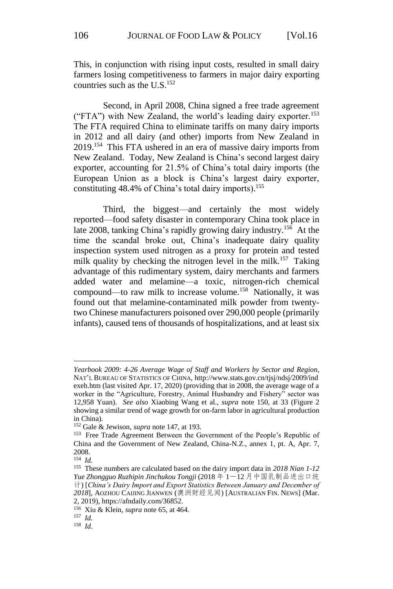This, in conjunction with rising input costs, resulted in small dairy farmers losing competitiveness to farmers in major dairy exporting countries such as the U.S. 152

Second, in April 2008, China signed a free trade agreement ("FTA") with New Zealand, the world's leading dairy exporter.<sup>153</sup> The FTA required China to eliminate tariffs on many dairy imports in 2012 and all dairy (and other) imports from New Zealand in 2019.<sup>154</sup> This FTA ushered in an era of massive dairy imports from New Zealand. Today, New Zealand is China's second largest dairy exporter, accounting for 21.5% of China's total dairy imports (the European Union as a block is China's largest dairy exporter, constituting 48.4% of China's total dairy imports). 155

Third, the biggest—and certainly the most widely reported—food safety disaster in contemporary China took place in late 2008, tanking China's rapidly growing dairy industry.<sup>156</sup> At the time the scandal broke out, China's inadequate dairy quality inspection system used nitrogen as a proxy for protein and tested milk quality by checking the nitrogen level in the milk.<sup>157</sup> Taking advantage of this rudimentary system, dairy merchants and farmers added water and melamine—a toxic, nitrogen-rich chemical compound—to raw milk to increase volume.<sup>158</sup> Nationally, it was found out that melamine-contaminated milk powder from twentytwo Chinese manufacturers poisoned over 290,000 people (primarily infants), caused tens of thousands of hospitalizations, and at least six

*Yearbook 2009: 4-26 Average Wage of Staff and Workers by Sector and Region*, NAT'L BUREAU OF STATISTICS OF CHINA, http://www.stats.gov.cn/tjsj/ndsj/2009/ind exeh.htm (last visited Apr. 17, 2020) (providing that in 2008, the average wage of a worker in the "Agriculture, Forestry, Animal Husbandry and Fishery" sector was 12,958 Yuan). *See also* Xiaobing Wang et al., *supra* note 150, at 33 (Figure 2 showing a similar trend of wage growth for on-farm labor in agricultural production in China).

<sup>152</sup> Gale & Jewison, *supra* note 147, at 193.

<sup>&</sup>lt;sup>153</sup> Free Trade Agreement Between the Government of the People's Republic of China and the Government of New Zealand, China-N.Z., annex 1, pt. A, Apr. 7, 2008.

<sup>154</sup> *Id.*

<sup>155</sup> These numbers are calculated based on the dairy import data in *2018 Nian 1-12 Yue Zhongguo Ruzhipin Jinchukou Tongji* (2018 年 1-12 月中国乳制品进出口统 计) [*China's Dairy Import and Export Statistics Between January and December of 2018*], AOZHOU CAIJING JIANWEN (澳洲财经见闻) [AUSTRALIAN FIN. NEWS] (Mar. 2, 2019), https://afndaily.com/36852.

<sup>156</sup> Xiu & Klein, *supra* note 65, at 464.

<sup>157</sup> *Id.*

<sup>158</sup> *Id*.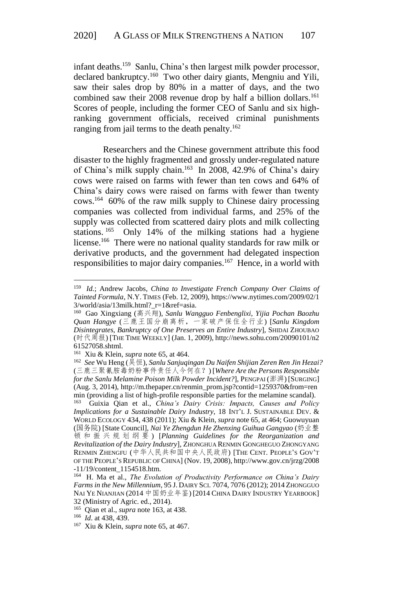infant deaths. <sup>159</sup> Sanlu, China's then largest milk powder processor, declared bankruptcy.<sup>160</sup> Two other dairy giants, Mengniu and Yili, saw their sales drop by 80% in a matter of days, and the two combined saw their 2008 revenue drop by half a billion dollars.<sup>161</sup> Scores of people, including the former CEO of Sanlu and six highranking government officials, received criminal punishments ranging from jail terms to the death penalty.<sup>162</sup>

Researchers and the Chinese government attribute this food disaster to the highly fragmented and grossly under-regulated nature of China's milk supply chain.<sup>163</sup> In 2008, 42.9% of China's dairy cows were raised on farms with fewer than ten cows and 64% of China's dairy cows were raised on farms with fewer than twenty cows. <sup>164</sup> 60% of the raw milk supply to Chinese dairy processing companies was collected from individual farms, and 25% of the supply was collected from scattered dairy plots and milk collecting stations.<sup>165</sup> Only 14% of the milking stations had a hygiene license.<sup>166</sup> There were no national quality standards for raw milk or derivative products, and the government had delegated inspection responsibilities to major dairy companies.<sup>167</sup> Hence, in a world with

<sup>159</sup> *Id.*; Andrew Jacobs, *China to Investigate French Company Over Claims of Tainted Formula*, N.Y. TIMES (Feb. 12, 2009), https://www.nytimes.com/2009/02/1 3/world/asia/13milk.html?\_r=1&ref=asia.

<sup>160</sup> Gao Xingxiang (高兴翔), *Sanlu Wangguo Fenbenglixi, Yijia Pochan Baozhu Quan Hangye* (三鹿王国分崩离析,一家破产保住全行业) [*Sanlu Kingdom Disintegrates, Bankruptcy of One Preserves an Entire Industry*], SHIDAI ZHOUBAO (时代周报) [THE TIME WEEKLY] (Jan. 1, 2009), http://news.sohu.com/20090101/n2 61527058.shtml.

<sup>161</sup> Xiu & Klein, *supra* note 65, at 464.

<sup>162</sup> *See* Wu Heng (吴恒), *Sanlu Sanjuqingan Du Naifen Shijian Zeren Ren Jin Hezai?* (三鹿三聚氰胺毒奶粉事件责任人今何在?) [*Where Are the Persons Responsible for the Sanlu Melamine Poison Milk Powder Incident?*], PENGPAI (澎湃) [SURGING] (Aug. 3, 2014), http://m.thepaper.cn/renmin\_prom.jsp?contid=1259370&from=ren min (providing a list of high-profile responsible parties for the melamine scandal).

<sup>163</sup> Guixia Qian et al., *China's Dairy Crisis: Impacts, Causes and Policy Implications for a Sustainable Dairy Industry*, 18 INT'L J. SUSTAINABLE DEV. & WORLD ECOLOGY 434, 438 (2011); Xiu & Klein, *supra* note 65, at 464; Guowuyuan (国务院) [State Council], *Nai Ye Zhengdun He Zhenxing Guihua Gangyao* (奶业整 顿和振兴规划纲要 ) [*Planning Guidelines for the Reorganization and Revitalization of the Dairy Industry*], ZHONGHUA RENMIN GONGHEGUO ZHONGYANG RENMIN ZHENGFU (中华人民共和国中央人民政府) [THE CENT. PEOPLE'S GOV'T OF THE PEOPLE'S REPUBLIC OF CHINA] (Nov. 19, 2008), http://www.gov.cn/jrzg/2008 -11/19/content\_1154518.htm.

<sup>164</sup> H. Ma et al., *The Evolution of Productivity Performance on China's Dairy Farms in the New Millennium*, 95 J. DAIRY SCI. 7074, 7076 (2012); 2014 ZHONGGUO NAI YE NIANJIAN (2014 中国奶业年鉴) [2014 CHINA DAIRY INDUSTRY YEARBOOK] 32 (Ministry of Agric. ed., 2014).

<sup>165</sup> Qian et al., *supra* note 163, at 438.

<sup>166</sup> *Id*. at 438, 439.

<sup>167</sup> Xiu & Klein, *supra* note 65, at 467.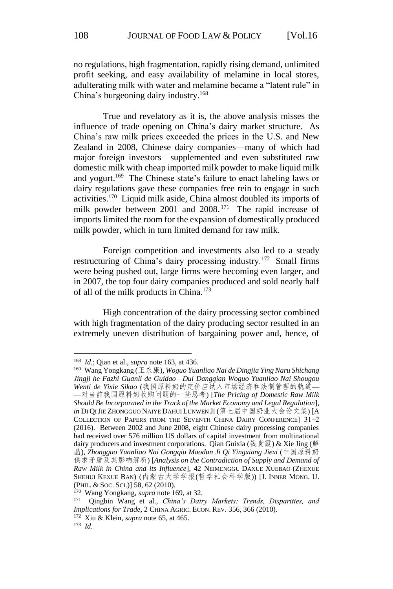no regulations, high fragmentation, rapidly rising demand, unlimited profit seeking, and easy availability of melamine in local stores, adulterating milk with water and melamine became a "latent rule" in China's burgeoning dairy industry. 168

True and revelatory as it is, the above analysis misses the influence of trade opening on China's dairy market structure. As China's raw milk prices exceeded the prices in the U.S. and New Zealand in 2008, Chinese dairy companies—many of which had major foreign investors—supplemented and even substituted raw domestic milk with cheap imported milk powder to make liquid milk and yogurt. <sup>169</sup> The Chinese state's failure to enact labeling laws or dairy regulations gave these companies free rein to engage in such activities.<sup>170</sup> Liquid milk aside, China almost doubled its imports of milk powder between 2001 and 2008.<sup>171</sup> The rapid increase of imports limited the room for the expansion of domestically produced milk powder, which in turn limited demand for raw milk.

Foreign competition and investments also led to a steady restructuring of China's dairy processing industry.<sup>172</sup> Small firms were being pushed out, large firms were becoming even larger, and in 2007, the top four dairy companies produced and sold nearly half of all of the milk products in China.<sup>173</sup>

High concentration of the dairy processing sector combined with high fragmentation of the dairy producing sector resulted in an extremely uneven distribution of bargaining power and, hence, of

<sup>168</sup> *Id*.; Qian et al., *supra* note 163, at 436.

<sup>169</sup> Wang Yongkang (王永康), *Woguo Yuanliao Nai de Dingjia Ying Naru Shichang Jingji he Fazhi Guanli de Guidao—Dui Dangqian Woguo Yuanliao Nai Shougou Wenti de Yixie Sikao* (我国原料奶的定价应纳入市场经济和法制管理的轨道— —对当前我国原料奶收购问题的一些思考) [*The Pricing of Domestic Raw Milk Should Be Incorporated in the Track of the Market Economy and Legal Regulation*], in DI QI JIE ZHONGGUO NAIYE DAHUI LUNWEN JI (第七届中国奶业大会论文集) [A COLLECTION OF PAPERS FROM THE SEVENTH CHINA DAIRY CONFERENCE] 31−2 (2016). Between 2002 and June 2008, eight Chinese dairy processing companies had received over 576 million US dollars of capital investment from multinational dairy producers and investment corporations. Qian Guixia (钱贵霞) & Xie Jing (解 晶), *Zhongguo Yuanliao Nai Gongqiu Maodun Ji Qi Yingxiang Jiexi* (中国原料奶 供求矛盾及其影响解析) [*Analysis on the Contradiction of Supply and Demand of Raw Milk in China and its Influence*], 42 NEIMENGGU DAXUE XUEBAO (ZHEXUE SHEHUI KEXUE BAN) (内蒙古大学学报(哲学社会科学版)) [J. INNER MONG. U. (PHIL. & SOC. SCI.)] 58, 62 (2010).

<sup>170</sup> Wang Yongkang, *supra* note 169, at 32.

<sup>171</sup> Qingbin Wang et al., *China's Dairy Markets: Trends, Disparities, and Implications for Trade*, 2 CHINA AGRIC. ECON. REV. 356, 366 (2010).

<sup>172</sup> Xiu & Klein, *supra* note 65, at 465.

<sup>173</sup> *Id*.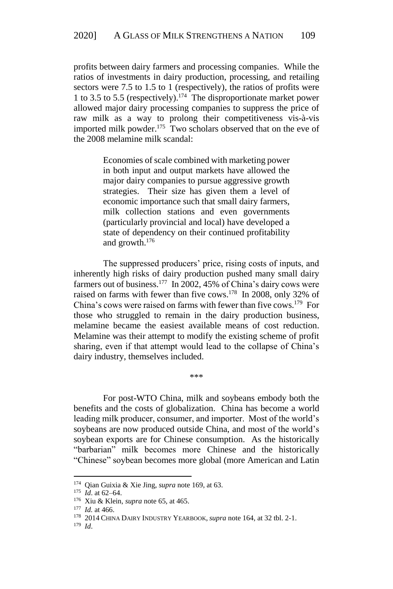profits between dairy farmers and processing companies. While the ratios of investments in dairy production, processing, and retailing sectors were 7.5 to 1.5 to 1 (respectively), the ratios of profits were 1 to 3.5 to 5.5 (respectively). <sup>174</sup> The disproportionate market power allowed major dairy processing companies to suppress the price of raw milk as a way to prolong their competitiveness vis-à-vis imported milk powder.<sup>175</sup> Two scholars observed that on the eve of the 2008 melamine milk scandal:

> Economies of scale combined with marketing power in both input and output markets have allowed the major dairy companies to pursue aggressive growth strategies. Their size has given them a level of economic importance such that small dairy farmers, milk collection stations and even governments (particularly provincial and local) have developed a state of dependency on their continued profitability and growth.<sup>176</sup>

The suppressed producers' price, rising costs of inputs, and inherently high risks of dairy production pushed many small dairy farmers out of business.<sup>177</sup> In 2002, 45% of China's dairy cows were raised on farms with fewer than five cows.<sup>178</sup> In 2008, only 32% of China's cows were raised on farms with fewer than five cows. <sup>179</sup> For those who struggled to remain in the dairy production business, melamine became the easiest available means of cost reduction. Melamine was their attempt to modify the existing scheme of profit sharing, even if that attempt would lead to the collapse of China's dairy industry, themselves included.

For post-WTO China, milk and soybeans embody both the benefits and the costs of globalization. China has become a world leading milk producer, consumer, and importer. Most of the world's soybeans are now produced outside China, and most of the world's soybean exports are for Chinese consumption. As the historically "barbarian" milk becomes more Chinese and the historically "Chinese" soybean becomes more global (more American and Latin

\*\*\*

<sup>174</sup> Qian Guixia & Xie Jing, *supra* note 169, at 63.

<sup>175</sup> *Id*. at 62–64.

<sup>176</sup> Xiu & Klein, *supra* note 65, at 465.

<sup>177</sup> *Id.* at 466.

<sup>178</sup> 2014 CHINA DAIRY INDUSTRY YEARBOOK, *supra* note 164, at 32 tbl. 2-1.

<sup>179</sup> *Id*.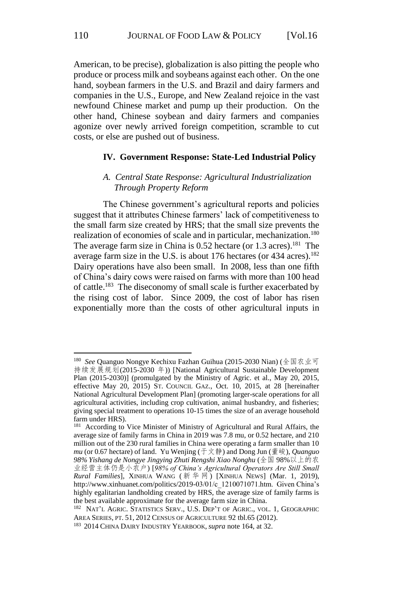American, to be precise), globalization is also pitting the people who produce or process milk and soybeans against each other. On the one hand, soybean farmers in the U.S. and Brazil and dairy farmers and companies in the U.S., Europe, and New Zealand rejoice in the vast newfound Chinese market and pump up their production. On the other hand, Chinese soybean and dairy farmers and companies agonize over newly arrived foreign competition, scramble to cut costs, or else are pushed out of business.

#### **IV. Government Response: State-Led Industrial Policy**

## *A. Central State Response: Agricultural Industrialization Through Property Reform*

The Chinese government's agricultural reports and policies suggest that it attributes Chinese farmers' lack of competitiveness to the small farm size created by HRS; that the small size prevents the realization of economies of scale and in particular, mechanization.<sup>180</sup> The average farm size in China is 0.52 hectare (or 1.3 acres).<sup>181</sup> The average farm size in the U.S. is about 176 hectares (or 434 acres).<sup>182</sup> Dairy operations have also been small. In 2008, less than one fifth of China's dairy cows were raised on farms with more than 100 head of cattle. <sup>183</sup> The diseconomy of small scale is further exacerbated by the rising cost of labor. Since 2009, the cost of labor has risen exponentially more than the costs of other agricultural inputs in

<sup>180</sup> *See* Quanguo Nongye Kechixu Fazhan Guihua (2015-2030 Nian) (全国农业可 持续发展规划(2015-2030 年)) [National Agricultural Sustainable Development Plan (2015-2030)] (promulgated by the Ministry of Agric. et al., May 20, 2015, effective May 20, 2015) ST. COUNCIL GAZ., Oct. 10, 2015, at 28 [hereinafter National Agricultural Development Plan] (promoting larger-scale operations for all agricultural activities, including crop cultivation, animal husbandry, and fisheries; giving special treatment to operations 10-15 times the size of an average household farm under HRS).

<sup>&</sup>lt;sup>181</sup> According to Vice Minister of Ministry of Agricultural and Rural Affairs, the average size of family farms in China in 2019 was 7.8 mu, or 0.52 hectare, and 210 million out of the 230 rural families in China were operating a farm smaller than 10 *mu* (or 0.67 hectare) of land. Yu Wenjing (于文静) and Dong Jun (董峻), *Quanguo 98% Yishang de Nongye Jingying Zhuti Rengshi Xiao Nonghu* (全国 98%以上的农 业经营主体仍是小农户) [*98% of China's Agricultural Operators Are Still Small Rural Families*], XINHUA WANG ( 新华网 ) [XINHUA NEWS] (Mar. 1, 2019), http://www.xinhuanet.com/politics/2019-03/01/c\_1210071071.htm. Given China's highly egalitarian landholding created by HRS, the average size of family farms is the best available approximate for the average farm size in China.

<sup>&</sup>lt;sup>182</sup> NAT'L AGRIC. STATISTICS SERV., U.S. DEP'T OF AGRIC., VOL. 1, GEOGRAPHIC AREA SERIES, PT. 51, 2012 CENSUS OF AGRICULTURE 92 tbl.65 (2012).

<sup>183</sup> 2014 CHINA DAIRY INDUSTRY YEARBOOK, *supra* note 164, at 32.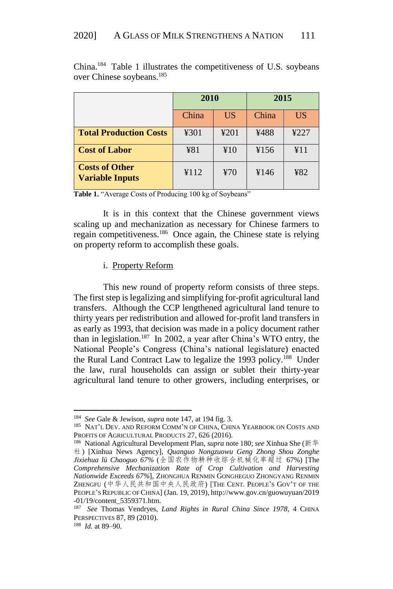|                                                 | 2010  |           | 2015  |           |
|-------------------------------------------------|-------|-----------|-------|-----------|
|                                                 | China | <b>US</b> | China | <b>US</b> |
| <b>Total Production Costs</b>                   | ¥301  | 4201      | ¥488  | 4227      |
| <b>Cost of Labor</b>                            | ¥81   | ¥10       | ¥156  | ¥11       |
| <b>Costs of Other</b><br><b>Variable Inputs</b> | ¥112  | ¥70       | ¥146  | ¥82       |

China. <sup>184</sup> Table 1 illustrates the competitiveness of U.S. soybeans over Chinese soybeans.<sup>185</sup>

Table 1. "Average Costs of Producing 100 kg of Soybeans"

It is in this context that the Chinese government views scaling up and mechanization as necessary for Chinese farmers to regain competitiveness.<sup>186</sup> Once again, the Chinese state is relying on property reform to accomplish these goals.

## i. Property Reform

This new round of property reform consists of three steps. The first step is legalizing and simplifying for-profit agricultural land transfers. Although the CCP lengthened agricultural land tenure to thirty years per redistribution and allowed for-profit land transfers in as early as 1993, that decision was made in a policy document rather than in legislation.<sup>187</sup> In 2002, a year after China's WTO entry, the National People's Congress (China's national legislature) enacted the Rural Land Contract Law to legalize the 1993 policy.<sup>188</sup> Under the law, rural households can assign or sublet their thirty-year agricultural land tenure to other growers, including enterprises, or

<sup>184</sup> *See* Gale & Jewison, *supra* note 147, at 194 fig. 3.

<sup>&</sup>lt;sup>185</sup> NAT'L DEV. AND REFORM COMM'N OF CHINA, CHINA YEARBOOK ON COSTS AND PROFITS OF AGRICULTURAL PRODUCTS 27, 626 (2016).

<sup>186</sup> National Agricultural Development Plan, *supra* note 180; *see* Xinhua She (新华 社) [Xinhua News Agency], *Quanguo Nongzuowu Geng Zhong Shou Zonghe Jixiehua lü Chaoguo 67%* (全国农作物耕种收综合机械化率超过 67%) [The *Comprehensive Mechanization Rate of Crop Cultivation and Harvesting Nationwide Exceeds 67%*], ZHONGHUA RENMIN GONGHEGUO ZHONGYANG RENMIN ZHENGFU (中华人民共和国中央人民政府) [THE CENT. PEOPLE'S GOV'T OF THE PEOPLE'S REPUBLIC OF CHINA] (Jan. 19, 2019), http://www.gov.cn/guowuyuan/2019 -01/19/content\_5359371.htm.

<sup>&</sup>lt;sup>187</sup> See Thomas Vendryes, Land Rights in Rural China Since 1978, 4 CHINA PERSPECTIVES 87, 89 (2010).

<sup>188</sup> *Id.* at 89–90.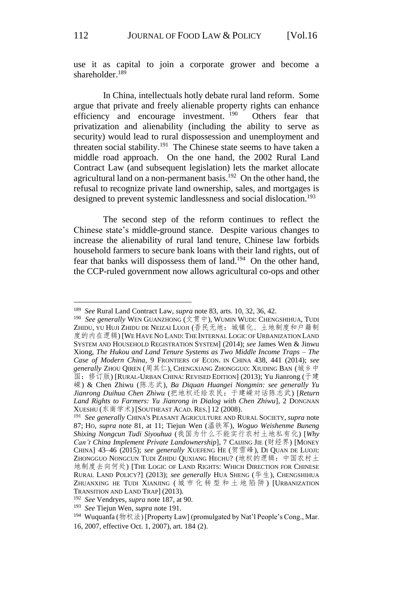use it as capital to join a corporate grower and become a shareholder. $189$ 

In China, intellectuals hotly debate rural land reform. Some argue that private and freely alienable property rights can enhance efficiency and encourage investment. <sup>190</sup> Others fear that privatization and alienability (including the ability to serve as security) would lead to rural dispossession and unemployment and threaten social stability.<sup>191</sup> The Chinese state seems to have taken a middle road approach. On the one hand, the 2002 Rural Land Contract Law (and subsequent legislation) lets the market allocate agricultural land on a non-permanent basis.<sup>192</sup> On the other hand, the refusal to recognize private land ownership, sales, and mortgages is designed to prevent systemic landlessness and social dislocation.<sup>193</sup>

The second step of the reform continues to reflect the Chinese state's middle-ground stance. Despite various changes to increase the alienability of rural land tenure, Chinese law forbids household farmers to secure bank loans with their land rights, out of fear that banks will dispossess them of land.<sup>194</sup> On the other hand, the CCP-ruled government now allows agricultural co-ops and other

<u>.</u>

<sup>189</sup> *See* Rural Land Contract Law, *supra* note 83, arts. 10, 32, 36, 42.

<sup>&</sup>lt;sup>190</sup> See generally WEN GUANZHONG (文贯中), WUMIN WUDI: CHENGSHIHUA, TUDI ZHIDU, YU HUJI ZHIDU DE NEIZAI LUOJI (吾民无地: 城镇化、土地制度和户籍制 度的内在逻辑) [WE HAVE NO LAND: THE INTERNAL LOGIC OF URBANIZATION LAND SYSTEM AND HOUSEHOLD REGISTRATION SYSTEM] (2014); *see* James Wen & Jinwu Xiong, *The Hukou and Land Tenure Systems as Two Middle Income Traps – The Case of Modern China*, 9 FRONTIERS OF ECON. IN CHINA 438, 441 (2014); *see generally* ZHOU QIREN (周其仁), CHENGXIANG ZHONGGUO: XIUDING BAN (城乡中 国:修订版) [RURAL-URBAN CHINA: REVISED EDITION] (2013); Yu Jianrong (于建 嵘) & Chen Zhiwu (陈志武), *Ba Diquan Huangei Nongmin: see generally Yu Jianrong Duihua Chen Zhiwu* (把地权还给农民:于建嵘对话陈志武) [*Return Land Rights to Farmers: Yu Jianrong in Dialog with Chen Zhiwu*], 2 DONGNAN XUESHU (东南学术) [SOUTHEAST ACAD. RES.] 12 (2008).

<sup>191</sup> *See generally* CHINA'S PEASANT AGRICULTURE AND RURAL SOCIETY, *supra* note 87; HO, *supra* note 81, at 11; Tiejun Wen (温铁军), *Woguo Weishenme Buneng Shixing Nongcun Tudi Siyouhua* (我国为什么不能实行农村土地私有化) [*Why Can't China Implement Private Landownership*], 7 CAIJING JIE (财经界) [MONEY CHINA] 43–46 (2015); *see generally* XUEFENG HE (贺雪峰), DI QUAN DE LUOJI: ZHONGGUO NONGCUN TUDI ZHIDU QUXIANG HECHU? (地权的逻辑:中国农村土 地制度去向何处) [THE LOGIC OF LAND RIGHTS: WHICH DIRECTION FOR CHINESE RURAL LAND POLICY?] (2013); *see generally* HUA SHENG (华生), CHENGSHIHUA ZHUANXING HE TUDI XIANJING ( 城 市 化 转 型 和 土 地 陷 阱 ) [URBANIZATION TRANSITION AND LAND TRAP] (2013)*.*

<sup>192</sup> *See* Vendryes, *supra* note 187, at 90.

<sup>193</sup> *See* Tiejun Wen, *supra* note 191.

<sup>&</sup>lt;sup>194</sup> Wuquanfa (物权法) [Property Law] (promulgated by Nat'l People's Cong., Mar.

<sup>16, 2007,</sup> effective Oct. 1, 2007), art. 184 (2).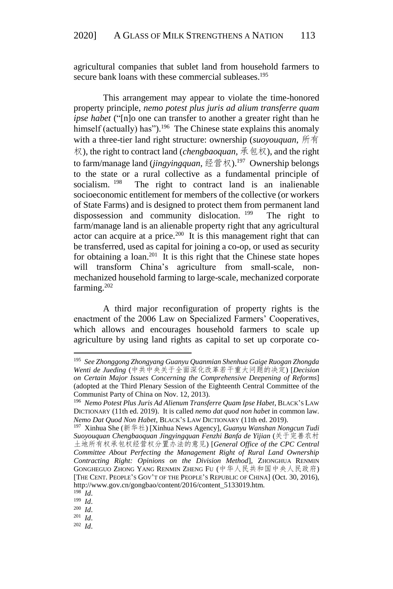agricultural companies that sublet land from household farmers to secure bank loans with these commercial subleases.<sup>195</sup>

This arrangement may appear to violate the time-honored property principle, *nemo potest plus juris ad alium transferre quam ipse habet* ("[n]o one can transfer to another a greater right than he himself (actually) has").<sup>196</sup> The Chinese state explains this anomaly with a three-tier land right structure: ownership (*suoyouquan*, 所有 权), the right to contract land (*chengbaoquan*, 承包权), and the right to farm/manage land (*jingyingquan*, 经营权).<sup>197</sup> Ownership belongs to the state or a rural collective as a fundamental principle of socialism. <sup>198</sup> The right to contract land is an inalienable socioeconomic entitlement for members of the collective (or workers of State Farms) and is designed to protect them from permanent land dispossession and community dislocation. <sup>199</sup> The right to farm/manage land is an alienable property right that any agricultural actor can acquire at a price.<sup>200</sup> It is this management right that can be transferred, used as capital for joining a co-op, or used as security for obtaining a loan.<sup>201</sup> It is this right that the Chinese state hopes will transform China's agriculture from small-scale, nonmechanized household farming to large-scale, mechanized corporate farming. $202$ 

A third major reconfiguration of property rights is the enactment of the 2006 Law on Specialized Farmers' Cooperatives, which allows and encourages household farmers to scale up agriculture by using land rights as capital to set up corporate co-

1

199 *Id*.

200 *Id*.

<sup>195</sup> *See Zhonggong Zhongyang Guanyu Quanmian Shenhua Gaige Ruogan Zhongda Wenti de Jueding* (中共中央关于全面深化改革若干重大问题的决定) [*Decision on Certain Major Issues Concerning the Comprehensive Deepening of Reforms*] (adopted at the Third Plenary Session of the Eighteenth Central Committee of the Communist Party of China on Nov. 12, 2013).

<sup>&</sup>lt;sup>196</sup> Nemo Potest Plus Juris Ad Alienum Transferre Quam Ipse Habet, BLACK'S LAW DICTIONARY (11th ed. 2019). It is called *nemo dat quod non habet* in common law. *Nemo Dat Quod Non Habet*, BLACK'S LAW DICTIONARY (11th ed. 2019).

<sup>197</sup> Xinhua She (新华社) [Xinhua News Agency], *Guanyu Wanshan Nongcun Tudi Suoyouquan Chengbaoquan Jingyingquan Fenzhi Banfa de Yijian* (关于完善农村 土地所有权承包权经营权分置办法的意见) [*General Office of the CPC Central Committee About Perfecting the Management Right of Rural Land Ownership Contracting Right: Opinions on the Division Method*], ZHONGHUA RENMIN GONGHEGUO ZHONG YANG RENMIN ZHENG FU (中华人民共和国中央人民政府) [THE CENT. PEOPLE'S GOV'T OF THE PEOPLE'S REPUBLIC OF CHINA] (Oct. 30, 2016), http://www.gov.cn/gongbao/content/2016/content\_5133019.htm.

<sup>198</sup> *Id*.

<sup>201</sup> *Id*.

<sup>202</sup> *Id*.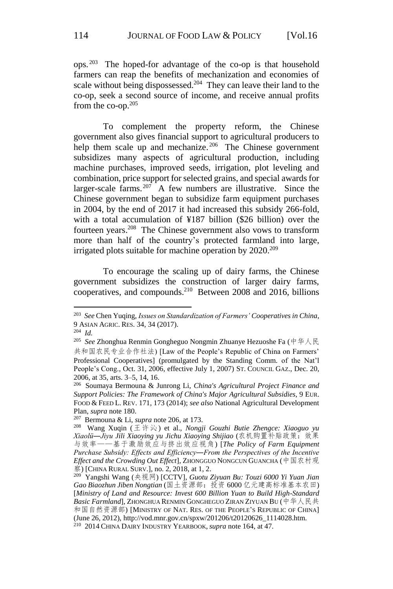ops. <sup>203</sup> The hoped-for advantage of the co-op is that household farmers can reap the benefits of mechanization and economies of scale without being dispossessed.<sup>204</sup> They can leave their land to the co-op, seek a second source of income, and receive annual profits from the co-op.<sup>205</sup>

To complement the property reform, the Chinese government also gives financial support to agricultural producers to help them scale up and mechanize.<sup>206</sup> The Chinese government subsidizes many aspects of agricultural production, including machine purchases, improved seeds, irrigation, plot leveling and combination, price support for selected grains, and special awards for larger-scale farms.<sup>207</sup> A few numbers are illustrative. Since the Chinese government began to subsidize farm equipment purchases in 2004, by the end of 2017 it had increased this subsidy 266-fold, with a total accumulation of ¥187 billion (\$26 billion) over the fourteen years. <sup>208</sup> The Chinese government also vows to transform more than half of the country's protected farmland into large, irrigated plots suitable for machine operation by 2020.<sup>209</sup>

To encourage the scaling up of dairy farms, the Chinese government subsidizes the construction of larger dairy farms, cooperatives, and compounds.<sup>210</sup> Between 2008 and 2016, billions

<sup>203</sup> *See* Chen Yuqing, *Issues on Standardization of Farmers' Cooperatives in China*, 9 ASIAN AGRIC. RES. 34, 34 (2017).

<sup>204</sup> *Id.*

<sup>205</sup> *See* Zhonghua Renmin Gongheguo Nongmin Zhuanye Hezuoshe Fa (中华人民 共和国农民专业合作社法) [Law of the People's Republic of China on Farmers' Professional Cooperatives] (promulgated by the Standing Comm. of the Nat'l People's Cong., Oct. 31, 2006, effective July 1, 2007) ST. COUNCIL GAZ., Dec. 20, 2006, at 35, arts. 3–5, 14, 16.

<sup>206</sup> Soumaya Bermouna & Junrong Li, *China's Agricultural Project Finance and Support Policies: The Framework of China's Major Agricultural Subsidies*, 9 EUR. FOOD & FEED L. REV. 171, 173 (2014); *see also* National Agricultural Development Plan, *supra* note 180.

<sup>207</sup> Bermouna & Li, *supra* note 206, at 173.

<sup>208</sup> Wang Xuqin (王许沁) et al., *Nongji Gouzhi Butie Zhengce: Xiaoguo yu Xiaolü―Jiyu Jili Xiaoying yu Jichu Xiaoying Shijiao* (农机购置补贴政策:效果 与效率——基于激励效应与挤出效应视角) [*The Policy of Farm Equipment Purchase Subsidy: Effects and Efficiency―From the Perspectives of the Incentive Effect and the Crowding Out Effect*], ZHONGGUO NONGCUN GUANCHA (中国农村观 察) [CHINA RURAL SURV.], no. 2, 2018, at 1, 2.

<sup>209</sup> Yangshi Wang (央视网) [CCTV], *Guotu Ziyuan Bu: Touzi 6000 Yi Yuan Jian Gao Biaozhun Jiben Nongtian* (国土资源部:投资 6000 亿元建高标准基本农田) [*Ministry of Land and Resource: Invest 600 Billion Yuan to Build High-Standard Basic Farmland*], ZHONGHUA RENMIN GONGHEGUO ZIRAN ZIYUAN BU (中华人民共 和国自然资源部) [MINISTRY OF NAT. RES. OF THE PEOPLE'S REPUBLIC OF CHINA] (June 26, 2012), http://vod.mnr.gov.cn/spxw/201206/t20120626\_1114028.htm. 210 2014 CHINA DAIRY INDUSTRY YEARBOOK, *supra* note 164, at 47.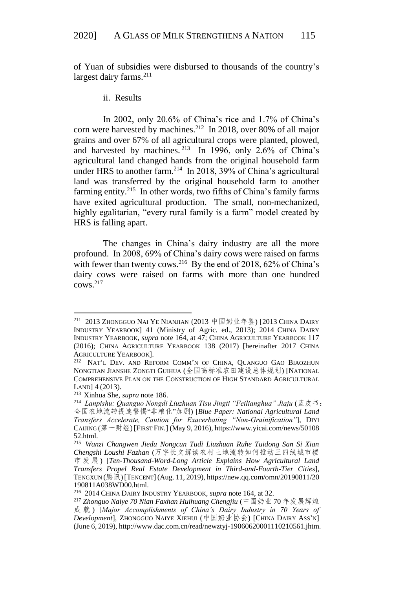of Yuan of subsidies were disbursed to thousands of the country's largest dairy farms. $211$ 

#### ii. Results

In 2002, only 20.6% of China's rice and 1.7% of China's corn were harvested by machines.<sup>212</sup> In 2018, over 80% of all major grains and over 67% of all agricultural crops were planted, plowed, and harvested by machines.  $2^{13}$  In 1996, only 2.6% of China's agricultural land changed hands from the original household farm under HRS to another farm.<sup>214</sup> In 2018, 39% of China's agricultural land was transferred by the original household farm to another farming entity.<sup>215</sup> In other words, two fifths of China's family farms have exited agricultural production. The small, non-mechanized, highly egalitarian, "every rural family is a farm" model created by HRS is falling apart.

The changes in China's dairy industry are all the more profound. In 2008, 69% of China's dairy cows were raised on farms with fewer than twenty cows.<sup>216</sup> By the end of 2018, 62% of China's dairy cows were raised on farms with more than one hundred  $cows<sup>217</sup>$ 

<sup>&</sup>lt;sup>211</sup> 2013 Zhongguo Nai Ye Nianjian (2013 中国奶业年鉴) [2013 China Dairy INDUSTRY YEARBOOK] 41 (Ministry of Agric. ed., 2013); 2014 CHINA DAIRY INDUSTRY YEARBOOK, *supra* note 164, at 47; CHINA AGRICULTURE YEARBOOK 117 (2016); CHINA AGRICULTURE YEARBOOK 138 (2017) [hereinafter 2017 CHINA AGRICULTURE YEARBOOK].

<sup>&</sup>lt;sup>212</sup> NAT'L DEV. AND REFORM COMM'N OF CHINA, QUANGUO GAO BIAOZHUN NONGTIAN JIANSHE ZONGTI GUIHUA (全国高标准农田建设总体规划) [NATIONAL COMPREHENSIVE PLAN ON THE CONSTRUCTION OF HIGH STANDARD AGRICULTURAL LAND] 4 (2013).

<sup>213</sup> Xinhua She, *supra* note 186.

<sup>&</sup>lt;sup>214</sup> Lanpishu: Quanguo Nongdi Liuzhuan Tisu Jingti "Feilianghua" Jiaju (蓝皮书: 全国农地流转提速警惕"非粮化"加剧) [*Blue Paper: National Agricultural Land Transfers Accelerate, Caution for Exacerbating "Non-Grainification"*], DIYI CAIJING (第一财经)[FIRST FIN.] (May 9, 2016), https://www.yicai.com/news/50108 52.html.

<sup>215</sup> *Wanzi Changwen Jiedu Nongcun Tudi Liuzhuan Ruhe Tuidong San Si Xian Chengshi Loushi Fazhan* (万字长文解读农村土地流转如何推动三四线城市楼 市 发 展 ) [*Ten-Thousand-Word-Long Article Explains How Agricultural Land Transfers Propel Real Estate Development in Third-and-Fourth-Tier Cities*], TENGXUN (腾讯)[TENCENT] (Aug. 11, 2019), https://new.qq.com/omn/20190811/20 190811A038WD00.html.

<sup>216</sup> 2014 CHINA DAIRY INDUSTRY YEARBOOK, *supra* note 164, at 32.

<sup>217</sup> *Zhonguo Naiye 70 Nian Faxhan Huihuang Chengjiu* (中国奶业 70 年发展辉煌 成 就 ) [*Major Accomplishments of China's Dairy Industry in 70 Years of Development*], ZHONGGUO NAIYE XIEHUI (中国奶业协会) [CHINA DAIRY ASS'N] (June 6, 2019), http://www.dac.com.cn/read/newztyj-19060620001110210561.jhtm.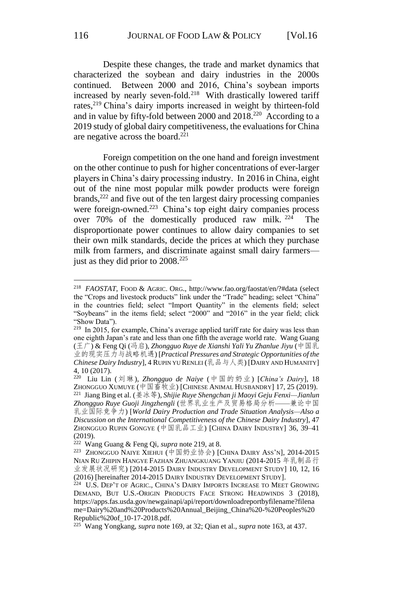Despite these changes, the trade and market dynamics that characterized the soybean and dairy industries in the 2000s continued. Between 2000 and 2016, China's soybean imports increased by nearly seven-fold.<sup>218</sup> With drastically lowered tariff rates,<sup>219</sup> China's dairy imports increased in weight by thirteen-fold and in value by fifty-fold between 2000 and 2018.<sup>220</sup> According to a 2019 study of global dairy competitiveness, the evaluations for China are negative across the board. 221

Foreign competition on the one hand and foreign investment on the other continue to push for higher concentrations of ever-larger players in China's dairy processing industry. In 2016 in China, eight out of the nine most popular milk powder products were foreign brands,<sup>222</sup> and five out of the ten largest dairy processing companies were foreign-owned.<sup>223</sup> China's top eight dairy companies process over 70% of the domestically produced raw milk.  $224$  The disproportionate power continues to allow dairy companies to set their own milk standards, decide the prices at which they purchase milk from farmers, and discriminate against small dairy farmers just as they did prior to 2008.<sup>225</sup>

<sup>218</sup> *FAOSTAT*, FOOD & AGRIC. ORG., http://www.fao.org/faostat/en/?#data (select the "Crops and livestock products" link under the "Trade" heading; select "China" in the countries field; select "Import Quantity" in the elements field; select "Soybeans" in the items field; select "2000" and "2016" in the year field; click "Show Data").

<sup>&</sup>lt;sup>219</sup> In 2015, for example, China's average applied tariff rate for dairy was less than one eighth Japan's rate and less than one fifth the average world rate. Wang Guang (王广) & Feng Qi (冯启), *Zhongguo Ruye de Xianshi Yali Yu Zhanlue Jiyu* (中国乳 业的现实压力与战略机遇) [*Practical Pressures and Strategic Opportunities of the Chinese Dairy Industry*], 4 RUPIN YU RENLEI (乳品与人类) [DAIRY AND HUMANITY] 4, 10 (2017).

<sup>220</sup> Liu Lin (刘琳), *Zhongguo de Naiye* (中国的奶业) [*China's Dairy*], 18 ZHONGGUO XUMUYE (中国畜牧业) [CHINESE ANIMAL HUSBANDRY] 17, 25 (2019). 221 Jiang Bing et al. (姜冰等), *Shijie Ruye Shengchan ji Maoyi Geju Fenxi—Jianlun Zhongguo Ruye Guoji Jingzhengli* (世界乳业生产及贸易格局分析——兼论中国 乳业国际竞争力) [*World Dairy Production and Trade Situation Analysis—Also a Discussion on the International Competitiveness of the Chinese Dairy Industry*], 47 ZHONGGUO RUPIN GONGYE (中国乳品工业) [CHINA DAIRY INDUSTRY] 36, 39–41 (2019).

<sup>222</sup> Wang Guang & Feng Qi, *supra* note 219, at 8.

<sup>&</sup>lt;sup>223</sup> Zhongguo Naiye Xiehui (中国奶业协会) [China Dairy Ass'n], 2014-2015 NIAN RU ZHIPIN HANGYE FAZHAN ZHUANGKUANG YANJIU (2014-2015 年乳制品行 业发展状况研究) [2014-2015 DAIRY INDUSTRY DEVELOPMENT STUDY] 10, 12, 16 (2016) [hereinafter 2014-2015 DAIRY INDUSTRY DEVELOPMENT STUDY].

<sup>&</sup>lt;sup>224</sup> U.S. DEP'T OF AGRIC., CHINA'S DAIRY IMPORTS INCREASE TO MEET GROWING DEMAND, BUT U.S.-ORIGIN PRODUCTS FACE STRONG HEADWINDS 3 (2018), https://apps.fas.usda.gov/newgainapi/api/report/downloadreportbyfilename?filena me=Dairy%20and%20Products%20Annual\_Beijing\_China%20-%20Peoples%20 Republic%20of\_10-17-2018.pdf.

<sup>225</sup> Wang Yongkang, *supra* note 169, at 32; Qian et al., *supra* note 163, at 437.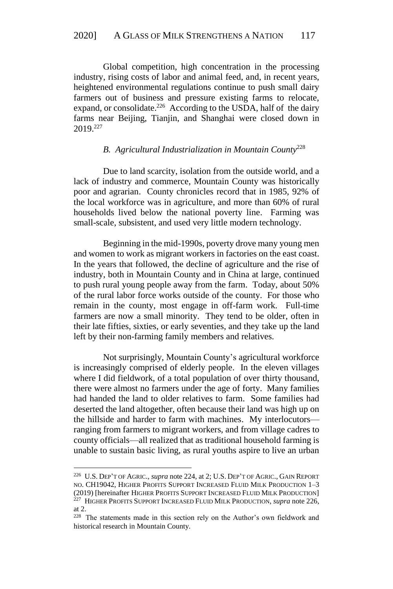Global competition, high concentration in the processing industry, rising costs of labor and animal feed, and, in recent years, heightened environmental regulations continue to push small dairy farmers out of business and pressure existing farms to relocate, expand, or consolidate.<sup>226</sup> According to the USDA, half of the dairy farms near Beijing, Tianjin, and Shanghai were closed down in 2019.<sup>227</sup>

#### *B. Agricultural Industrialization in Mountain County*<sup>228</sup>

Due to land scarcity, isolation from the outside world, and a lack of industry and commerce, Mountain County was historically poor and agrarian. County chronicles record that in 1985, 92% of the local workforce was in agriculture, and more than 60% of rural households lived below the national poverty line. Farming was small-scale, subsistent, and used very little modern technology.

Beginning in the mid-1990s, poverty drove many young men and women to work as migrant workers in factories on the east coast. In the years that followed, the decline of agriculture and the rise of industry, both in Mountain County and in China at large, continued to push rural young people away from the farm. Today, about 50% of the rural labor force works outside of the county. For those who remain in the county, most engage in off-farm work. Full-time farmers are now a small minority. They tend to be older, often in their late fifties, sixties, or early seventies, and they take up the land left by their non-farming family members and relatives.

Not surprisingly, Mountain County's agricultural workforce is increasingly comprised of elderly people. In the eleven villages where I did fieldwork, of a total population of over thirty thousand, there were almost no farmers under the age of forty. Many families had handed the land to older relatives to farm. Some families had deserted the land altogether, often because their land was high up on the hillside and harder to farm with machines. My interlocutors ranging from farmers to migrant workers, and from village cadres to county officials—all realized that as traditional household farming is unable to sustain basic living, as rural youths aspire to live an urban

<sup>226</sup> U.S. DEP'T OF AGRIC.*, supra* note 224, at 2; U.S. DEP'T OF AGRIC., GAIN REPORT NO. CH19042, HIGHER PROFITS SUPPORT INCREASED FLUID MILK PRODUCTION 1–3 (2019) [hereinafter HIGHER PROFITS SUPPORT INCREASED FLUID MILK PRODUCTION] 227 HIGHER PROFITS SUPPORT INCREASED FLUID MILK PRODUCTION, *supra* note 226, at 2.

<sup>&</sup>lt;sup>228</sup> The statements made in this section rely on the Author's own fieldwork and historical research in Mountain County.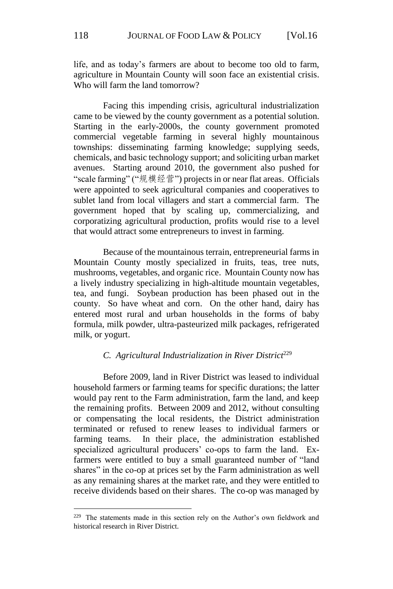life, and as today's farmers are about to become too old to farm, agriculture in Mountain County will soon face an existential crisis. Who will farm the land tomorrow?

Facing this impending crisis, agricultural industrialization came to be viewed by the county government as a potential solution. Starting in the early-2000s, the county government promoted commercial vegetable farming in several highly mountainous townships: disseminating farming knowledge; supplying seeds, chemicals, and basic technology support; and soliciting urban market avenues. Starting around 2010, the government also pushed for "scale farming" ("规模经营") projects in or near flat areas. Officials were appointed to seek agricultural companies and cooperatives to sublet land from local villagers and start a commercial farm. The government hoped that by scaling up, commercializing, and corporatizing agricultural production, profits would rise to a level that would attract some entrepreneurs to invest in farming.

Because of the mountainous terrain, entrepreneurial farms in Mountain County mostly specialized in fruits, teas, tree nuts, mushrooms, vegetables, and organic rice. Mountain County now has a lively industry specializing in high-altitude mountain vegetables, tea, and fungi. Soybean production has been phased out in the county. So have wheat and corn. On the other hand, dairy has entered most rural and urban households in the forms of baby formula, milk powder, ultra-pasteurized milk packages, refrigerated milk, or yogurt.

## *C. Agricultural Industrialization in River District*<sup>229</sup>

Before 2009, land in River District was leased to individual household farmers or farming teams for specific durations; the latter would pay rent to the Farm administration, farm the land, and keep the remaining profits. Between 2009 and 2012, without consulting or compensating the local residents, the District administration terminated or refused to renew leases to individual farmers or farming teams. In their place, the administration established specialized agricultural producers' co-ops to farm the land. Exfarmers were entitled to buy a small guaranteed number of "land shares" in the co-op at prices set by the Farm administration as well as any remaining shares at the market rate, and they were entitled to receive dividends based on their shares. The co-op was managed by

<sup>&</sup>lt;sup>229</sup> The statements made in this section rely on the Author's own fieldwork and historical research in River District.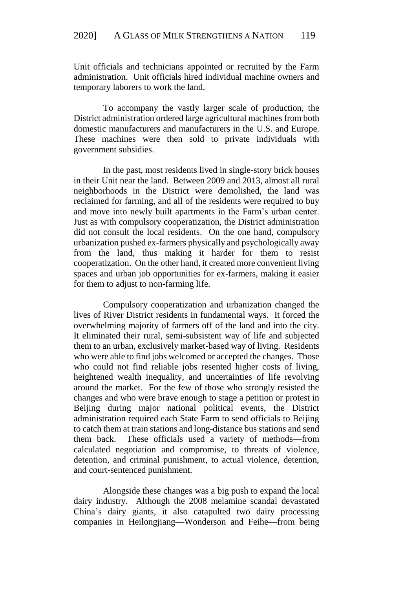Unit officials and technicians appointed or recruited by the Farm administration. Unit officials hired individual machine owners and temporary laborers to work the land.

To accompany the vastly larger scale of production, the District administration ordered large agricultural machines from both domestic manufacturers and manufacturers in the U.S. and Europe. These machines were then sold to private individuals with government subsidies.

In the past, most residents lived in single-story brick houses in their Unit near the land. Between 2009 and 2013, almost all rural neighborhoods in the District were demolished, the land was reclaimed for farming, and all of the residents were required to buy and move into newly built apartments in the Farm's urban center. Just as with compulsory cooperatization, the District administration did not consult the local residents. On the one hand, compulsory urbanization pushed ex-farmers physically and psychologically away from the land, thus making it harder for them to resist cooperatization. On the other hand, it created more convenient living spaces and urban job opportunities for ex-farmers, making it easier for them to adjust to non-farming life.

Compulsory cooperatization and urbanization changed the lives of River District residents in fundamental ways. It forced the overwhelming majority of farmers off of the land and into the city. It eliminated their rural, semi-subsistent way of life and subjected them to an urban, exclusively market-based way of living. Residents who were able to find jobs welcomed or accepted the changes. Those who could not find reliable jobs resented higher costs of living, heightened wealth inequality, and uncertainties of life revolving around the market. For the few of those who strongly resisted the changes and who were brave enough to stage a petition or protest in Beijing during major national political events, the District administration required each State Farm to send officials to Beijing to catch them at train stations and long-distance bus stations and send them back. These officials used a variety of methods—from calculated negotiation and compromise, to threats of violence, detention, and criminal punishment, to actual violence, detention, and court-sentenced punishment.

Alongside these changes was a big push to expand the local dairy industry. Although the 2008 melamine scandal devastated China's dairy giants, it also catapulted two dairy processing companies in Heilongjiang—Wonderson and Feihe—from being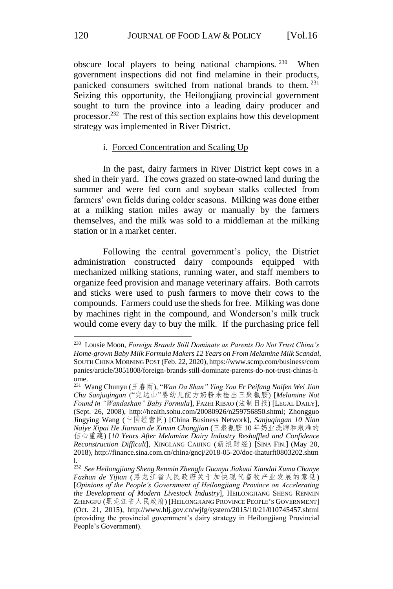obscure local players to being national champions. <sup>230</sup> When government inspections did not find melamine in their products, panicked consumers switched from national brands to them. <sup>231</sup> Seizing this opportunity, the Heilongjiang provincial government sought to turn the province into a leading dairy producer and processor. <sup>232</sup> The rest of this section explains how this development strategy was implemented in River District.

#### i. Forced Concentration and Scaling Up

In the past, dairy farmers in River District kept cows in a shed in their yard. The cows grazed on state-owned land during the summer and were fed corn and soybean stalks collected from farmers' own fields during colder seasons. Milking was done either at a milking station miles away or manually by the farmers themselves, and the milk was sold to a middleman at the milking station or in a market center.

Following the central government's policy, the District administration constructed dairy compounds equipped with mechanized milking stations, running water, and staff members to organize feed provision and manage veterinary affairs. Both carrots and sticks were used to push farmers to move their cows to the compounds. Farmers could use the sheds for free. Milking was done by machines right in the compound, and Wonderson's milk truck would come every day to buy the milk. If the purchasing price fell

<sup>230</sup> Lousie Moon, *Foreign Brands Still Dominate as Parents Do Not Trust China's Home-grown Baby Milk Formula Makers 12 Years on From Melamine Milk Scandal*, SOUTH CHINA MORNING POST (Feb. 22, 2020), https://www.scmp.com/business/com panies/article/3051808/foreign-brands-still-dominate-parents-do-not-trust-chinas-h ome.

<sup>231</sup> Wang Chunyu (王春雨), "*Wan Da Shan" Ying You Er Peifang Naifen Wei Jian Chu Sanjuqingan* ("完达山"婴幼儿配方奶粉未检出三聚氰胺) [*Melamine Not Found in "Wandashan" Baby Formula*], FAZHI RIBAO (法制日报) [LEGAL DAILY], (Sept. 26, 2008), http://health.sohu.com/20080926/n259756850.shtml; Zhongguo Jingying Wang (中国经营网) [China Business Network], *Sanjuqingan 10 Nian Naiye Xipai He Jiannan de Xinxin Chongjian* (三聚氰胺 10 年奶业洗牌和艰难的 信心重建) [*10 Years After Melamine Dairy Industry Reshuffled and Confidence Reconstruction Difficult*], XINGLANG CAIJING (新浪财经) [SINA FIN.] (May 20, 2018), http://finance.sina.com.cn/china/gncj/2018-05-20/doc-ihaturft0803202.shtm l.

<sup>232</sup> *See Heilongjiang Sheng Renmin Zhengfu Guanyu Jiakuai Xiandai Xumu Chanye Fazhan de Yijian* (黑龙江省人民政府关于加快现代畜牧产业发展的意见) [*Opinions of the People's Government of Heilongjiang Province on Accelerating the Development of Modern Livestock Industry*], HEILONGJIANG SHENG RENMIN ZHENGFU (黑龙江省人民政府) [HEILONGJIANG PROVINCE PEOPLE'S GOVERNMENT] (Oct. 21, 2015), http://www.hlj.gov.cn/wjfg/system/2015/10/21/010745457.shtml (providing the provincial government's dairy strategy in Heilongjiang Provincial People's Government).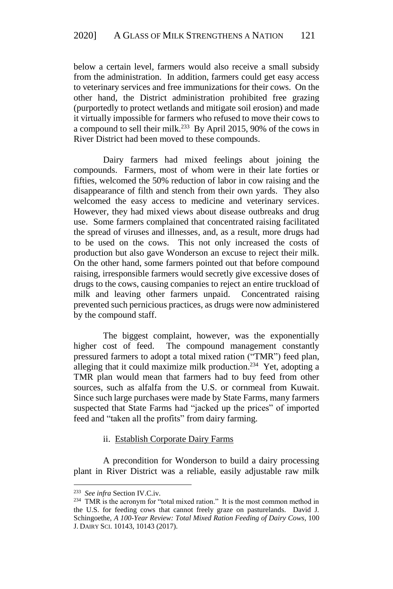below a certain level, farmers would also receive a small subsidy from the administration. In addition, farmers could get easy access to veterinary services and free immunizations for their cows. On the other hand, the District administration prohibited free grazing (purportedly to protect wetlands and mitigate soil erosion) and made it virtually impossible for farmers who refused to move their cows to a compound to sell their milk.<sup>233</sup> By April 2015, 90% of the cows in River District had been moved to these compounds.

Dairy farmers had mixed feelings about joining the compounds. Farmers, most of whom were in their late forties or fifties, welcomed the 50% reduction of labor in cow raising and the disappearance of filth and stench from their own yards. They also welcomed the easy access to medicine and veterinary services. However, they had mixed views about disease outbreaks and drug use. Some farmers complained that concentrated raising facilitated the spread of viruses and illnesses, and, as a result, more drugs had to be used on the cows. This not only increased the costs of production but also gave Wonderson an excuse to reject their milk. On the other hand, some farmers pointed out that before compound raising, irresponsible farmers would secretly give excessive doses of drugs to the cows, causing companies to reject an entire truckload of milk and leaving other farmers unpaid. Concentrated raising prevented such pernicious practices, as drugs were now administered by the compound staff.

The biggest complaint, however, was the exponentially higher cost of feed. The compound management constantly pressured farmers to adopt a total mixed ration ("TMR") feed plan, alleging that it could maximize milk production.<sup>234</sup> Yet, adopting a TMR plan would mean that farmers had to buy feed from other sources, such as alfalfa from the U.S. or cornmeal from Kuwait. Since such large purchases were made by State Farms, many farmers suspected that State Farms had "jacked up the prices" of imported feed and "taken all the profits" from dairy farming.

ii. Establish Corporate Dairy Farms

A precondition for Wonderson to build a dairy processing plant in River District was a reliable, easily adjustable raw milk

<u>.</u>

<sup>233</sup> *See infra* Section IV.C.iv.

<sup>&</sup>lt;sup>234</sup> TMR is the acronym for "total mixed ration." It is the most common method in the U.S. for feeding cows that cannot freely graze on pasturelands. David J. Schingoethe, *A 100-Year Review: Total Mixed Ration Feeding of Dairy Cows*, 100 J. DAIRY SCI. 10143, 10143 (2017).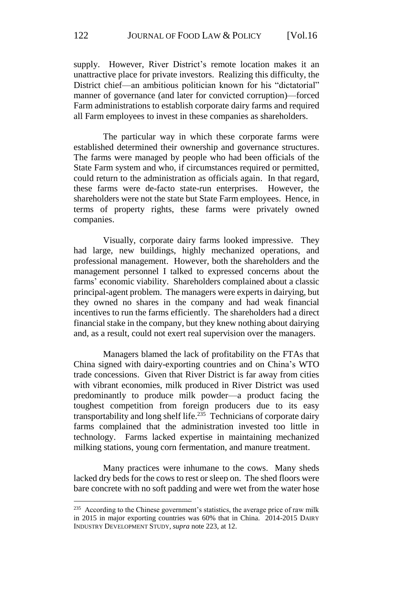supply. However, River District's remote location makes it an unattractive place for private investors. Realizing this difficulty, the District chief—an ambitious politician known for his "dictatorial" manner of governance (and later for convicted corruption)—forced Farm administrations to establish corporate dairy farms and required all Farm employees to invest in these companies as shareholders.

The particular way in which these corporate farms were established determined their ownership and governance structures. The farms were managed by people who had been officials of the State Farm system and who, if circumstances required or permitted, could return to the administration as officials again. In that regard, these farms were de-facto state-run enterprises. However, the shareholders were not the state but State Farm employees. Hence, in terms of property rights, these farms were privately owned companies.

Visually, corporate dairy farms looked impressive. They had large, new buildings, highly mechanized operations, and professional management. However, both the shareholders and the management personnel I talked to expressed concerns about the farms' economic viability. Shareholders complained about a classic principal-agent problem. The managers were experts in dairying, but they owned no shares in the company and had weak financial incentives to run the farms efficiently. The shareholders had a direct financial stake in the company, but they knew nothing about dairying and, as a result, could not exert real supervision over the managers.

Managers blamed the lack of profitability on the FTAs that China signed with dairy-exporting countries and on China's WTO trade concessions. Given that River District is far away from cities with vibrant economies, milk produced in River District was used predominantly to produce milk powder—a product facing the toughest competition from foreign producers due to its easy transportability and long shelf life.<sup>235</sup> Technicians of corporate dairy farms complained that the administration invested too little in technology. Farms lacked expertise in maintaining mechanized milking stations, young corn fermentation, and manure treatment.

Many practices were inhumane to the cows. Many sheds lacked dry beds for the cows to rest or sleep on. The shed floors were bare concrete with no soft padding and were wet from the water hose

<sup>&</sup>lt;sup>235</sup> According to the Chinese government's statistics, the average price of raw milk in 2015 in major exporting countries was 60% that in China. 2014-2015 DAIRY INDUSTRY DEVELOPMENT STUDY, *supra* note 223, at 12.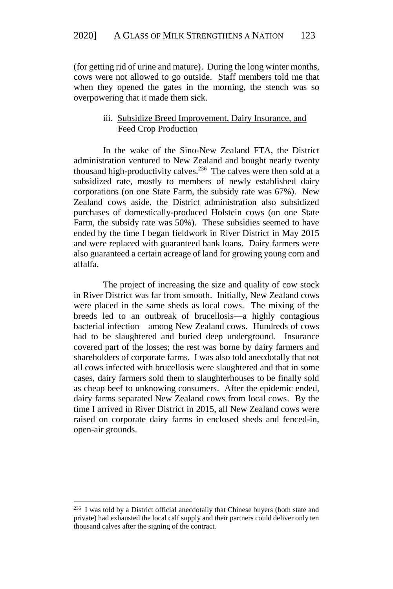(for getting rid of urine and mature). During the long winter months, cows were not allowed to go outside. Staff members told me that when they opened the gates in the morning, the stench was so overpowering that it made them sick.

# iii. Subsidize Breed Improvement, Dairy Insurance, and Feed Crop Production

In the wake of the Sino-New Zealand FTA, the District administration ventured to New Zealand and bought nearly twenty thousand high-productivity calves.<sup>236</sup> The calves were then sold at a subsidized rate, mostly to members of newly established dairy corporations (on one State Farm, the subsidy rate was 67%). New Zealand cows aside, the District administration also subsidized purchases of domestically-produced Holstein cows (on one State Farm, the subsidy rate was 50%). These subsidies seemed to have ended by the time I began fieldwork in River District in May 2015 and were replaced with guaranteed bank loans. Dairy farmers were also guaranteed a certain acreage of land for growing young corn and alfalfa.

The project of increasing the size and quality of cow stock in River District was far from smooth. Initially, New Zealand cows were placed in the same sheds as local cows. The mixing of the breeds led to an outbreak of brucellosis—a highly contagious bacterial infection—among New Zealand cows. Hundreds of cows had to be slaughtered and buried deep underground. Insurance covered part of the losses; the rest was borne by dairy farmers and shareholders of corporate farms. I was also told anecdotally that not all cows infected with brucellosis were slaughtered and that in some cases, dairy farmers sold them to slaughterhouses to be finally sold as cheap beef to unknowing consumers. After the epidemic ended, dairy farms separated New Zealand cows from local cows. By the time I arrived in River District in 2015, all New Zealand cows were raised on corporate dairy farms in enclosed sheds and fenced-in, open-air grounds.

<sup>&</sup>lt;sup>236</sup> I was told by a District official anecdotally that Chinese buyers (both state and private) had exhausted the local calf supply and their partners could deliver only ten thousand calves after the signing of the contract.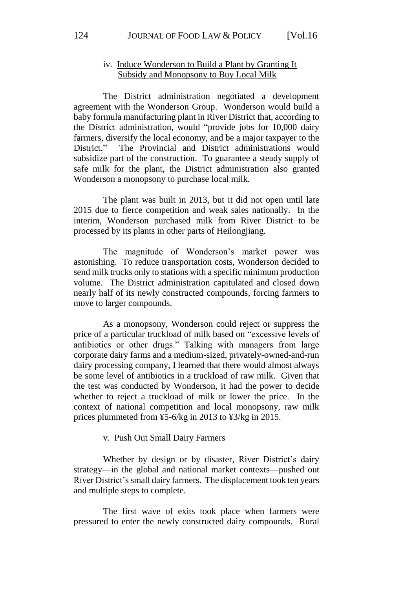# iv. Induce Wonderson to Build a Plant by Granting It Subsidy and Monopsony to Buy Local Milk

The District administration negotiated a development agreement with the Wonderson Group. Wonderson would build a baby formula manufacturing plant in River District that, according to the District administration, would "provide jobs for 10,000 dairy farmers, diversify the local economy, and be a major taxpayer to the District." The Provincial and District administrations would subsidize part of the construction. To guarantee a steady supply of safe milk for the plant, the District administration also granted Wonderson a monopsony to purchase local milk.

The plant was built in 2013, but it did not open until late 2015 due to fierce competition and weak sales nationally. In the interim, Wonderson purchased milk from River District to be processed by its plants in other parts of Heilongjiang.

The magnitude of Wonderson's market power was astonishing. To reduce transportation costs, Wonderson decided to send milk trucks only to stations with a specific minimum production volume. The District administration capitulated and closed down nearly half of its newly constructed compounds, forcing farmers to move to larger compounds.

As a monopsony, Wonderson could reject or suppress the price of a particular truckload of milk based on "excessive levels of antibiotics or other drugs." Talking with managers from large corporate dairy farms and a medium-sized, privately-owned-and-run dairy processing company, I learned that there would almost always be some level of antibiotics in a truckload of raw milk. Given that the test was conducted by Wonderson, it had the power to decide whether to reject a truckload of milk or lower the price. In the context of national competition and local monopsony, raw milk prices plummeted from ¥5-6/kg in 2013 to ¥3/kg in 2015.

#### v. Push Out Small Dairy Farmers

Whether by design or by disaster, River District's dairy strategy—in the global and national market contexts—pushed out River District's small dairy farmers. The displacement took ten years and multiple steps to complete.

The first wave of exits took place when farmers were pressured to enter the newly constructed dairy compounds. Rural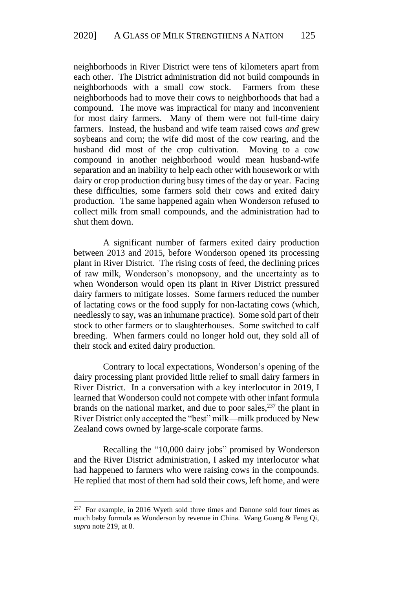neighborhoods in River District were tens of kilometers apart from each other. The District administration did not build compounds in neighborhoods with a small cow stock. Farmers from these neighborhoods had to move their cows to neighborhoods that had a compound. The move was impractical for many and inconvenient for most dairy farmers. Many of them were not full-time dairy farmers. Instead, the husband and wife team raised cows *and* grew soybeans and corn; the wife did most of the cow rearing, and the husband did most of the crop cultivation. Moving to a cow compound in another neighborhood would mean husband-wife separation and an inability to help each other with housework or with dairy or crop production during busy times of the day or year. Facing these difficulties, some farmers sold their cows and exited dairy production. The same happened again when Wonderson refused to collect milk from small compounds, and the administration had to shut them down.

A significant number of farmers exited dairy production between 2013 and 2015, before Wonderson opened its processing plant in River District. The rising costs of feed, the declining prices of raw milk, Wonderson's monopsony, and the uncertainty as to when Wonderson would open its plant in River District pressured dairy farmers to mitigate losses. Some farmers reduced the number of lactating cows or the food supply for non-lactating cows (which, needlessly to say, was an inhumane practice). Some sold part of their stock to other farmers or to slaughterhouses. Some switched to calf breeding. When farmers could no longer hold out, they sold all of their stock and exited dairy production.

Contrary to local expectations, Wonderson's opening of the dairy processing plant provided little relief to small dairy farmers in River District. In a conversation with a key interlocutor in 2019, I learned that Wonderson could not compete with other infant formula brands on the national market, and due to poor sales, $237$  the plant in River District only accepted the "best" milk—milk produced by New Zealand cows owned by large-scale corporate farms.

Recalling the "10,000 dairy jobs" promised by Wonderson and the River District administration, I asked my interlocutor what had happened to farmers who were raising cows in the compounds. He replied that most of them had sold their cows, left home, and were

<sup>&</sup>lt;sup>237</sup> For example, in 2016 Wyeth sold three times and Danone sold four times as much baby formula as Wonderson by revenue in China. Wang Guang & Feng Qi, *supra* note 219, at 8.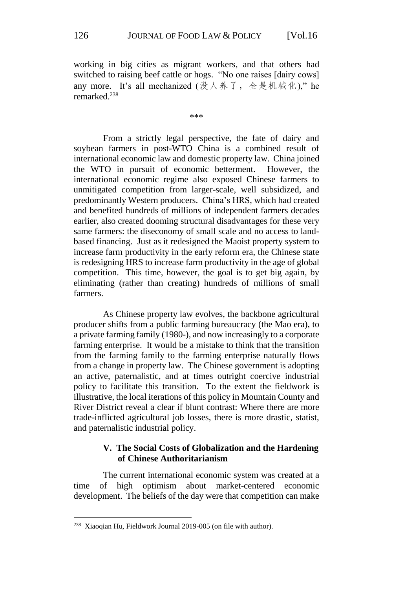working in big cities as migrant workers, and that others had switched to raising beef cattle or hogs. "No one raises [dairy cows] any more. It's all mechanized  $(3\xi)(\vec{x}) \times (\vec{x})^2$   $(3\xi)(\vec{x})$   $(4\xi)(\vec{x})$   $(5\xi)(\vec{x})$   $(6\xi)(\vec{x})$ remarked. 238

\*\*\*

From a strictly legal perspective, the fate of dairy and soybean farmers in post-WTO China is a combined result of international economic law and domestic property law. China joined the WTO in pursuit of economic betterment. However, the international economic regime also exposed Chinese farmers to unmitigated competition from larger-scale, well subsidized, and predominantly Western producers. China's HRS, which had created and benefited hundreds of millions of independent farmers decades earlier, also created dooming structural disadvantages for these very same farmers: the diseconomy of small scale and no access to landbased financing. Just as it redesigned the Maoist property system to increase farm productivity in the early reform era, the Chinese state is redesigning HRS to increase farm productivity in the age of global competition. This time, however, the goal is to get big again, by eliminating (rather than creating) hundreds of millions of small farmers.

As Chinese property law evolves, the backbone agricultural producer shifts from a public farming bureaucracy (the Mao era), to a private farming family (1980-), and now increasingly to a corporate farming enterprise. It would be a mistake to think that the transition from the farming family to the farming enterprise naturally flows from a change in property law. The Chinese government is adopting an active, paternalistic, and at times outright coercive industrial policy to facilitate this transition. To the extent the fieldwork is illustrative, the local iterations of this policy in Mountain County and River District reveal a clear if blunt contrast: Where there are more trade-inflicted agricultural job losses, there is more drastic, statist, and paternalistic industrial policy.

# **V. The Social Costs of Globalization and the Hardening of Chinese Authoritarianism**

The current international economic system was created at a time of high optimism about market-centered economic development. The beliefs of the day were that competition can make

<sup>&</sup>lt;sup>238</sup> Xiaoqian Hu, Fieldwork Journal 2019-005 (on file with author).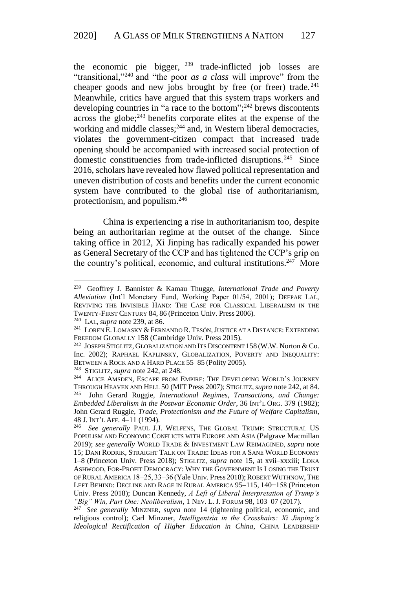the economic pie bigger,  $239$  trade-inflicted job losses are "transitional," <sup>240</sup> and "the poor *as a class* will improve" from the cheaper goods and new jobs brought by free (or freer) trade.<sup>241</sup> Meanwhile, critics have argued that this system traps workers and developing countries in "a race to the bottom"; <sup>242</sup> brews discontents across the globe;<sup>243</sup> benefits corporate elites at the expense of the working and middle classes;<sup>244</sup> and, in Western liberal democracies, violates the government-citizen compact that increased trade opening should be accompanied with increased social protection of domestic constituencies from trade-inflicted disruptions.<sup>245</sup> Since 2016, scholars have revealed how flawed political representation and uneven distribution of costs and benefits under the current economic system have contributed to the global rise of authoritarianism, protectionism, and populism. 246

China is experiencing a rise in authoritarianism too, despite being an authoritarian regime at the outset of the change. Since taking office in 2012, Xi Jinping has radically expanded his power as General Secretary of the CCP and has tightened the CCP's grip on the country's political, economic, and cultural institutions. <sup>247</sup> More

<sup>239</sup> Geoffrey J. Bannister & Kamau Thugge, *International Trade and Poverty Alleviation* (Int'l Monetary Fund, Working Paper 01/54, 2001); DEEPAK LAL, REVIVING THE INVISIBLE HAND: THE CASE FOR CLASSICAL LIBERALISM IN THE TWENTY-FIRST CENTURY 84, 86 (Princeton Univ. Press 2006).

<sup>240</sup> LAL, *supra* note 239, at 86.

<sup>&</sup>lt;sup>241</sup> LOREN E. LOMASKY & FERNANDO R. TESÓN, JUSTICE AT A DISTANCE: EXTENDING FREEDOM GLOBALLY 158 (Cambridge Univ. Press 2015).

<sup>&</sup>lt;sup>242</sup> JOSEPH STIGLITZ, GLOBALIZATION AND ITS DISCONTENT 158 (W.W. Norton & Co. Inc. 2002); RAPHAEL KAPLINSKY, GLOBALIZATION, POVERTY AND INEQUALITY: BETWEEN A ROCK AND A HARD PLACE 55–85 (Polity 2005).

<sup>243</sup> STIGLITZ, *supra* note 242, at 248.

<sup>&</sup>lt;sup>244</sup> ALICE AMSDEN, ESCAPE FROM EMPIRE: THE DEVELOPING WORLD'S JOURNEY THROUGH HEAVEN AND HELL 50 (MIT Press 2007); STIGLITZ,*supra* note 242, at 84. 245 John Gerard Ruggie, *International Regimes, Transactions, and Change: Embedded Liberalism in the Postwar Economic Order*, 36 INT'L ORG. 379 (1982); John Gerard Ruggie, *Trade, Protectionism and the Future of Welfare Capitalism*, 48 J. INT'L AFF. 4–11 (1994).

<sup>246</sup> *See generally* PAUL J.J. WELFENS, THE GLOBAL TRUMP: STRUCTURAL US POPULISM AND ECONOMIC CONFLICTS WITH EUROPE AND ASIA (Palgrave Macmillan 2019); *see generally* WORLD TRADE & INVESTMENT LAW REIMAGINED, *supra* note 15; DANI RODRIK, STRAIGHT TALK ON TRADE: IDEAS FOR A SANE WORLD ECONOMY 1–8 (Princeton Univ. Press 2018); STIGLITZ, *supra* note 15, at xvii–xxxiii; LOKA ASHWOOD, FOR-PROFIT DEMOCRACY: WHY THE GOVERNMENT IS LOSING THE TRUST OF RURAL AMERICA 18-25, 33-36 (Yale Univ. Press 2018); ROBERT WUTHNOW, THE LEFT BEHIND: DECLINE AND RAGE IN RURAL AMERICA 95–115, 140−158 (Princeton Univ. Press 2018); Duncan Kennedy, *A Left of Liberal Interpretation of Trump's "Big" Win, Part One: Neoliberalism*, 1 NEV. L. J. FORUM 98, 103–07 (2017).

<sup>247</sup> *See generally* MINZNER, *supra* note 14 (tightening political, economic, and religious control); Carl Minzner, *Intelligentsia in the Crosshairs: Xi Jinping's Ideological Rectification of Higher Education in China*, CHINA LEADERSHIP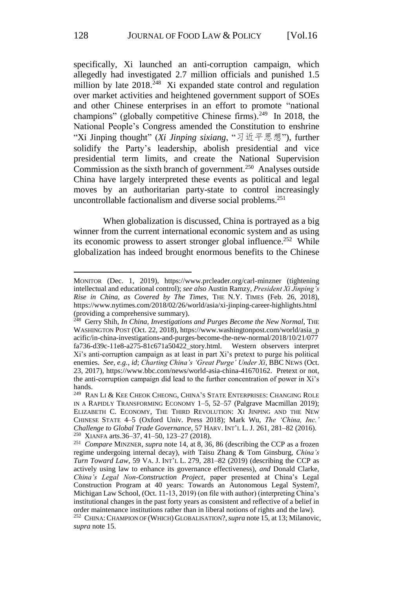specifically, Xi launched an anti-corruption campaign, which allegedly had investigated 2.7 million officials and punished 1.5 million by late 2018.<sup>248</sup> Xi expanded state control and regulation over market activities and heightened government support of SOEs and other Chinese enterprises in an effort to promote "national champions" (globally competitive Chinese firms). <sup>249</sup> In 2018, the National People's Congress amended the Constitution to enshrine "Xi Jinping thought" (*Xi Jinping sixiang*, "习近平思想"), further solidify the Party's leadership, abolish presidential and vice presidential term limits, and create the National Supervision Commission as the sixth branch of government.<sup>250</sup> Analyses outside China have largely interpreted these events as political and legal moves by an authoritarian party-state to control increasingly uncontrollable factionalism and diverse social problems. 251

When globalization is discussed, China is portrayed as a big winner from the current international economic system and as using its economic prowess to assert stronger global influence.<sup>252</sup> While globalization has indeed brought enormous benefits to the Chinese

MONITOR (Dec. 1, 2019), https://www.prcleader.org/carl-minzner (tightening intellectual and educational control); *see also* Austin Ramzy, *President Xi Jinping's Rise in China, as Covered by The Times*, THE N.Y. TIMES (Feb. 26, 2018), https://www.nytimes.com/2018/02/26/world/asia/xi-jinping-career-highlights.html (providing a comprehensive summary).

<sup>&</sup>lt;sup>248</sup> Gerry Shih, *In China, Investigations and Purges Become the New Normal*, THE WASHINGTON POST (Oct. 22, 2018), https://www.washingtonpost.com/world/asia\_p acific/in-china-investigations-and-purges-become-the-new-normal/2018/10/21/077 fa736-d39c-11e8-a275-81c671a50422\_story.html. Western observers interpret Xi's anti-corruption campaign as at least in part Xi's pretext to purge his political enemies. *See, e.g.*, *id*; *Charting China's 'Great Purge' Under Xi*, BBC NEWS (Oct. 23, 2017), https://www.bbc.com/news/world-asia-china-41670162. Pretext or not, the anti-corruption campaign did lead to the further concentration of power in Xi's hands.

<sup>&</sup>lt;sup>249</sup> RAN LI & KEE CHEOK CHEONG, CHINA'S STATE ENTERPRISES: CHANGING ROLE IN A RAPIDLY TRANSFORMING ECONOMY 1–5, 52–57 (Palgrave Macmillan 2019); ELIZABETH C. ECONOMY, THE THIRD REVOLUTION: XI JINPING AND THE NEW CHINESE STATE 4–5 (Oxford Univ. Press 2018); Mark Wu, *The 'China, Inc.' Challenge to Global Trade Governance*, 57 HARV. INT'L L. J. 261, 281–82 (2016). 250 XIANFA arts.36–37, 41–50, 123–27 (2018).

<sup>251</sup> *Compare* MINZNER, *supra* note 14, at 8, 36, 86 (describing the CCP as a frozen regime undergoing internal decay), *with* Taisu Zhang & Tom Ginsburg, *China's Turn Toward Law*, 59 VA. J. INT'L L. 279, 281–82 (2019) (describing the CCP as actively using law to enhance its governance effectiveness), *and* Donald Clarke, *China's Legal Non-Construction Project*, paper presented at China's Legal Construction Program at 40 years: Towards an Autonomous Legal System?, Michigan Law School, (Oct. 11-13, 2019) (on file with author) (interpreting China's institutional changes in the past forty years as consistent and reflective of a belief in order maintenance institutions rather than in liberal notions of rights and the law).

<sup>252</sup> CHINA:CHAMPION OF (WHICH) GLOBALISATION?,*supra* note 15, at 13; Milanovic, *supra* note 15.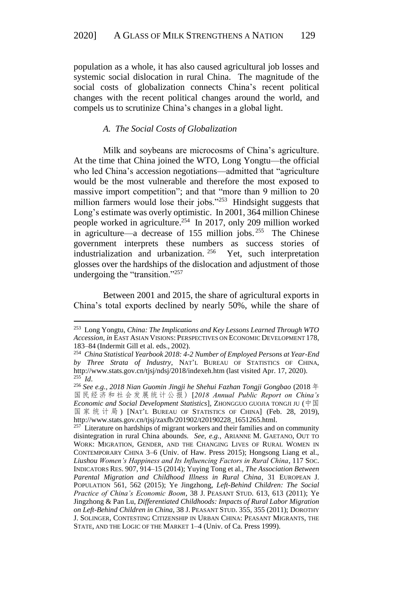population as a whole, it has also caused agricultural job losses and systemic social dislocation in rural China. The magnitude of the social costs of globalization connects China's recent political changes with the recent political changes around the world, and compels us to scrutinize China's changes in a global light.

## *A. The Social Costs of Globalization*

Milk and soybeans are microcosms of China's agriculture. At the time that China joined the WTO, Long Yongtu—the official who led China's accession negotiations—admitted that "agriculture would be the most vulnerable and therefore the most exposed to massive import competition"; and that "more than 9 million to 20 million farmers would lose their jobs."<sup>253</sup> Hindsight suggests that Long's estimate was overly optimistic. In 2001, 364 million Chinese people worked in agriculture. <sup>254</sup> In 2017, only 209 million worked in agriculture—a decrease of 155 million jobs. <sup>255</sup> The Chinese government interprets these numbers as success stories of industrialization and urbanization.  $256$  Yet, such interpretation glosses over the hardships of the dislocation and adjustment of those undergoing the "transition."<sup>257</sup>

Between 2001 and 2015, the share of agricultural exports in China's total exports declined by nearly 50%, while the share of

<sup>253</sup> Long Yongtu, *China: The Implications and Key Lessons Learned Through WTO Accession*, *in* EAST ASIAN VISIONS: PERSPECTIVES ON ECONOMIC DEVELOPMENT 178, 183–84 (Indermit Gill et al. eds., 2002).

<sup>254</sup> *China Statistical Yearbook 2018: 4-2 Number of Employed Persons at Year-End by Three Strata of Industry*, NAT'L BUREAU OF STATISTICS OF CHINA, http://www.stats.gov.cn/tjsj/ndsj/2018/indexeh.htm (last visited Apr. 17, 2020). 255 *Id*.

<sup>256</sup> *See e.g., 2018 Nian Guomin Jingji he Shehui Fazhan Tongji Gongbao* (2018 年 国民经济和社会发展统计公报 ) [*2018 Annual Public Report on China's Economic and Social Development Statistics*], ZHONGGUO GUOJIA TONGJI JU (中国 国 家 统 计 局 ) [NAT'L BUREAU OF STATISTICS OF CHINA] (Feb. 28, 2019), http://www.stats.gov.cn/tjsj/zaxfb/201902/t20190228\_1651265.html.

 $257$  Literature on hardships of migrant workers and their families and on community disintegration in rural China abounds. *See, e.g.*, ARIANNE M. GAETANO, OUT TO WORK: MIGRATION, GENDER, AND THE CHANGING LIVES OF RURAL WOMEN IN CONTEMPORARY CHINA 3–6 (Univ. of Haw. Press 2015); Hongsong Liang et al., *Liushou Women's Happiness and Its Influencing Factors in Rural China*, 117 SOC. INDICATORS RES. 907, 914–15 (2014); Yuying Tong et al., *The Association Between Parental Migration and Childhood Illness in Rural China*, 31 EUROPEAN J. POPULATION 561, 562 (2015); Ye Jingzhong, *Left-Behind Children: The Social Practice of China's Economic Boom*, 38 J. PEASANT STUD. 613, 613 (2011); Ye Jingzhong & Pan Lu, *Differentiated Childhoods: Impacts of Rural Labor Migration on Left-Behind Children in China*, 38 J. PEASANT STUD. 355, 355 (2011); DOROTHY J. SOLINGER, CONTESTING CITIZENSHIP IN URBAN CHINA: PEASANT MIGRANTS, THE STATE, AND THE LOGIC OF THE MARKET 1–4 (Univ. of Ca. Press 1999).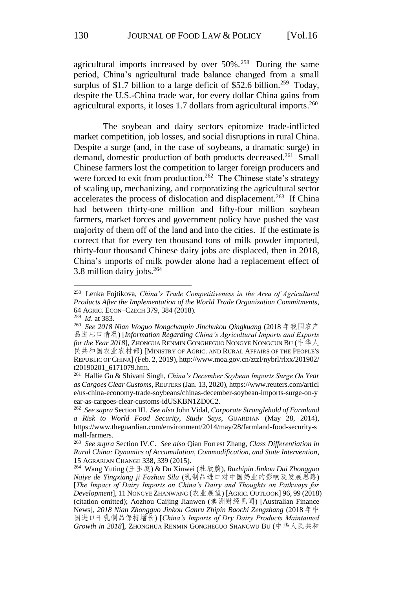agricultural imports increased by over 50%. <sup>258</sup> During the same period, China's agricultural trade balance changed from a small surplus of \$1.7 billion to a large deficit of \$52.6 billion.<sup>259</sup> Today, despite the U.S.-China trade war, for every dollar China gains from agricultural exports, it loses 1.7 dollars from agricultural imports.<sup>260</sup>

The soybean and dairy sectors epitomize trade-inflicted market competition, job losses, and social disruptions in rural China. Despite a surge (and, in the case of soybeans, a dramatic surge) in demand, domestic production of both products decreased.<sup>261</sup> Small Chinese farmers lost the competition to larger foreign producers and were forced to exit from production.<sup>262</sup> The Chinese state's strategy of scaling up, mechanizing, and corporatizing the agricultural sector accelerates the process of dislocation and displacement.<sup>263</sup> If China had between thirty-one million and fifty-four million soybean farmers, market forces and government policy have pushed the vast majority of them off of the land and into the cities. If the estimate is correct that for every ten thousand tons of milk powder imported, thirty-four thousand Chinese dairy jobs are displaced, then in 2018, China's imports of milk powder alone had a replacement effect of 3.8 million dairy jobs. $264$ 

<sup>258</sup> Lenka Fojtikova, *China's Trade Competitiveness in the Area of Agricultural Products After the Implementation of the World Trade Organization Commitments*, 64 AGRIC. ECON–CZECH 379, 384 (2018).

<sup>259</sup> *Id*. at 383.

<sup>260</sup> *See 2018 Nian Woguo Nongchanpin Jinchukou Qingkuang* (2018 年我国农产 品进出口情况) [*Information Regarding China's Agricultural Imports and Exports for the Year 2018*], ZHONGUA RENMIN GONGHEGUO NONGYE NONGCUN BU (中华人 民共和国农业农村部) [MINISTRY OF AGRIC. AND RURAL AFFAIRS OF THE PEOPLE'S REPUBLIC OF CHINA] (Feb. 2, 2019), http://www.moa.gov.cn/ztzl/nybrl/rlxx/201902/ t20190201\_6171079.htm.

<sup>261</sup> Hallie Gu & Shivani Singh, *China's December Soybean Imports Surge On Year as Cargoes Clear Customs*, REUTERS (Jan. 13, 2020), https://www.reuters.com/articl e/us-china-economy-trade-soybeans/chinas-december-soybean-imports-surge-on-y ear-as-cargoes-clear-customs-idUSKBN1ZD0C2.

<sup>262</sup> *See supra* Section III. *See also* John Vidal, *Corporate Stranglehold of Farmland a Risk to World Food Security, Study Says*, GUARDIAN (May 28, 2014), https://www.theguardian.com/environment/2014/may/28/farmland-food-security-s mall-farmers.

<sup>263</sup> *See supra* Section IV.C. *See also* Qian Forrest Zhang, *Class Differentiation in Rural China: Dynamics of Accumulation, Commodification, and State Intervention*, 15 AGRARIAN CHANGE 338, 339 (2015).

<sup>264</sup> Wang Yuting (王玉庭) & Du Xinwei (杜欣蔚), *Ruzhipin Jinkou Dui Zhongguo Naiye de Yingxiang ji Fazhan Silu* (乳制品进口对中国奶业的影响及发展思路) [*The Impact of Dairy Imports on China's Dairy and Thoughts on Pathways for Development*], 11 NONGYE ZHANWANG (农业展望) [AGRIC. OUTLOOK] 96, 99 (2018) (citation omitted); Aozhou Caijing Jianwen (澳洲财经见闻) [Australian Finance News], *2018 Nian Zhongguo Jinkou Ganru Zhipin Baochi Zengzhang* (2018 年中 国进口干乳制品保持增长) [*China's Imports of Dry Dairy Products Maintained Growth in 2018*], ZHONGHUA RENMIN GONGHEGUO SHANGWU BU (中华人民共和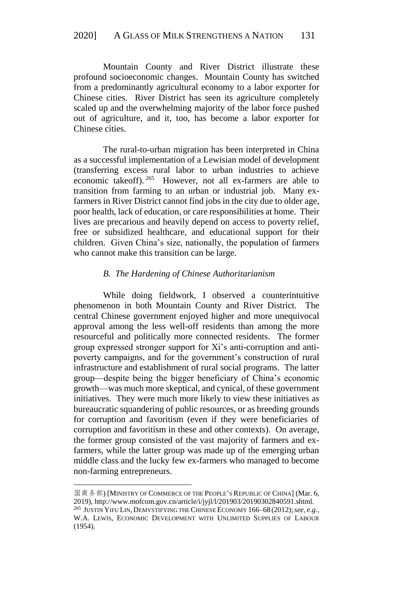Mountain County and River District illustrate these profound socioeconomic changes. Mountain County has switched from a predominantly agricultural economy to a labor exporter for Chinese cities. River District has seen its agriculture completely scaled up and the overwhelming majority of the labor force pushed out of agriculture, and it, too, has become a labor exporter for Chinese cities.

The rural-to-urban migration has been interpreted in China as a successful implementation of a Lewisian model of development (transferring excess rural labor to urban industries to achieve economic takeoff). <sup>265</sup> However, not all ex-farmers are able to transition from farming to an urban or industrial job. Many exfarmers in River District cannot find jobs in the city due to older age, poor health, lack of education, or care responsibilities at home. Their lives are precarious and heavily depend on access to poverty relief, free or subsidized healthcare, and educational support for their children. Given China's size, nationally, the population of farmers who cannot make this transition can be large.

# *B. The Hardening of Chinese Authoritarianism*

While doing fieldwork, I observed a counterintuitive phenomenon in both Mountain County and River District. The central Chinese government enjoyed higher and more unequivocal approval among the less well-off residents than among the more resourceful and politically more connected residents. The former group expressed stronger support for Xi's anti-corruption and antipoverty campaigns, and for the government's construction of rural infrastructure and establishment of rural social programs. The latter group—despite being the bigger beneficiary of China's economic growth—was much more skeptical, and cynical, of these government initiatives. They were much more likely to view these initiatives as bureaucratic squandering of public resources, or as breeding grounds for corruption and favoritism (even if they were beneficiaries of corruption and favoritism in these and other contexts). On average, the former group consisted of the vast majority of farmers and exfarmers, while the latter group was made up of the emerging urban middle class and the lucky few ex-farmers who managed to become non-farming entrepreneurs.

<u>.</u>

国商务部) [MINISTRY OF COMMERCE OF THE PEOPLE'S REPUBLIC OF CHINA] (Mar. 6, 2019), http://www.mofcom.gov.cn/article/i/jyjl/l/201903/20190302840591.shtml. 265 JUSTIN YIFU LIN, DEMYSTIFYING THE CHINESE ECONOMY 166–68 (2012);*see, e.g.*, W.A. LEWIS, ECONOMIC DEVELOPMENT WITH UNLIMITED SUPPLIES OF LABOUR (1954).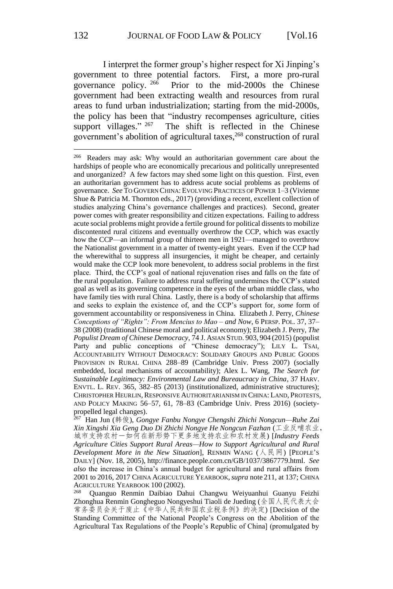I interpret the former group's higher respect for Xi Jinping's government to three potential factors. First, a more pro-rural governance policy. 266 Prior to the mid-2000s the Chinese government had been extracting wealth and resources from rural areas to fund urban industrialization; starting from the mid-2000s, the policy has been that "industry recompenses agriculture, cities support villages."  $267$ The shift is reflected in the Chinese government's abolition of agricultural taxes, <sup>268</sup> construction of rural

<sup>266</sup> Readers may ask: Why would an authoritarian government care about the hardships of people who are economically precarious and politically unrepresented and unorganized? A few factors may shed some light on this question. First, even an authoritarian government has to address acute social problems as problems of governance. *See* TO GOVERN CHINA: EVOLVING PRACTICES OF POWER 1–3 (Vivienne Shue & Patricia M. Thornton eds., 2017) (providing a recent, excellent collection of studies analyzing China's governance challenges and practices). Second, greater power comes with greater responsibility and citizen expectations. Failing to address acute social problems might provide a fertile ground for political dissents to mobilize discontented rural citizens and eventually overthrow the CCP, which was exactly how the CCP—an informal group of thirteen men in 1921—managed to overthrow the Nationalist government in a matter of twenty-eight years. Even if the CCP had the wherewithal to suppress all insurgencies, it might be cheaper, and certainly would make the CCP look more benevolent, to address social problems in the first place. Third, the CCP's goal of national rejuvenation rises and falls on the fate of the rural population. Failure to address rural suffering undermines the CCP's stated goal as well as its governing competence in the eyes of the urban middle class, who have family ties with rural China. Lastly, there is a body of scholarship that affirms and seeks to explain the existence of, and the CCP's support for, *some* form of government accountability or responsiveness in China. Elizabeth J. Perry, *Chinese Conceptions of "Rights": From Mencius to Mao – and Now*, 6 PERSP. POL. 37, 37– 38 (2008) (traditional Chinese moral and political economy); Elizabeth J. Perry, *The Populist Dream of Chinese Democracy*, 74 J. ASIAN STUD. 903, 904 (2015) (populist Party and public conceptions of "Chinese democracy"); LILY L. TSAI, ACCOUNTABILITY WITHOUT DEMOCRACY: SOLIDARY GROUPS AND PUBLIC GOODS PROVISION IN RURAL CHINA 288–89 (Cambridge Univ. Press 2007) (socially embedded, local mechanisms of accountability); Alex L. Wang, *The Search for Sustainable Legitimacy: Environmental Law and Bureaucracy in China*, 37 HARV. ENVTL. L. REV. 365, 382–85 (2013) (institutionalized, administrative structures); CHRISTOPHER HEURLIN, RESPONSIVE AUTHORITARIANISM IN CHINA: LAND, PROTESTS, AND POLICY MAKING 56–57, 61, 78–83 (Cambridge Univ. Press 2016) (society-

propelled legal changes). 267 Han Jun (韩俊), *Gongye Fanbu Nongye Chengshi Zhichi Nongcun—Ruhe Zai Xin Xingshi Xia Geng Duo Di Zhichi Nongye He Nongcun Fazhan* (工业反哺农业, 城市支持农村-如何在新形势下更多地支持农业和农村发展) [*Industry Feeds Agriculture Cities Support Rural Areas—How to Support Agricultural and Rural Development More in the New Situation*], RENMIN WANG ( $\land \not\in \mathbb{R}$ ) [PEOPLE'S DAILY] (Nov. 18, 2005), http://finance.people.com.cn/GB/1037/3867779.html. *See also* the increase in China's annual budget for agricultural and rural affairs from 2001 to 2016, 2017 CHINA AGRICULTURE YEARBOOK,*supra* note 211, at 137; CHINA AGRICULTURE YEARBOOK 100 (2002).

<sup>268</sup> Quanguo Renmin Daibiao Dahui Changwu Weiyuanhui Guanyu Feizhi Zhonghua Renmin Gongheguo Nongyeshui Tiaoli de Jueding (全国人民代表大会 常务委员会关于废止《中华人民共和国农业税条例》的决定) [Decision of the Standing Committee of the National People's Congress on the Abolition of the Agricultural Tax Regulations of the People's Republic of China] (promulgated by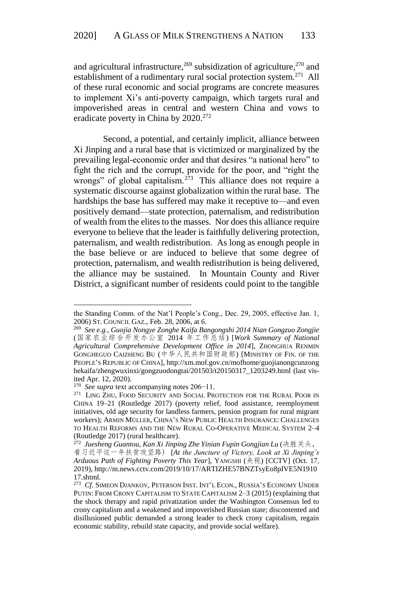and agricultural infrastructure,<sup>269</sup> subsidization of agriculture,<sup>270</sup> and establishment of a rudimentary rural social protection system.<sup>271</sup> All of these rural economic and social programs are concrete measures to implement Xi's anti-poverty campaign, which targets rural and impoverished areas in central and western China and vows to eradicate poverty in China by 2020.<sup>272</sup>

Second, a potential, and certainly implicit, alliance between Xi Jinping and a rural base that is victimized or marginalized by the prevailing legal-economic order and that desires "a national hero" to fight the rich and the corrupt, provide for the poor, and "right the wrongs" of global capitalism.<sup>273</sup> This alliance does not require a systematic discourse against globalization within the rural base. The hardships the base has suffered may make it receptive to—and even positively demand—state protection, paternalism, and redistribution of wealth from the elites to the masses. Nor does this alliance require everyone to believe that the leader is faithfully delivering protection, paternalism, and wealth redistribution. As long as enough people in the base believe or are induced to believe that some degree of protection, paternalism, and wealth redistribution is being delivered, the alliance may be sustained. In Mountain County and River District, a significant number of residents could point to the tangible

the Standing Comm. of the Nat'l People's Cong., Dec. 29, 2005, effective Jan. 1, 2006) ST. COUNCIL GAZ., Feb. 28, 2006, at 6.

<sup>269</sup> *See e.g.*, *Guojia Nongye Zonghe Kaifa Bangongshi 2014 Nian Gongzuo Zongjie*  (国家农业综合开发办公室 2014 年工作总结) [*Work Summary of National Agricultural Comprehensive Development Office in 2014*], ZHONGHUA RENMIN GONGHEGUO CAIZHENG BU (中华人民共和国财政部) [MINISTRY OF FIN. OF THE PEOPLE'S REPUBLIC OF CHINA], http://xm.mof.gov.cn/mofhome/guojianongcunzong hekaifa/zhengwuxinxi/gongzuodongtai/201503/t20150317\_1203249.html (last visited Apr. 12, 2020).

<sup>270</sup> *See supra* text accompanying notes 206−11.

<sup>&</sup>lt;sup>271</sup> LING ZHU, FOOD SECURITY AND SOCIAL PROTECTION FOR THE RURAL POOR IN CHINA 19–21 (Routledge 2017) (poverty relief, food assistance, reemployment initiatives, old age security for landless farmers, pension program for rural migrant workers); ARMIN MÜLLER, CHINA'S NEW PUBLIC HEALTH INSURANCE: CHALLENGES TO HEALTH REFORMS AND THE NEW RURAL CO-OPERATIVE MEDICAL SYSTEM 2–4 (Routledge 2017) (rural healthcare).

<sup>272</sup> *Juesheng Guantou, Kan Xi Jinping Zhe Yinian Fupin Gongjian Lu* (决胜关头, 看习近平这一年扶贫攻坚路) [*At the Juncture of Victory, Look at Xi Jinping's Arduous Path of Fighting Poverty This Year*], YANGSHI (央视) [CCTV] (Oct. 17, 2019), http://m.news.cctv.com/2019/10/17/ARTIZHE57BNZTsyEo8pIVE5N1910 17.shtml.

<sup>273</sup> *Cf*. SIMEON DJANKOV, PETERSON INST. INT'L ECON., RUSSIA'S ECONOMY UNDER PUTIN: FROM CRONY CAPITALISM TO STATE CAPITALISM 2–3 (2015) (explaining that the shock therapy and rapid privatization under the Washington Consensus led to crony capitalism and a weakened and impoverished Russian state; discontented and disillusioned public demanded a strong leader to check crony capitalism, regain economic stability, rebuild state capacity, and provide social welfare).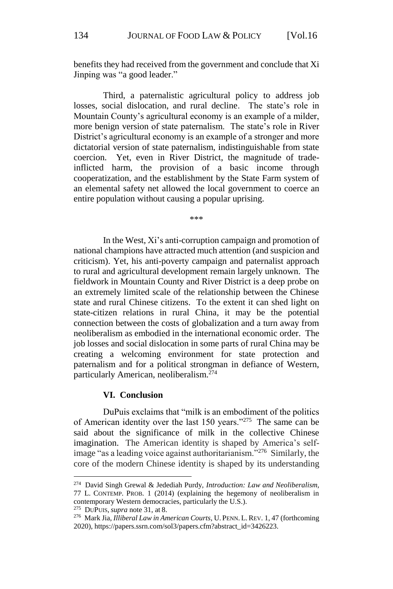benefits they had received from the government and conclude that Xi Jinping was "a good leader."

Third, a paternalistic agricultural policy to address job losses, social dislocation, and rural decline. The state's role in Mountain County's agricultural economy is an example of a milder, more benign version of state paternalism. The state's role in River District's agricultural economy is an example of a stronger and more dictatorial version of state paternalism, indistinguishable from state coercion. Yet, even in River District, the magnitude of tradeinflicted harm, the provision of a basic income through cooperatization, and the establishment by the State Farm system of an elemental safety net allowed the local government to coerce an entire population without causing a popular uprising.

\*\*\*

In the West, Xi's anti-corruption campaign and promotion of national champions have attracted much attention (and suspicion and criticism). Yet, his anti-poverty campaign and paternalist approach to rural and agricultural development remain largely unknown. The fieldwork in Mountain County and River District is a deep probe on an extremely limited scale of the relationship between the Chinese state and rural Chinese citizens. To the extent it can shed light on state-citizen relations in rural China, it may be the potential connection between the costs of globalization and a turn away from neoliberalism as embodied in the international economic order. The job losses and social dislocation in some parts of rural China may be creating a welcoming environment for state protection and paternalism and for a political strongman in defiance of Western, particularly American, neoliberalism.<sup>274</sup>

#### **VI. Conclusion**

DuPuis exclaims that "milk is an embodiment of the politics of American identity over the last 150 years."<sup>275</sup> The same can be said about the significance of milk in the collective Chinese imagination. The American identity is shaped by America's selfimage "as a leading voice against authoritarianism."<sup>276</sup> Similarly, the core of the modern Chinese identity is shaped by its understanding

<sup>274</sup> David Singh Grewal & Jedediah Purdy, *Introduction: Law and Neoliberalism*, 77 L. CONTEMP. PROB. 1 (2014) (explaining the hegemony of neoliberalism in contemporary Western democracies, particularly the U.S.).

<sup>275</sup> DUPUIS, *supra* note 31, at 8.

<sup>276</sup> Mark Jia, *Illiberal Law in American Courts*, U. PENN. L.REV. 1, 47 (forthcoming 2020), https://papers.ssrn.com/sol3/papers.cfm?abstract\_id=3426223.